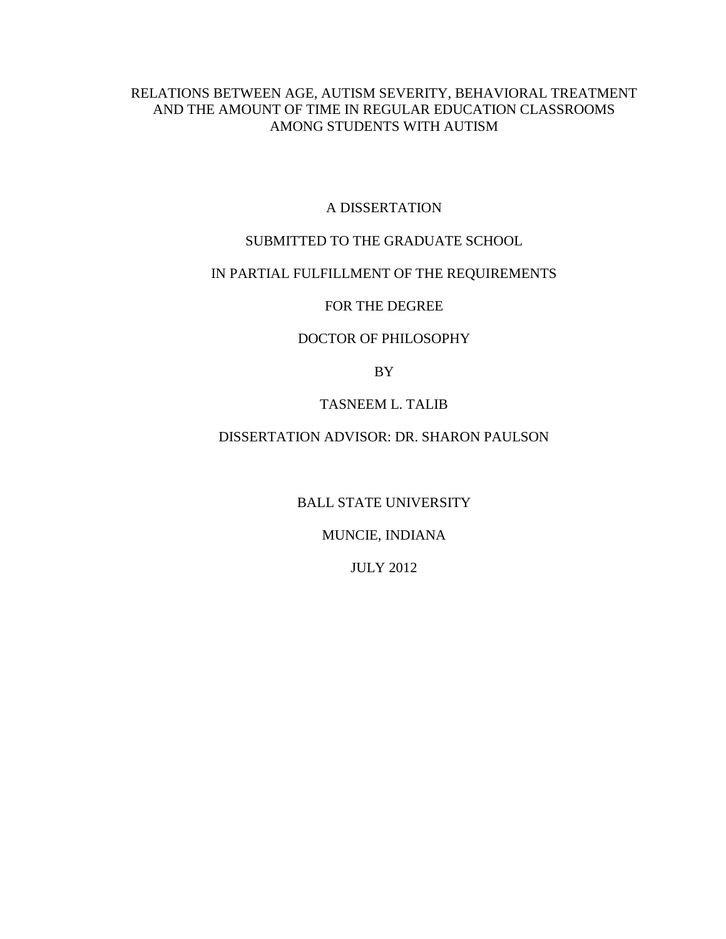# RELATIONS BETWEEN AGE, AUTISM SEVERITY, BEHAVIORAL TREATMENT AND THE AMOUNT OF TIME IN REGULAR EDUCATION CLASSROOMS AMONG STUDENTS WITH AUTISM

## A DISSERTATION

# SUBMITTED TO THE GRADUATE SCHOOL

## IN PARTIAL FULFILLMENT OF THE REQUIREMENTS

## FOR THE DEGREE

## DOCTOR OF PHILOSOPHY

BY

## TASNEEM L. TALIB

# DISSERTATION ADVISOR: DR. SHARON PAULSON

BALL STATE UNIVERSITY

# MUNCIE, INDIANA

JULY 2012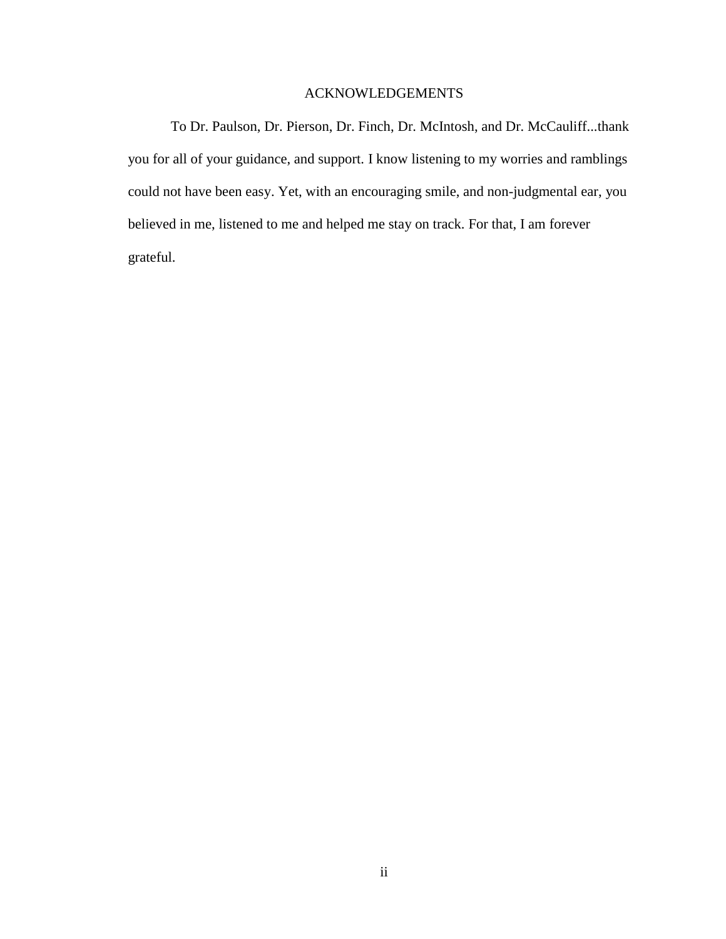## ACKNOWLEDGEMENTS

To Dr. Paulson, Dr. Pierson, Dr. Finch, Dr. McIntosh, and Dr. McCauliff...thank you for all of your guidance, and support. I know listening to my worries and ramblings could not have been easy. Yet, with an encouraging smile, and non-judgmental ear, you believed in me, listened to me and helped me stay on track. For that, I am forever grateful.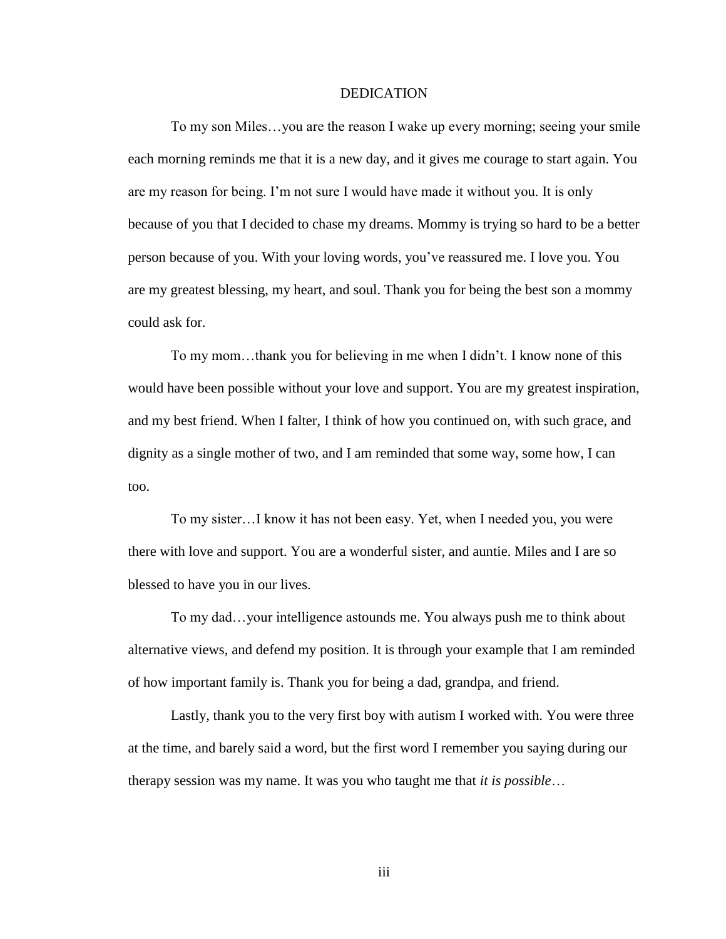#### DEDICATION

To my son Miles…you are the reason I wake up every morning; seeing your smile each morning reminds me that it is a new day, and it gives me courage to start again. You are my reason for being. I'm not sure I would have made it without you. It is only because of you that I decided to chase my dreams. Mommy is trying so hard to be a better person because of you. With your loving words, you've reassured me. I love you. You are my greatest blessing, my heart, and soul. Thank you for being the best son a mommy could ask for.

To my mom…thank you for believing in me when I didn't. I know none of this would have been possible without your love and support. You are my greatest inspiration, and my best friend. When I falter, I think of how you continued on, with such grace, and dignity as a single mother of two, and I am reminded that some way, some how, I can too.

To my sister…I know it has not been easy. Yet, when I needed you, you were there with love and support. You are a wonderful sister, and auntie. Miles and I are so blessed to have you in our lives.

To my dad…your intelligence astounds me. You always push me to think about alternative views, and defend my position. It is through your example that I am reminded of how important family is. Thank you for being a dad, grandpa, and friend.

Lastly, thank you to the very first boy with autism I worked with. You were three at the time, and barely said a word, but the first word I remember you saying during our therapy session was my name. It was you who taught me that *it is possible*…

iii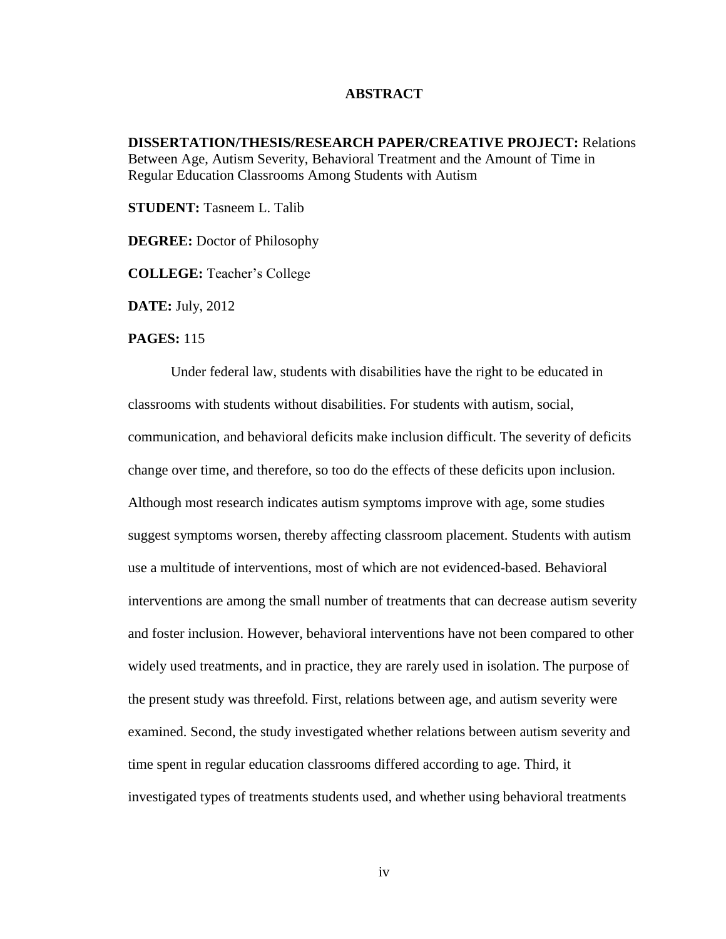### **ABSTRACT**

**DISSERTATION/THESIS/RESEARCH PAPER/CREATIVE PROJECT:** Relations Between Age, Autism Severity, Behavioral Treatment and the Amount of Time in Regular Education Classrooms Among Students with Autism

**STUDENT:** Tasneem L. Talib

**DEGREE:** Doctor of Philosophy

**COLLEGE:** Teacher's College

**DATE:** July, 2012

#### **PAGES:** 115

Under federal law, students with disabilities have the right to be educated in classrooms with students without disabilities. For students with autism, social, communication, and behavioral deficits make inclusion difficult. The severity of deficits change over time, and therefore, so too do the effects of these deficits upon inclusion. Although most research indicates autism symptoms improve with age, some studies suggest symptoms worsen, thereby affecting classroom placement. Students with autism use a multitude of interventions, most of which are not evidenced-based. Behavioral interventions are among the small number of treatments that can decrease autism severity and foster inclusion. However, behavioral interventions have not been compared to other widely used treatments, and in practice, they are rarely used in isolation. The purpose of the present study was threefold. First, relations between age, and autism severity were examined. Second, the study investigated whether relations between autism severity and time spent in regular education classrooms differed according to age. Third, it investigated types of treatments students used, and whether using behavioral treatments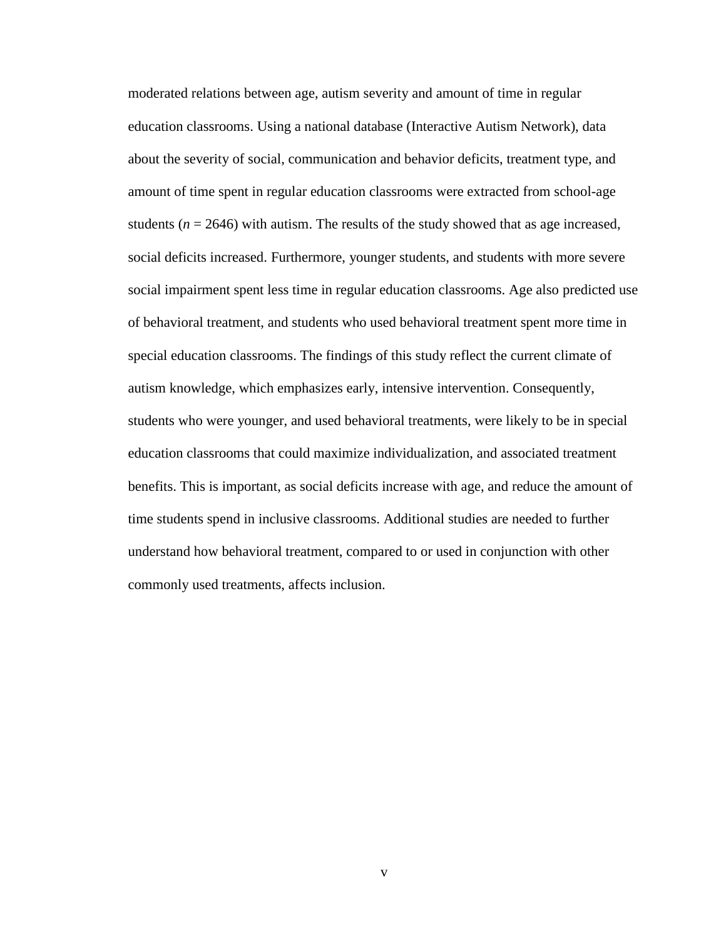moderated relations between age, autism severity and amount of time in regular education classrooms. Using a national database (Interactive Autism Network), data about the severity of social, communication and behavior deficits, treatment type, and amount of time spent in regular education classrooms were extracted from school-age students  $(n = 2646)$  with autism. The results of the study showed that as age increased, social deficits increased. Furthermore, younger students, and students with more severe social impairment spent less time in regular education classrooms. Age also predicted use of behavioral treatment, and students who used behavioral treatment spent more time in special education classrooms. The findings of this study reflect the current climate of autism knowledge, which emphasizes early, intensive intervention. Consequently, students who were younger, and used behavioral treatments, were likely to be in special education classrooms that could maximize individualization, and associated treatment benefits. This is important, as social deficits increase with age, and reduce the amount of time students spend in inclusive classrooms. Additional studies are needed to further understand how behavioral treatment, compared to or used in conjunction with other commonly used treatments, affects inclusion.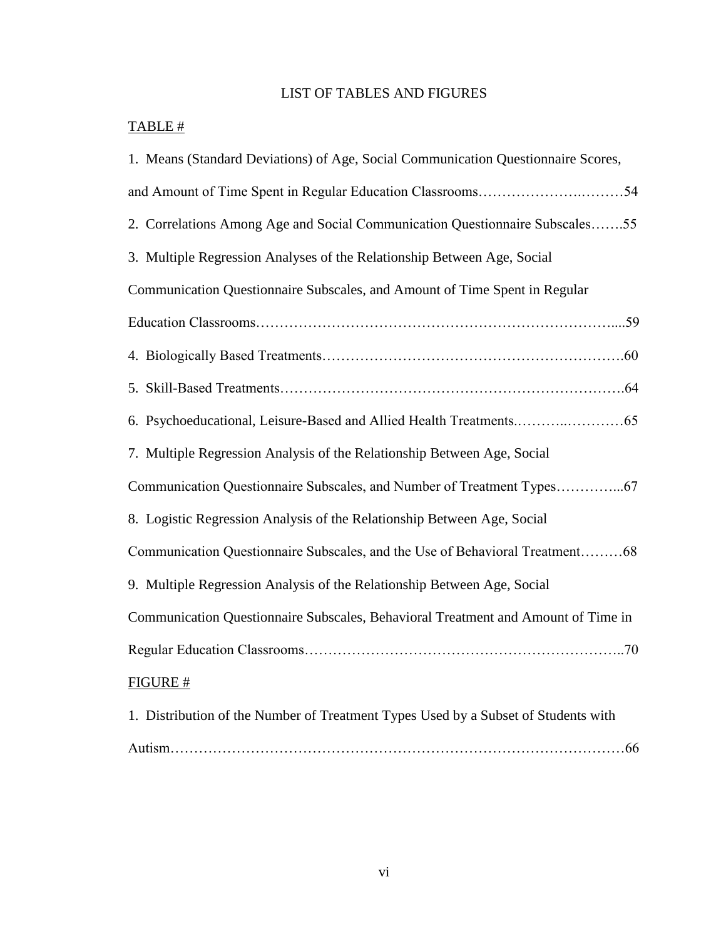# LIST OF TABLES AND FIGURES

# TABLE #

| 1. Means (Standard Deviations) of Age, Social Communication Questionnaire Scores,  |
|------------------------------------------------------------------------------------|
|                                                                                    |
| 2. Correlations Among Age and Social Communication Questionnaire Subscales55       |
| 3. Multiple Regression Analyses of the Relationship Between Age, Social            |
| Communication Questionnaire Subscales, and Amount of Time Spent in Regular         |
|                                                                                    |
|                                                                                    |
|                                                                                    |
|                                                                                    |
| 7. Multiple Regression Analysis of the Relationship Between Age, Social            |
|                                                                                    |
| 8. Logistic Regression Analysis of the Relationship Between Age, Social            |
| Communication Questionnaire Subscales, and the Use of Behavioral Treatment68       |
| 9. Multiple Regression Analysis of the Relationship Between Age, Social            |
| Communication Questionnaire Subscales, Behavioral Treatment and Amount of Time in  |
|                                                                                    |
| FIGURE #                                                                           |
| 1. Distribution of the Number of Treatment Types Used by a Subset of Students with |
|                                                                                    |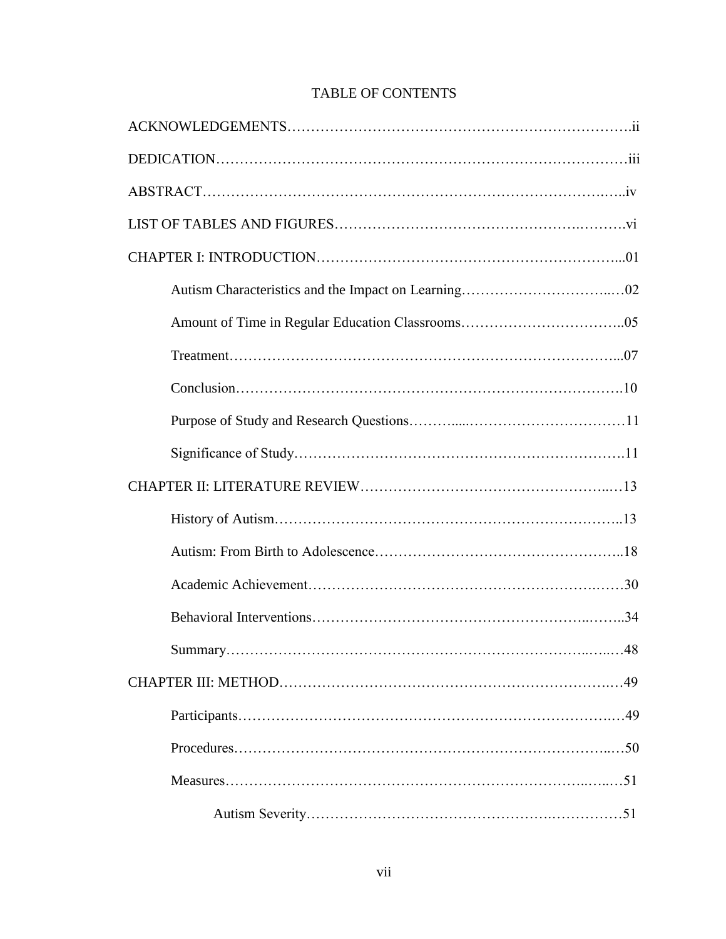| .48 |
|-----|
|     |
|     |
|     |
|     |
|     |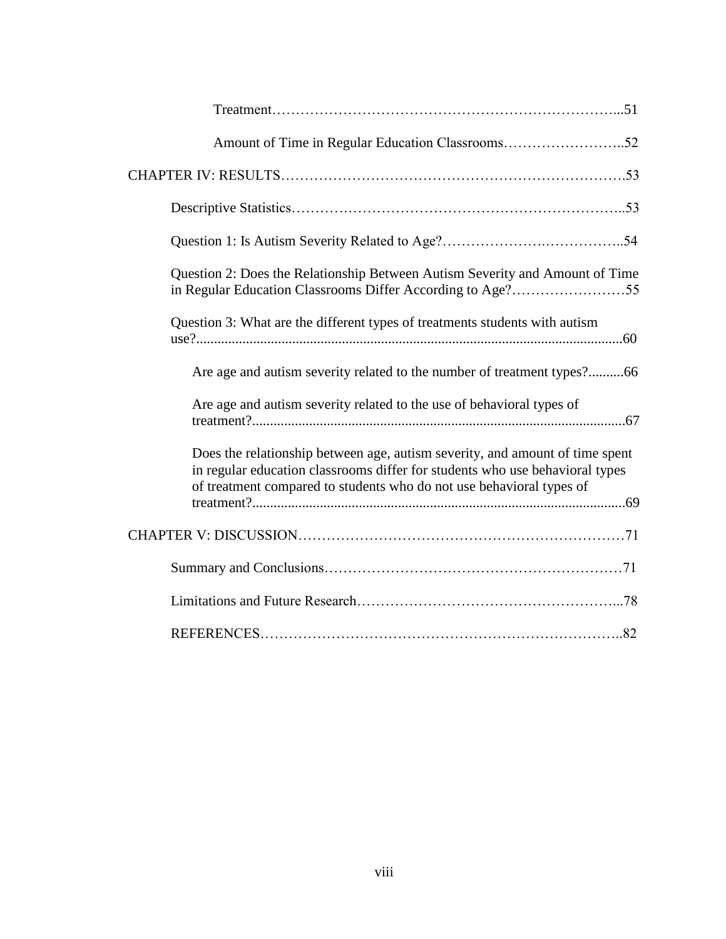| Question 2: Does the Relationship Between Autism Severity and Amount of Time                                                                                                                                                         |
|--------------------------------------------------------------------------------------------------------------------------------------------------------------------------------------------------------------------------------------|
| Question 3: What are the different types of treatments students with autism                                                                                                                                                          |
| Are age and autism severity related to the number of treatment types?66                                                                                                                                                              |
| Are age and autism severity related to the use of behavioral types of                                                                                                                                                                |
| Does the relationship between age, autism severity, and amount of time spent<br>in regular education classrooms differ for students who use behavioral types<br>of treatment compared to students who do not use behavioral types of |
|                                                                                                                                                                                                                                      |
|                                                                                                                                                                                                                                      |
|                                                                                                                                                                                                                                      |
|                                                                                                                                                                                                                                      |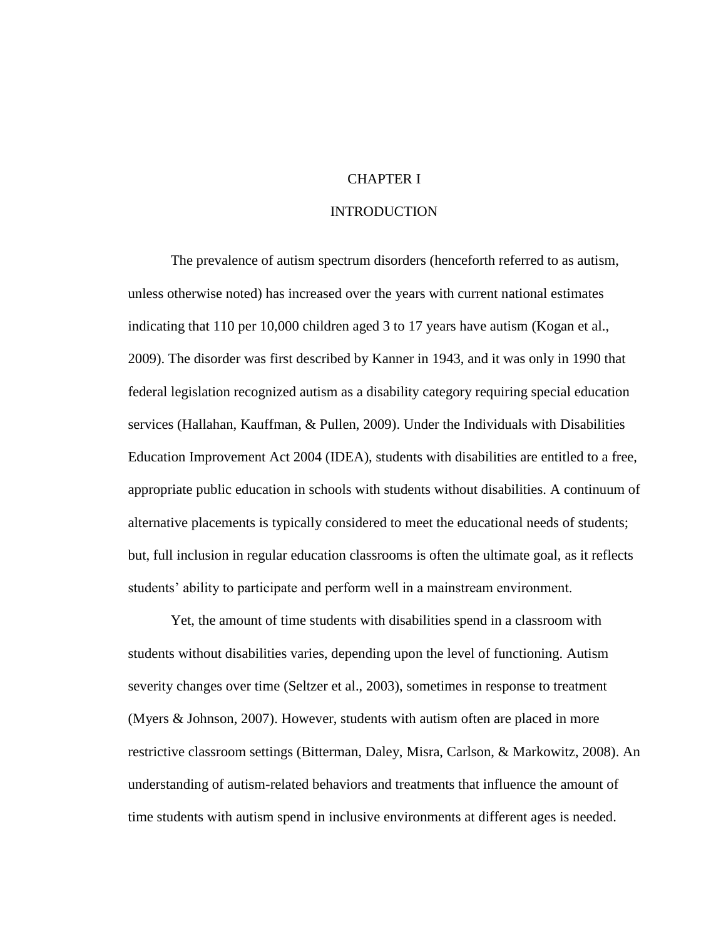## CHAPTER I

### INTRODUCTION

The prevalence of autism spectrum disorders (henceforth referred to as autism, unless otherwise noted) has increased over the years with current national estimates indicating that 110 per 10,000 children aged 3 to 17 years have autism (Kogan et al., 2009). The disorder was first described by Kanner in 1943, and it was only in 1990 that federal legislation recognized autism as a disability category requiring special education services (Hallahan, Kauffman, & Pullen, 2009). Under the Individuals with Disabilities Education Improvement Act 2004 (IDEA), students with disabilities are entitled to a free, appropriate public education in schools with students without disabilities. A continuum of alternative placements is typically considered to meet the educational needs of students; but, full inclusion in regular education classrooms is often the ultimate goal, as it reflects students' ability to participate and perform well in a mainstream environment.

Yet, the amount of time students with disabilities spend in a classroom with students without disabilities varies, depending upon the level of functioning. Autism severity changes over time (Seltzer et al., 2003), sometimes in response to treatment (Myers & Johnson, 2007). However, students with autism often are placed in more restrictive classroom settings (Bitterman, Daley, Misra, Carlson, & Markowitz, 2008). An understanding of autism-related behaviors and treatments that influence the amount of time students with autism spend in inclusive environments at different ages is needed.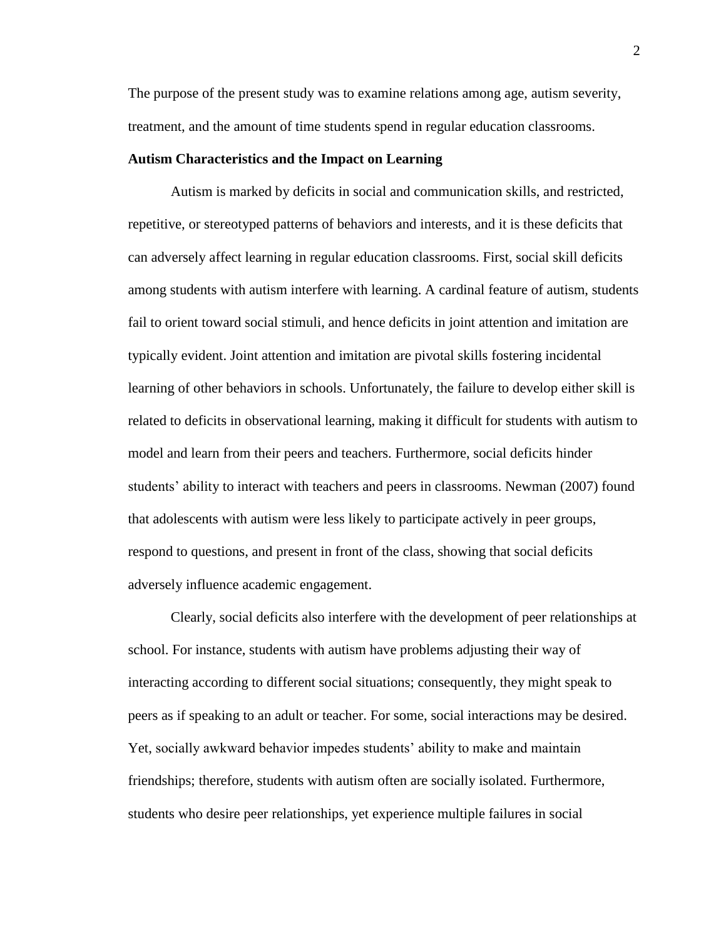The purpose of the present study was to examine relations among age, autism severity, treatment, and the amount of time students spend in regular education classrooms.

### **Autism Characteristics and the Impact on Learning**

Autism is marked by deficits in social and communication skills, and restricted, repetitive, or stereotyped patterns of behaviors and interests, and it is these deficits that can adversely affect learning in regular education classrooms. First, social skill deficits among students with autism interfere with learning. A cardinal feature of autism, students fail to orient toward social stimuli, and hence deficits in joint attention and imitation are typically evident. Joint attention and imitation are pivotal skills fostering incidental learning of other behaviors in schools. Unfortunately, the failure to develop either skill is related to deficits in observational learning, making it difficult for students with autism to model and learn from their peers and teachers. Furthermore, social deficits hinder students' ability to interact with teachers and peers in classrooms. Newman (2007) found that adolescents with autism were less likely to participate actively in peer groups, respond to questions, and present in front of the class, showing that social deficits adversely influence academic engagement.

Clearly, social deficits also interfere with the development of peer relationships at school. For instance, students with autism have problems adjusting their way of interacting according to different social situations; consequently, they might speak to peers as if speaking to an adult or teacher. For some, social interactions may be desired. Yet, socially awkward behavior impedes students' ability to make and maintain friendships; therefore, students with autism often are socially isolated. Furthermore, students who desire peer relationships, yet experience multiple failures in social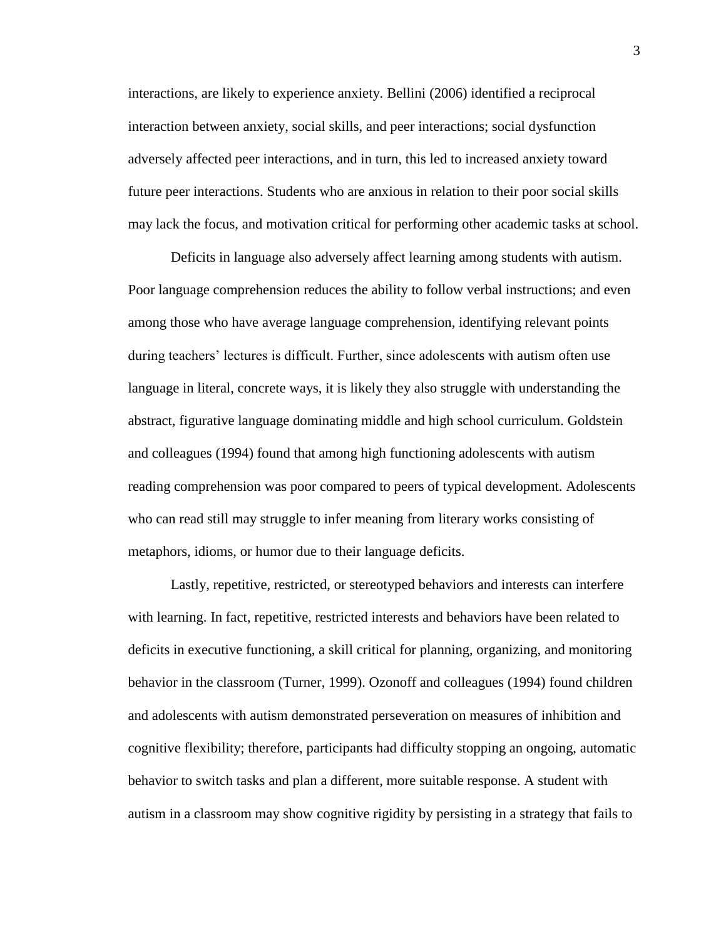interactions, are likely to experience anxiety. Bellini (2006) identified a reciprocal interaction between anxiety, social skills, and peer interactions; social dysfunction adversely affected peer interactions, and in turn, this led to increased anxiety toward future peer interactions. Students who are anxious in relation to their poor social skills may lack the focus, and motivation critical for performing other academic tasks at school.

Deficits in language also adversely affect learning among students with autism. Poor language comprehension reduces the ability to follow verbal instructions; and even among those who have average language comprehension, identifying relevant points during teachers' lectures is difficult. Further, since adolescents with autism often use language in literal, concrete ways, it is likely they also struggle with understanding the abstract, figurative language dominating middle and high school curriculum. Goldstein and colleagues (1994) found that among high functioning adolescents with autism reading comprehension was poor compared to peers of typical development. Adolescents who can read still may struggle to infer meaning from literary works consisting of metaphors, idioms, or humor due to their language deficits.

Lastly, repetitive, restricted, or stereotyped behaviors and interests can interfere with learning. In fact, repetitive, restricted interests and behaviors have been related to deficits in executive functioning, a skill critical for planning, organizing, and monitoring behavior in the classroom (Turner, 1999). Ozonoff and colleagues (1994) found children and adolescents with autism demonstrated perseveration on measures of inhibition and cognitive flexibility; therefore, participants had difficulty stopping an ongoing, automatic behavior to switch tasks and plan a different, more suitable response. A student with autism in a classroom may show cognitive rigidity by persisting in a strategy that fails to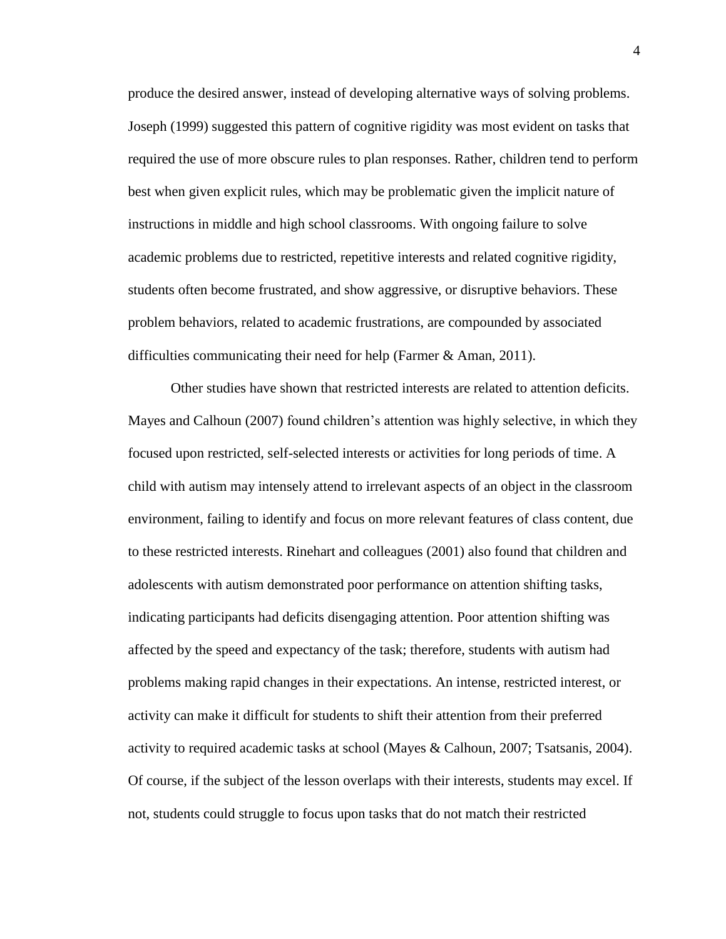produce the desired answer, instead of developing alternative ways of solving problems. Joseph (1999) suggested this pattern of cognitive rigidity was most evident on tasks that required the use of more obscure rules to plan responses. Rather, children tend to perform best when given explicit rules, which may be problematic given the implicit nature of instructions in middle and high school classrooms. With ongoing failure to solve academic problems due to restricted, repetitive interests and related cognitive rigidity, students often become frustrated, and show aggressive, or disruptive behaviors. These problem behaviors, related to academic frustrations, are compounded by associated difficulties communicating their need for help (Farmer & Aman, 2011).

Other studies have shown that restricted interests are related to attention deficits. Mayes and Calhoun (2007) found children's attention was highly selective, in which they focused upon restricted, self-selected interests or activities for long periods of time. A child with autism may intensely attend to irrelevant aspects of an object in the classroom environment, failing to identify and focus on more relevant features of class content, due to these restricted interests. Rinehart and colleagues (2001) also found that children and adolescents with autism demonstrated poor performance on attention shifting tasks, indicating participants had deficits disengaging attention. Poor attention shifting was affected by the speed and expectancy of the task; therefore, students with autism had problems making rapid changes in their expectations. An intense, restricted interest, or activity can make it difficult for students to shift their attention from their preferred activity to required academic tasks at school (Mayes & Calhoun, 2007; Tsatsanis, 2004). Of course, if the subject of the lesson overlaps with their interests, students may excel. If not, students could struggle to focus upon tasks that do not match their restricted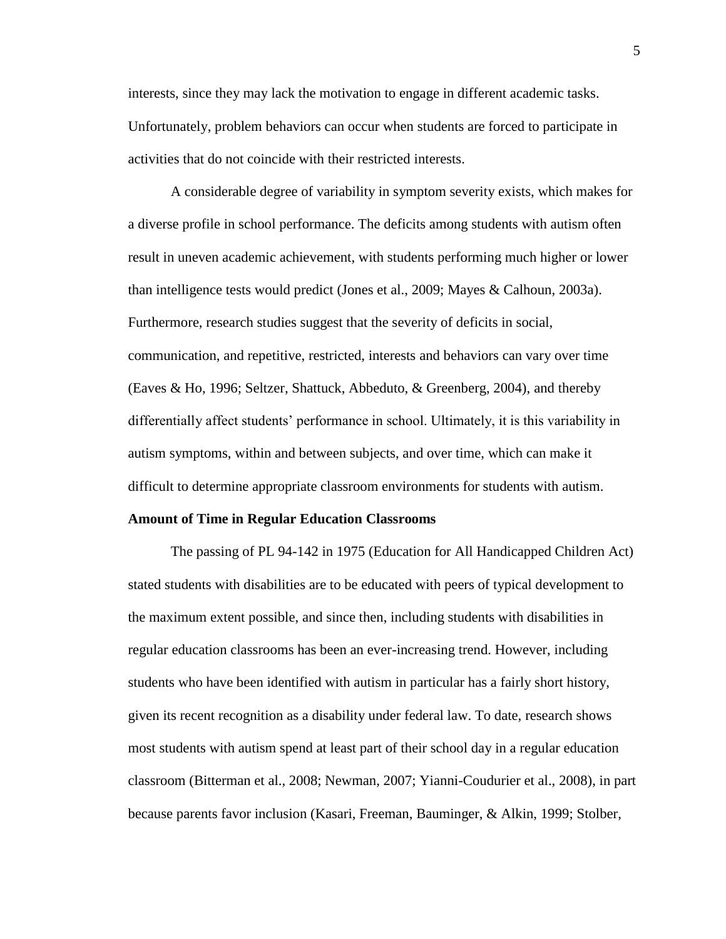interests, since they may lack the motivation to engage in different academic tasks. Unfortunately, problem behaviors can occur when students are forced to participate in activities that do not coincide with their restricted interests.

A considerable degree of variability in symptom severity exists, which makes for a diverse profile in school performance. The deficits among students with autism often result in uneven academic achievement, with students performing much higher or lower than intelligence tests would predict (Jones et al., 2009; Mayes & Calhoun, 2003a). Furthermore, research studies suggest that the severity of deficits in social, communication, and repetitive, restricted, interests and behaviors can vary over time (Eaves & Ho, 1996; Seltzer, Shattuck, Abbeduto, & Greenberg, 2004), and thereby differentially affect students' performance in school. Ultimately, it is this variability in autism symptoms, within and between subjects, and over time, which can make it difficult to determine appropriate classroom environments for students with autism.

#### **Amount of Time in Regular Education Classrooms**

The passing of PL 94-142 in 1975 (Education for All Handicapped Children Act) stated students with disabilities are to be educated with peers of typical development to the maximum extent possible, and since then, including students with disabilities in regular education classrooms has been an ever-increasing trend. However, including students who have been identified with autism in particular has a fairly short history, given its recent recognition as a disability under federal law. To date, research shows most students with autism spend at least part of their school day in a regular education classroom (Bitterman et al., 2008; Newman, 2007; Yianni-Coudurier et al., 2008), in part because parents favor inclusion (Kasari, Freeman, Bauminger, & Alkin, 1999; Stolber,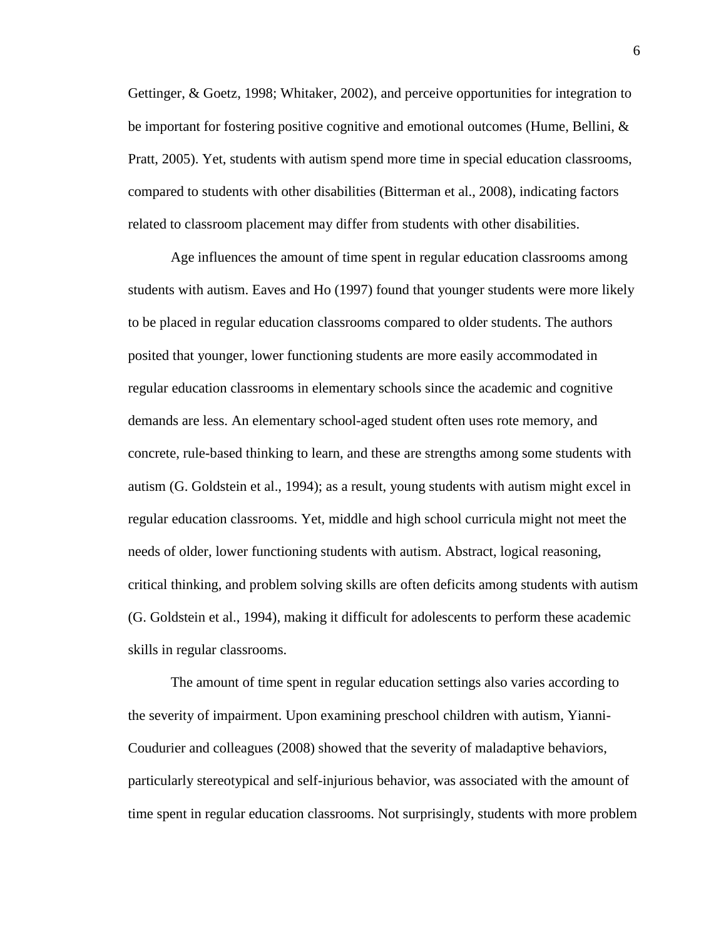Gettinger, & Goetz, 1998; Whitaker, 2002), and perceive opportunities for integration to be important for fostering positive cognitive and emotional outcomes (Hume, Bellini, & Pratt, 2005). Yet, students with autism spend more time in special education classrooms, compared to students with other disabilities (Bitterman et al., 2008), indicating factors related to classroom placement may differ from students with other disabilities.

Age influences the amount of time spent in regular education classrooms among students with autism. Eaves and Ho (1997) found that younger students were more likely to be placed in regular education classrooms compared to older students. The authors posited that younger, lower functioning students are more easily accommodated in regular education classrooms in elementary schools since the academic and cognitive demands are less. An elementary school-aged student often uses rote memory, and concrete, rule-based thinking to learn, and these are strengths among some students with autism (G. Goldstein et al., 1994); as a result, young students with autism might excel in regular education classrooms. Yet, middle and high school curricula might not meet the needs of older, lower functioning students with autism. Abstract, logical reasoning, critical thinking, and problem solving skills are often deficits among students with autism (G. Goldstein et al., 1994), making it difficult for adolescents to perform these academic skills in regular classrooms.

The amount of time spent in regular education settings also varies according to the severity of impairment. Upon examining preschool children with autism, Yianni-Coudurier and colleagues (2008) showed that the severity of maladaptive behaviors, particularly stereotypical and self-injurious behavior, was associated with the amount of time spent in regular education classrooms. Not surprisingly, students with more problem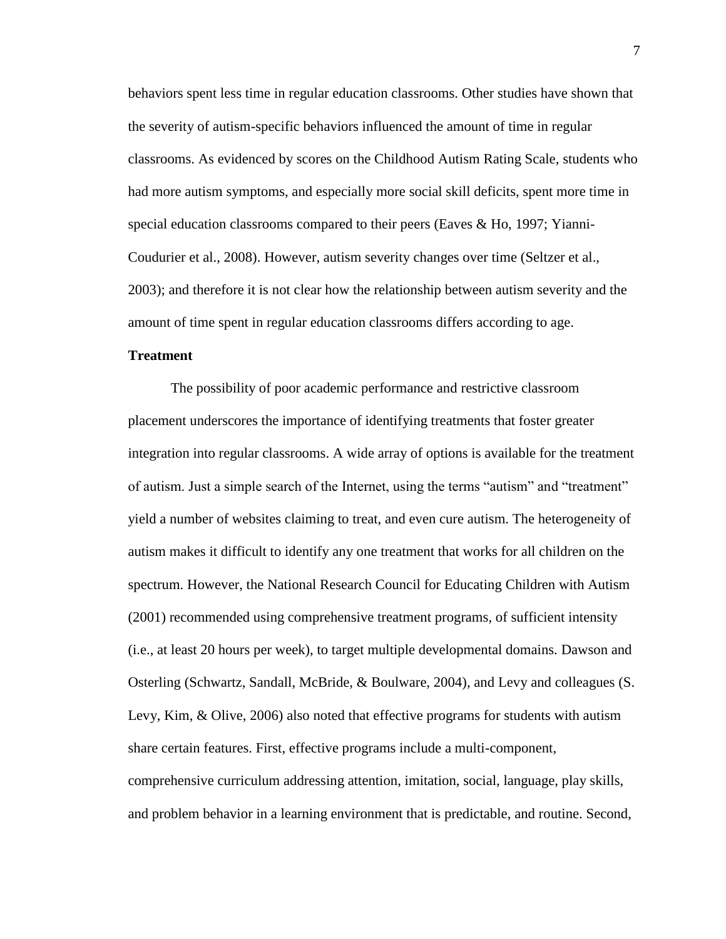behaviors spent less time in regular education classrooms. Other studies have shown that the severity of autism-specific behaviors influenced the amount of time in regular classrooms. As evidenced by scores on the Childhood Autism Rating Scale, students who had more autism symptoms, and especially more social skill deficits, spent more time in special education classrooms compared to their peers (Eaves & Ho, 1997; Yianni-Coudurier et al., 2008). However, autism severity changes over time (Seltzer et al., 2003); and therefore it is not clear how the relationship between autism severity and the amount of time spent in regular education classrooms differs according to age.

### **Treatment**

The possibility of poor academic performance and restrictive classroom placement underscores the importance of identifying treatments that foster greater integration into regular classrooms. A wide array of options is available for the treatment of autism. Just a simple search of the Internet, using the terms "autism" and "treatment" yield a number of websites claiming to treat, and even cure autism. The heterogeneity of autism makes it difficult to identify any one treatment that works for all children on the spectrum. However, the National Research Council for Educating Children with Autism (2001) recommended using comprehensive treatment programs, of sufficient intensity (i.e., at least 20 hours per week), to target multiple developmental domains. Dawson and Osterling (Schwartz, Sandall, McBride, & Boulware, 2004), and Levy and colleagues (S. Levy, Kim, & Olive, 2006) also noted that effective programs for students with autism share certain features. First, effective programs include a multi-component, comprehensive curriculum addressing attention, imitation, social, language, play skills, and problem behavior in a learning environment that is predictable, and routine. Second,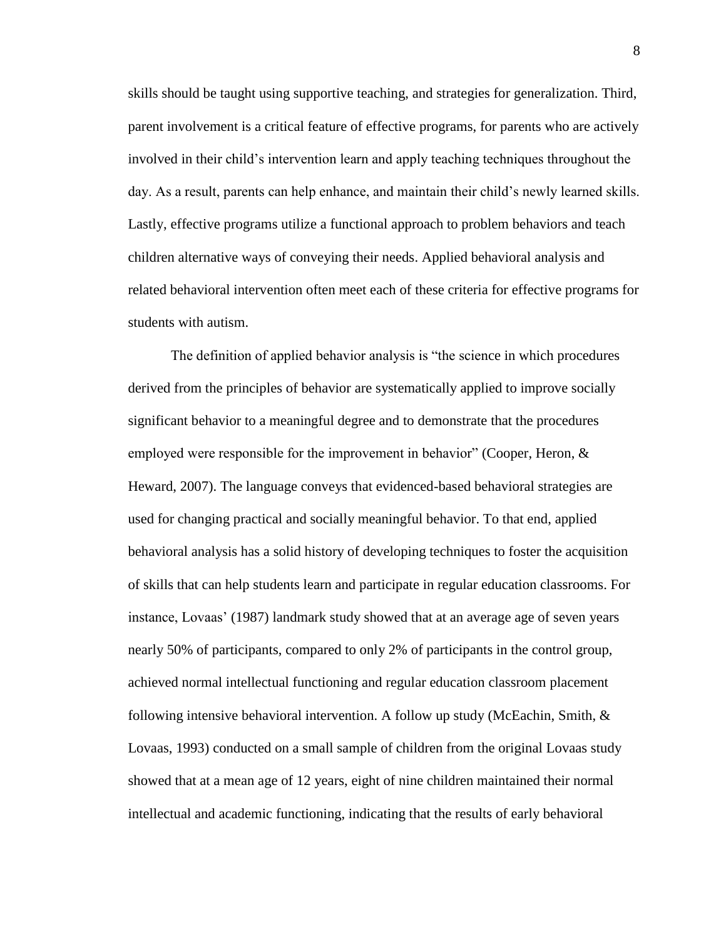skills should be taught using supportive teaching, and strategies for generalization. Third, parent involvement is a critical feature of effective programs, for parents who are actively involved in their child's intervention learn and apply teaching techniques throughout the day. As a result, parents can help enhance, and maintain their child's newly learned skills. Lastly, effective programs utilize a functional approach to problem behaviors and teach children alternative ways of conveying their needs. Applied behavioral analysis and related behavioral intervention often meet each of these criteria for effective programs for students with autism.

The definition of applied behavior analysis is "the science in which procedures derived from the principles of behavior are systematically applied to improve socially significant behavior to a meaningful degree and to demonstrate that the procedures employed were responsible for the improvement in behavior" (Cooper, Heron,  $\&$ Heward, 2007). The language conveys that evidenced-based behavioral strategies are used for changing practical and socially meaningful behavior. To that end, applied behavioral analysis has a solid history of developing techniques to foster the acquisition of skills that can help students learn and participate in regular education classrooms. For instance, Lovaas' (1987) landmark study showed that at an average age of seven years nearly 50% of participants, compared to only 2% of participants in the control group, achieved normal intellectual functioning and regular education classroom placement following intensive behavioral intervention. A follow up study (McEachin, Smith,  $\&$ Lovaas, 1993) conducted on a small sample of children from the original Lovaas study showed that at a mean age of 12 years, eight of nine children maintained their normal intellectual and academic functioning, indicating that the results of early behavioral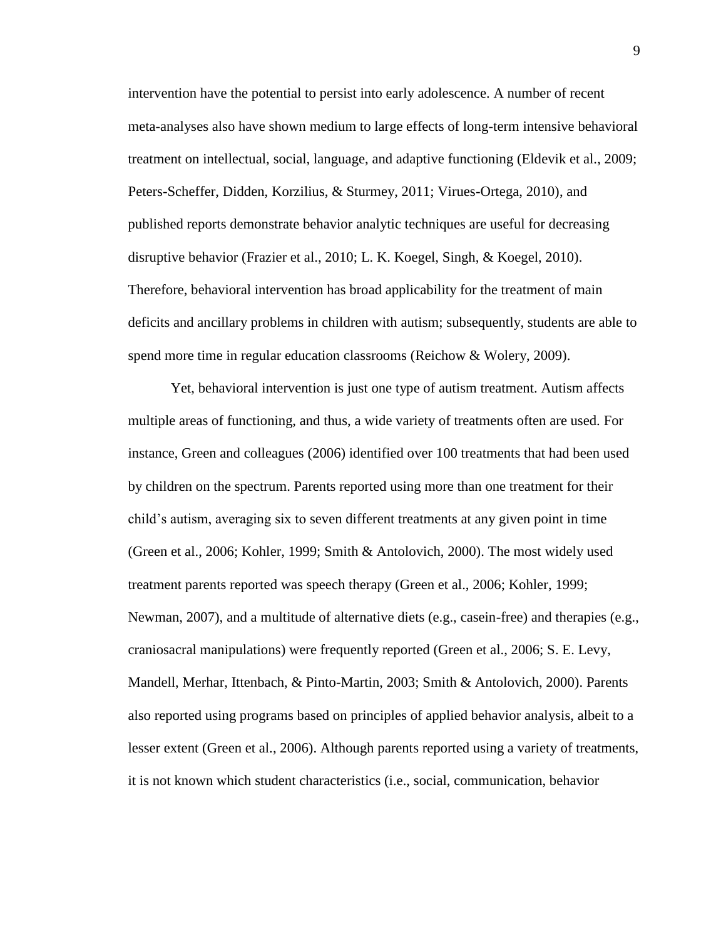intervention have the potential to persist into early adolescence. A number of recent meta-analyses also have shown medium to large effects of long-term intensive behavioral treatment on intellectual, social, language, and adaptive functioning (Eldevik et al., 2009; Peters-Scheffer, Didden, Korzilius, & Sturmey, 2011; Virues-Ortega, 2010), and published reports demonstrate behavior analytic techniques are useful for decreasing disruptive behavior (Frazier et al., 2010; L. K. Koegel, Singh, & Koegel, 2010). Therefore, behavioral intervention has broad applicability for the treatment of main deficits and ancillary problems in children with autism; subsequently, students are able to spend more time in regular education classrooms (Reichow & Wolery, 2009).

Yet, behavioral intervention is just one type of autism treatment. Autism affects multiple areas of functioning, and thus, a wide variety of treatments often are used. For instance, Green and colleagues (2006) identified over 100 treatments that had been used by children on the spectrum. Parents reported using more than one treatment for their child's autism, averaging six to seven different treatments at any given point in time (Green et al., 2006; Kohler, 1999; Smith & Antolovich, 2000). The most widely used treatment parents reported was speech therapy (Green et al., 2006; Kohler, 1999; Newman, 2007), and a multitude of alternative diets (e.g., casein-free) and therapies (e.g., craniosacral manipulations) were frequently reported (Green et al., 2006; S. E. Levy, Mandell, Merhar, Ittenbach, & Pinto-Martin, 2003; Smith & Antolovich, 2000). Parents also reported using programs based on principles of applied behavior analysis, albeit to a lesser extent (Green et al., 2006). Although parents reported using a variety of treatments, it is not known which student characteristics (i.e., social, communication, behavior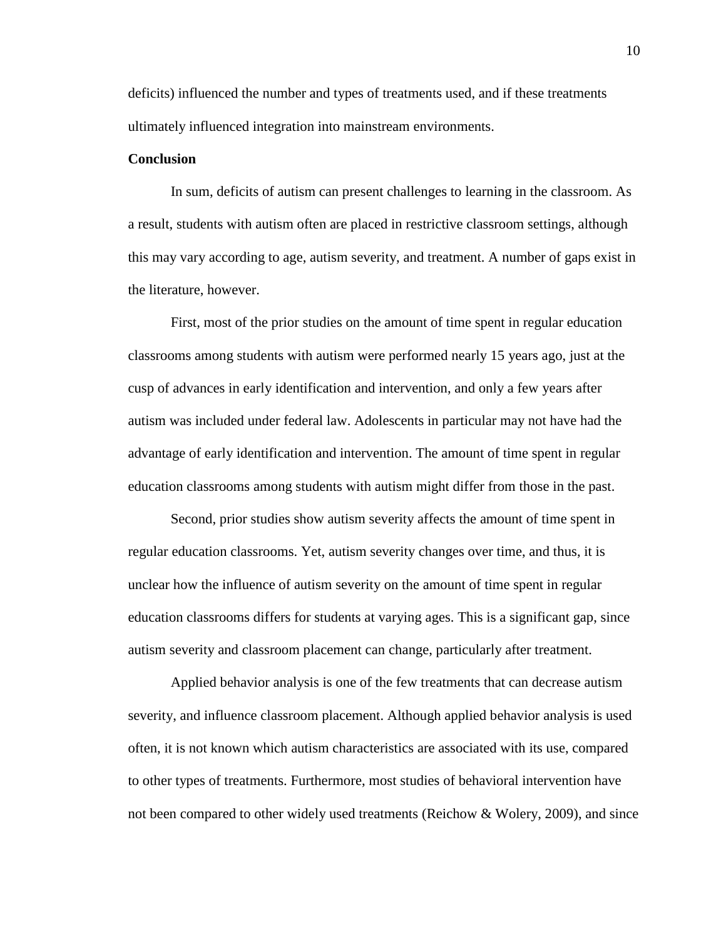deficits) influenced the number and types of treatments used, and if these treatments ultimately influenced integration into mainstream environments.

### **Conclusion**

In sum, deficits of autism can present challenges to learning in the classroom. As a result, students with autism often are placed in restrictive classroom settings, although this may vary according to age, autism severity, and treatment. A number of gaps exist in the literature, however.

First, most of the prior studies on the amount of time spent in regular education classrooms among students with autism were performed nearly 15 years ago, just at the cusp of advances in early identification and intervention, and only a few years after autism was included under federal law. Adolescents in particular may not have had the advantage of early identification and intervention. The amount of time spent in regular education classrooms among students with autism might differ from those in the past.

Second, prior studies show autism severity affects the amount of time spent in regular education classrooms. Yet, autism severity changes over time, and thus, it is unclear how the influence of autism severity on the amount of time spent in regular education classrooms differs for students at varying ages. This is a significant gap, since autism severity and classroom placement can change, particularly after treatment.

Applied behavior analysis is one of the few treatments that can decrease autism severity, and influence classroom placement. Although applied behavior analysis is used often, it is not known which autism characteristics are associated with its use, compared to other types of treatments. Furthermore, most studies of behavioral intervention have not been compared to other widely used treatments (Reichow & Wolery, 2009), and since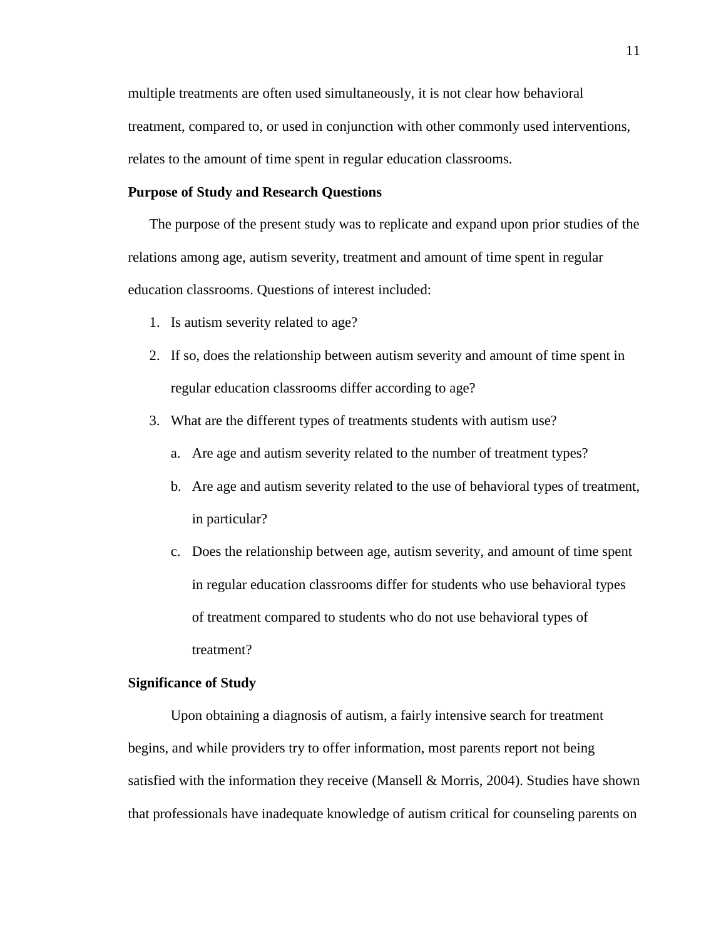multiple treatments are often used simultaneously, it is not clear how behavioral treatment, compared to, or used in conjunction with other commonly used interventions, relates to the amount of time spent in regular education classrooms.

### **Purpose of Study and Research Questions**

The purpose of the present study was to replicate and expand upon prior studies of the relations among age, autism severity, treatment and amount of time spent in regular education classrooms. Questions of interest included:

- 1. Is autism severity related to age?
- 2. If so, does the relationship between autism severity and amount of time spent in regular education classrooms differ according to age?
- 3. What are the different types of treatments students with autism use?
	- a. Are age and autism severity related to the number of treatment types?
	- b. Are age and autism severity related to the use of behavioral types of treatment, in particular?
	- c. Does the relationship between age, autism severity, and amount of time spent in regular education classrooms differ for students who use behavioral types of treatment compared to students who do not use behavioral types of treatment?

#### **Significance of Study**

Upon obtaining a diagnosis of autism, a fairly intensive search for treatment begins, and while providers try to offer information, most parents report not being satisfied with the information they receive (Mansell  $\&$  Morris, 2004). Studies have shown that professionals have inadequate knowledge of autism critical for counseling parents on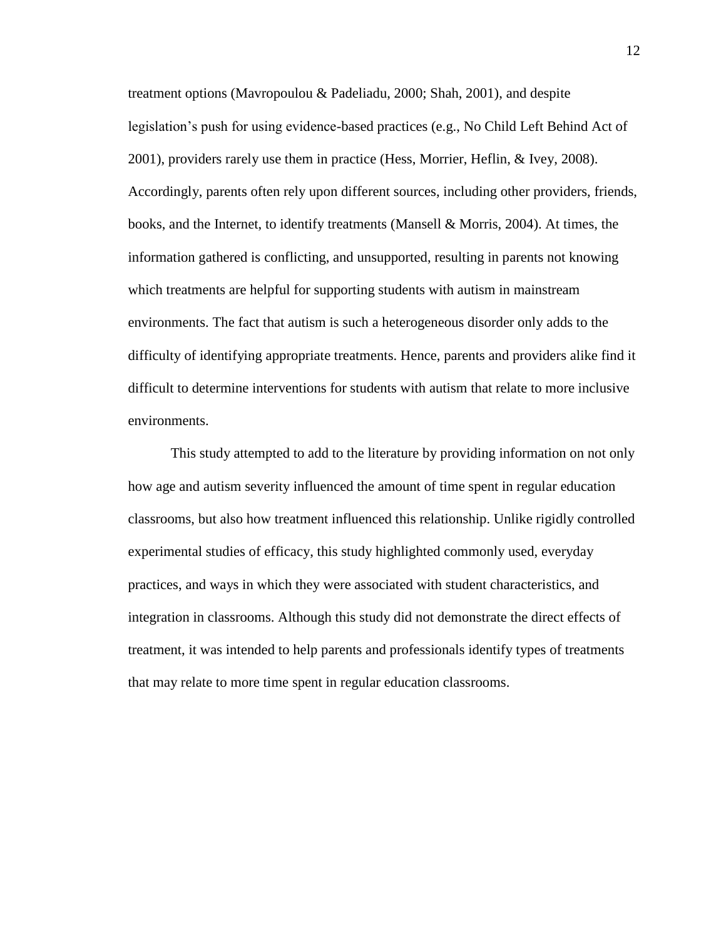treatment options (Mavropoulou & Padeliadu, 2000; Shah, 2001), and despite legislation's push for using evidence-based practices (e.g., No Child Left Behind Act of 2001), providers rarely use them in practice (Hess, Morrier, Heflin, & Ivey, 2008). Accordingly, parents often rely upon different sources, including other providers, friends, books, and the Internet, to identify treatments (Mansell & Morris, 2004). At times, the information gathered is conflicting, and unsupported, resulting in parents not knowing which treatments are helpful for supporting students with autism in mainstream environments. The fact that autism is such a heterogeneous disorder only adds to the difficulty of identifying appropriate treatments. Hence, parents and providers alike find it difficult to determine interventions for students with autism that relate to more inclusive environments.

This study attempted to add to the literature by providing information on not only how age and autism severity influenced the amount of time spent in regular education classrooms, but also how treatment influenced this relationship. Unlike rigidly controlled experimental studies of efficacy, this study highlighted commonly used, everyday practices, and ways in which they were associated with student characteristics, and integration in classrooms. Although this study did not demonstrate the direct effects of treatment, it was intended to help parents and professionals identify types of treatments that may relate to more time spent in regular education classrooms.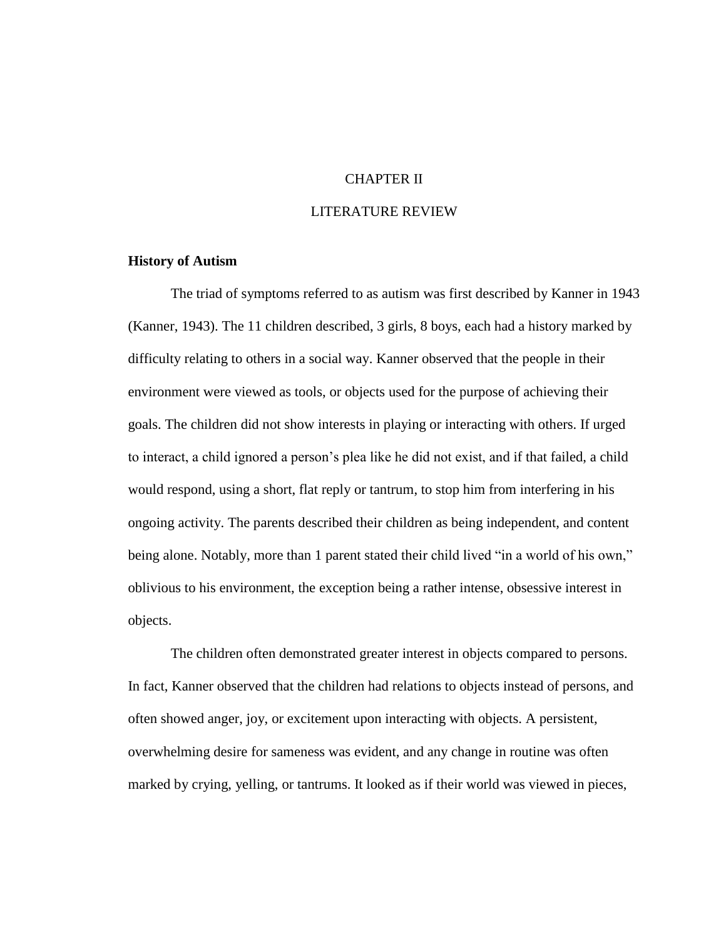## CHAPTER II

## LITERATURE REVIEW

## **History of Autism**

The triad of symptoms referred to as autism was first described by Kanner in 1943 (Kanner, 1943). The 11 children described, 3 girls, 8 boys, each had a history marked by difficulty relating to others in a social way. Kanner observed that the people in their environment were viewed as tools, or objects used for the purpose of achieving their goals. The children did not show interests in playing or interacting with others. If urged to interact, a child ignored a person's plea like he did not exist, and if that failed, a child would respond, using a short, flat reply or tantrum, to stop him from interfering in his ongoing activity. The parents described their children as being independent, and content being alone. Notably, more than 1 parent stated their child lived "in a world of his own," oblivious to his environment, the exception being a rather intense, obsessive interest in objects.

The children often demonstrated greater interest in objects compared to persons. In fact, Kanner observed that the children had relations to objects instead of persons, and often showed anger, joy, or excitement upon interacting with objects. A persistent, overwhelming desire for sameness was evident, and any change in routine was often marked by crying, yelling, or tantrums. It looked as if their world was viewed in pieces,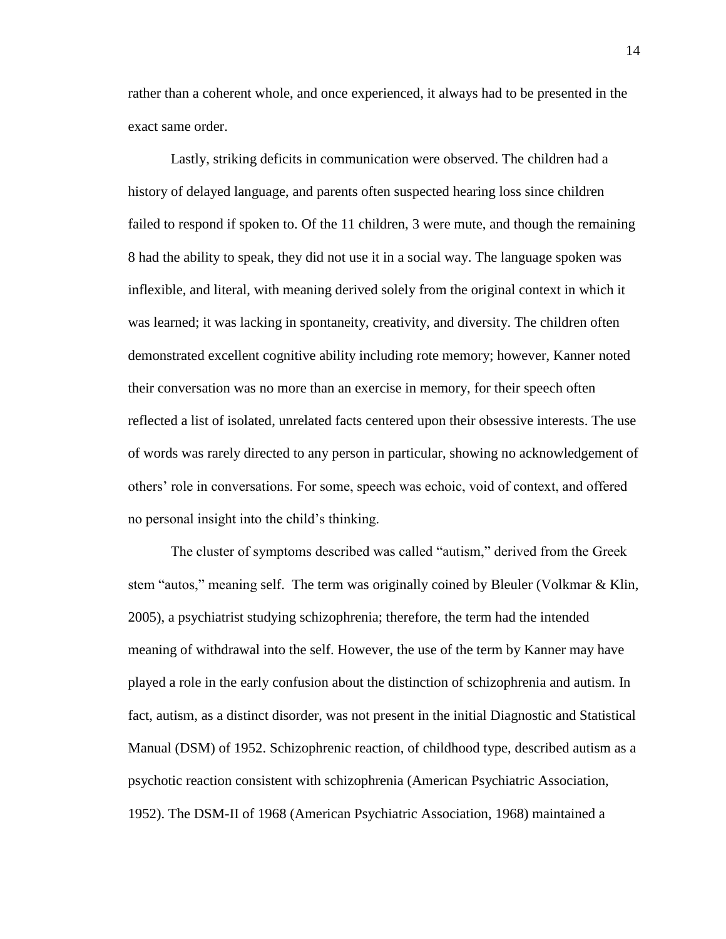rather than a coherent whole, and once experienced, it always had to be presented in the exact same order.

Lastly, striking deficits in communication were observed. The children had a history of delayed language, and parents often suspected hearing loss since children failed to respond if spoken to. Of the 11 children, 3 were mute, and though the remaining 8 had the ability to speak, they did not use it in a social way. The language spoken was inflexible, and literal, with meaning derived solely from the original context in which it was learned; it was lacking in spontaneity, creativity, and diversity. The children often demonstrated excellent cognitive ability including rote memory; however, Kanner noted their conversation was no more than an exercise in memory, for their speech often reflected a list of isolated, unrelated facts centered upon their obsessive interests. The use of words was rarely directed to any person in particular, showing no acknowledgement of others' role in conversations. For some, speech was echoic, void of context, and offered no personal insight into the child's thinking.

The cluster of symptoms described was called "autism," derived from the Greek stem "autos," meaning self. The term was originally coined by Bleuler (Volkmar & Klin, 2005), a psychiatrist studying schizophrenia; therefore, the term had the intended meaning of withdrawal into the self. However, the use of the term by Kanner may have played a role in the early confusion about the distinction of schizophrenia and autism. In fact, autism, as a distinct disorder, was not present in the initial Diagnostic and Statistical Manual (DSM) of 1952. Schizophrenic reaction, of childhood type, described autism as a psychotic reaction consistent with schizophrenia (American Psychiatric Association, 1952). The DSM-II of 1968 (American Psychiatric Association, 1968) maintained a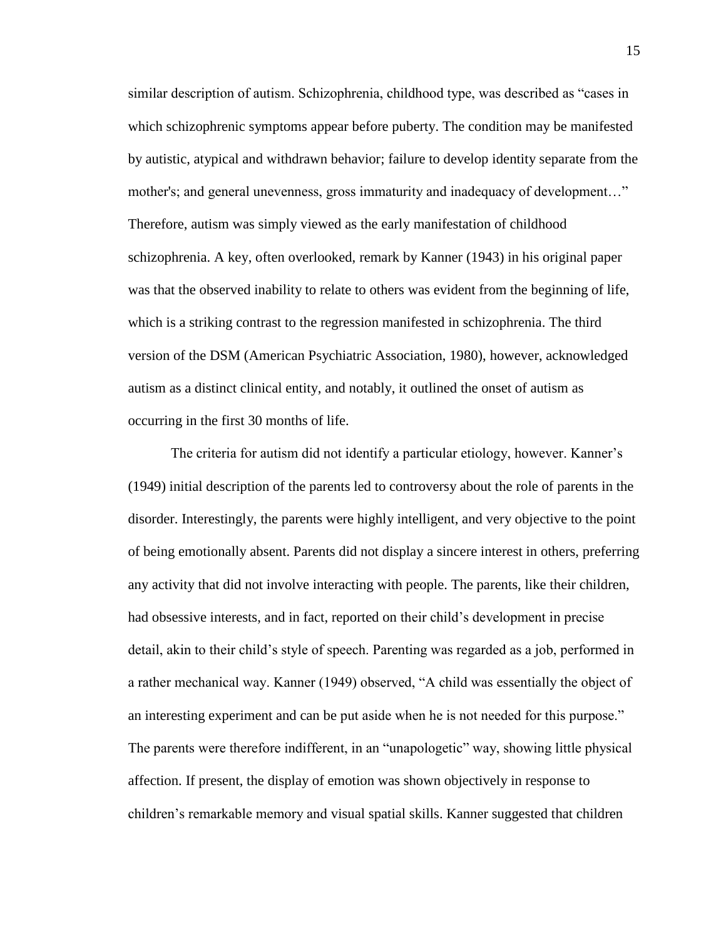similar description of autism. Schizophrenia, childhood type, was described as "cases in which schizophrenic symptoms appear before puberty. The condition may be manifested by autistic, atypical and withdrawn behavior; failure to develop identity separate from the mother's; and general unevenness, gross immaturity and inadequacy of development…" Therefore, autism was simply viewed as the early manifestation of childhood schizophrenia. A key, often overlooked, remark by Kanner (1943) in his original paper was that the observed inability to relate to others was evident from the beginning of life, which is a striking contrast to the regression manifested in schizophrenia. The third version of the DSM (American Psychiatric Association, 1980), however, acknowledged autism as a distinct clinical entity, and notably, it outlined the onset of autism as occurring in the first 30 months of life.

The criteria for autism did not identify a particular etiology, however. Kanner's (1949) initial description of the parents led to controversy about the role of parents in the disorder. Interestingly, the parents were highly intelligent, and very objective to the point of being emotionally absent. Parents did not display a sincere interest in others, preferring any activity that did not involve interacting with people. The parents, like their children, had obsessive interests, and in fact, reported on their child's development in precise detail, akin to their child's style of speech. Parenting was regarded as a job, performed in a rather mechanical way. Kanner (1949) observed, "A child was essentially the object of an interesting experiment and can be put aside when he is not needed for this purpose." The parents were therefore indifferent, in an "unapologetic" way, showing little physical affection. If present, the display of emotion was shown objectively in response to children's remarkable memory and visual spatial skills. Kanner suggested that children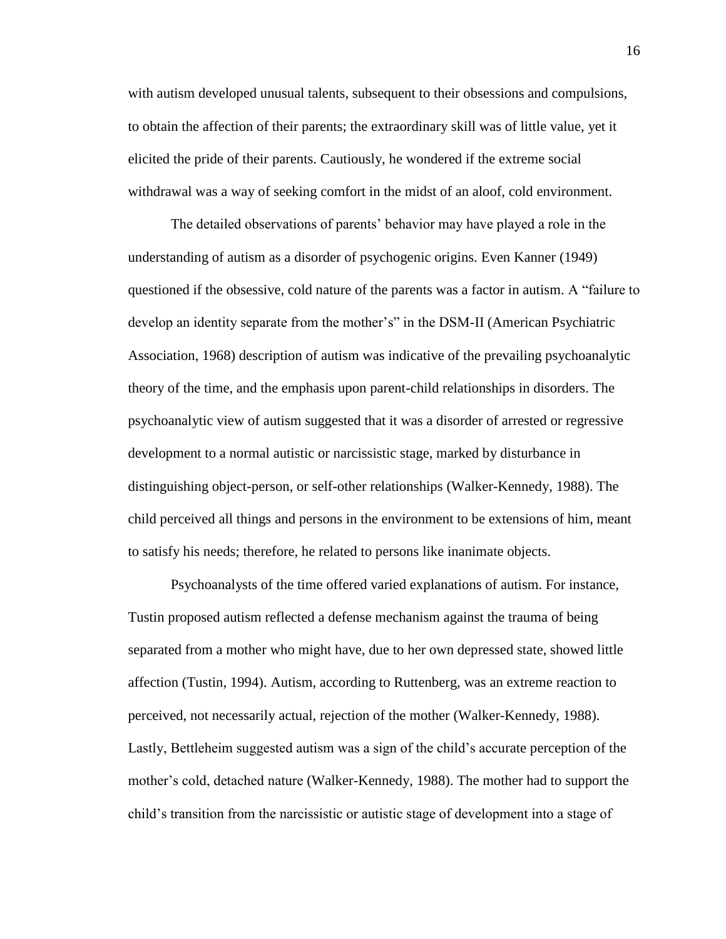with autism developed unusual talents, subsequent to their obsessions and compulsions, to obtain the affection of their parents; the extraordinary skill was of little value, yet it elicited the pride of their parents. Cautiously, he wondered if the extreme social withdrawal was a way of seeking comfort in the midst of an aloof, cold environment.

The detailed observations of parents' behavior may have played a role in the understanding of autism as a disorder of psychogenic origins. Even Kanner (1949) questioned if the obsessive, cold nature of the parents was a factor in autism. A "failure to develop an identity separate from the mother's" in the DSM-II (American Psychiatric Association, 1968) description of autism was indicative of the prevailing psychoanalytic theory of the time, and the emphasis upon parent-child relationships in disorders. The psychoanalytic view of autism suggested that it was a disorder of arrested or regressive development to a normal autistic or narcissistic stage, marked by disturbance in distinguishing object-person, or self-other relationships (Walker-Kennedy, 1988). The child perceived all things and persons in the environment to be extensions of him, meant to satisfy his needs; therefore, he related to persons like inanimate objects.

Psychoanalysts of the time offered varied explanations of autism. For instance, Tustin proposed autism reflected a defense mechanism against the trauma of being separated from a mother who might have, due to her own depressed state, showed little affection (Tustin, 1994). Autism, according to Ruttenberg, was an extreme reaction to perceived, not necessarily actual, rejection of the mother (Walker-Kennedy, 1988). Lastly, Bettleheim suggested autism was a sign of the child's accurate perception of the mother's cold, detached nature (Walker-Kennedy, 1988). The mother had to support the child's transition from the narcissistic or autistic stage of development into a stage of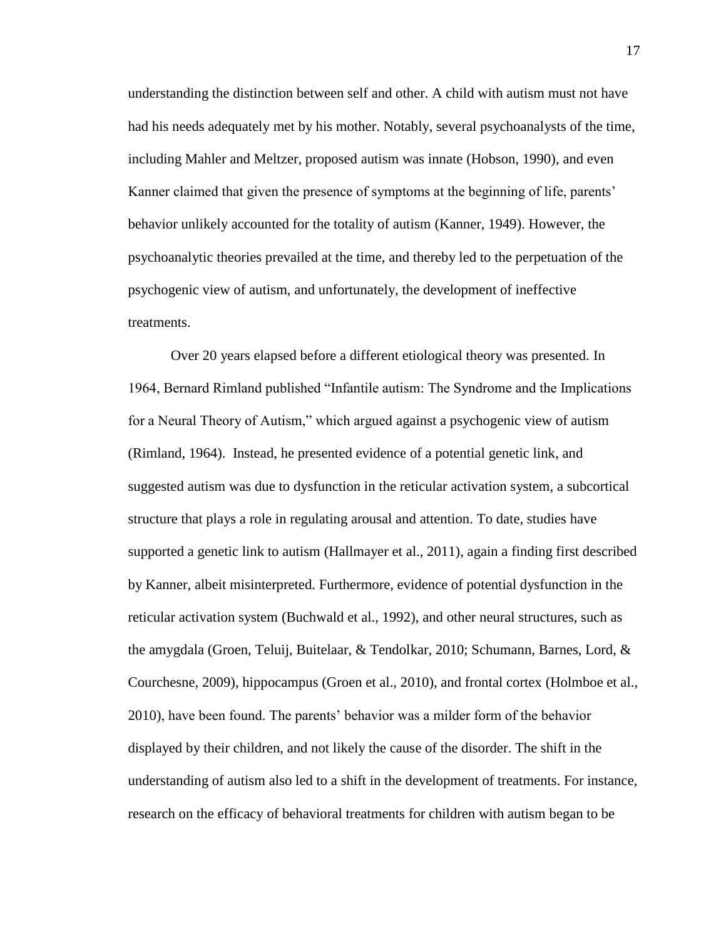understanding the distinction between self and other. A child with autism must not have had his needs adequately met by his mother. Notably, several psychoanalysts of the time, including Mahler and Meltzer, proposed autism was innate (Hobson, 1990), and even Kanner claimed that given the presence of symptoms at the beginning of life, parents' behavior unlikely accounted for the totality of autism (Kanner, 1949). However, the psychoanalytic theories prevailed at the time, and thereby led to the perpetuation of the psychogenic view of autism, and unfortunately, the development of ineffective treatments.

Over 20 years elapsed before a different etiological theory was presented. In 1964, Bernard Rimland published "Infantile autism: The Syndrome and the Implications for a Neural Theory of Autism," which argued against a psychogenic view of autism (Rimland, 1964). Instead, he presented evidence of a potential genetic link, and suggested autism was due to dysfunction in the reticular activation system, a subcortical structure that plays a role in regulating arousal and attention. To date, studies have supported a genetic link to autism (Hallmayer et al., 2011), again a finding first described by Kanner, albeit misinterpreted. Furthermore, evidence of potential dysfunction in the reticular activation system (Buchwald et al., 1992), and other neural structures, such as the amygdala (Groen, Teluij, Buitelaar, & Tendolkar, 2010; Schumann, Barnes, Lord, & Courchesne, 2009), hippocampus (Groen et al., 2010), and frontal cortex (Holmboe et al., 2010), have been found. The parents' behavior was a milder form of the behavior displayed by their children, and not likely the cause of the disorder. The shift in the understanding of autism also led to a shift in the development of treatments. For instance, research on the efficacy of behavioral treatments for children with autism began to be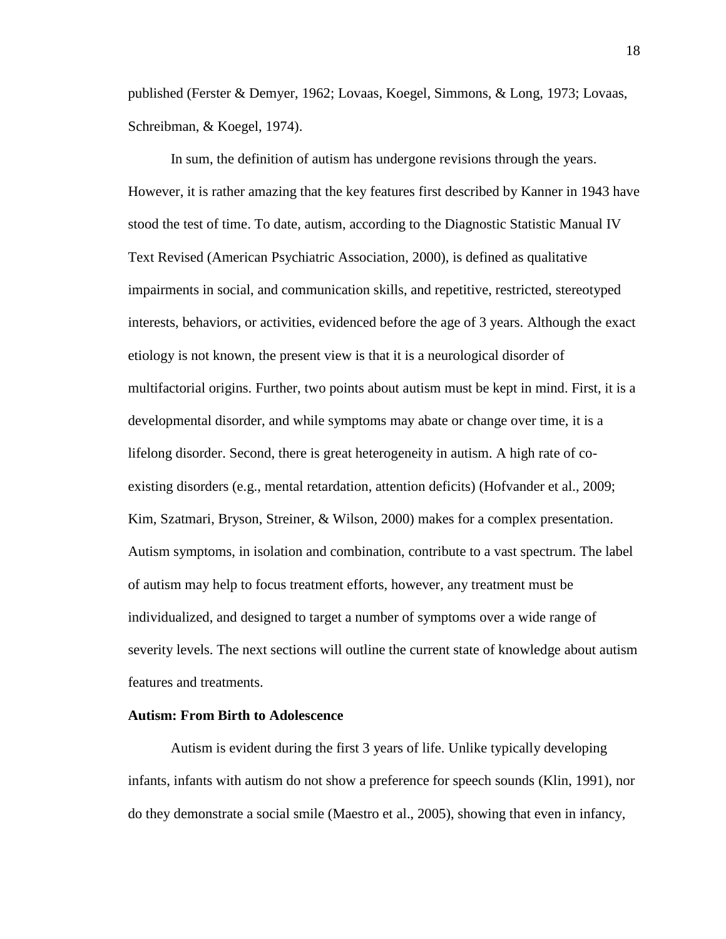published (Ferster & Demyer, 1962; Lovaas, Koegel, Simmons, & Long, 1973; Lovaas, Schreibman, & Koegel, 1974).

In sum, the definition of autism has undergone revisions through the years. However, it is rather amazing that the key features first described by Kanner in 1943 have stood the test of time. To date, autism, according to the Diagnostic Statistic Manual IV Text Revised (American Psychiatric Association, 2000), is defined as qualitative impairments in social, and communication skills, and repetitive, restricted, stereotyped interests, behaviors, or activities, evidenced before the age of 3 years. Although the exact etiology is not known, the present view is that it is a neurological disorder of multifactorial origins. Further, two points about autism must be kept in mind. First, it is a developmental disorder, and while symptoms may abate or change over time, it is a lifelong disorder. Second, there is great heterogeneity in autism. A high rate of coexisting disorders (e.g., mental retardation, attention deficits) (Hofvander et al., 2009; Kim, Szatmari, Bryson, Streiner, & Wilson, 2000) makes for a complex presentation. Autism symptoms, in isolation and combination, contribute to a vast spectrum. The label of autism may help to focus treatment efforts, however, any treatment must be individualized, and designed to target a number of symptoms over a wide range of severity levels. The next sections will outline the current state of knowledge about autism features and treatments.

### **Autism: From Birth to Adolescence**

Autism is evident during the first 3 years of life. Unlike typically developing infants, infants with autism do not show a preference for speech sounds (Klin, 1991), nor do they demonstrate a social smile (Maestro et al., 2005), showing that even in infancy,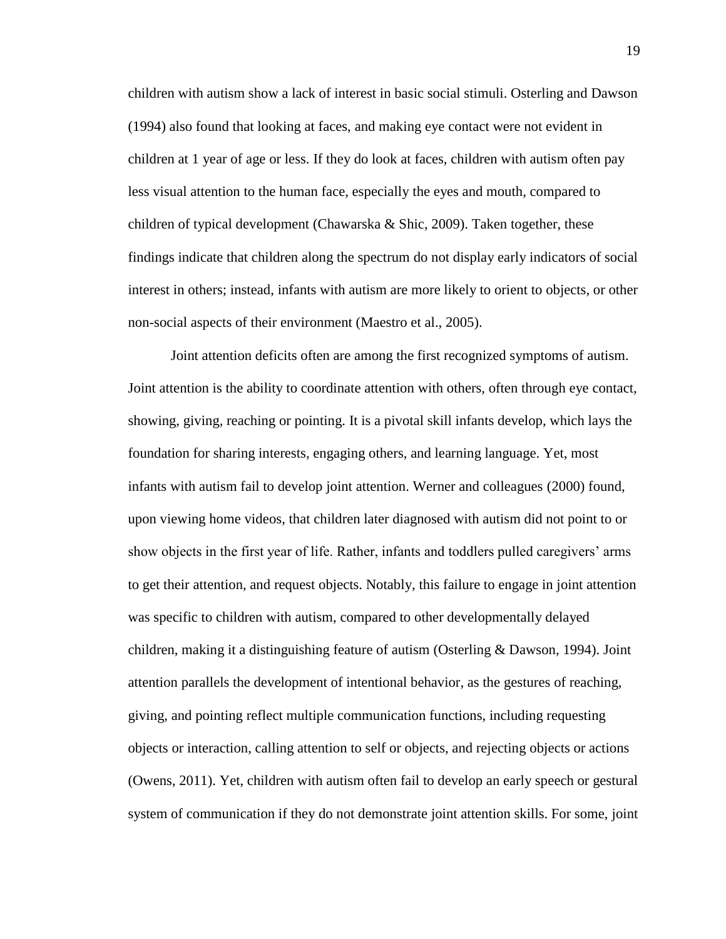children with autism show a lack of interest in basic social stimuli. Osterling and Dawson (1994) also found that looking at faces, and making eye contact were not evident in children at 1 year of age or less. If they do look at faces, children with autism often pay less visual attention to the human face, especially the eyes and mouth, compared to children of typical development (Chawarska  $\&$  Shic, 2009). Taken together, these findings indicate that children along the spectrum do not display early indicators of social interest in others; instead, infants with autism are more likely to orient to objects, or other non-social aspects of their environment (Maestro et al., 2005).

Joint attention deficits often are among the first recognized symptoms of autism. Joint attention is the ability to coordinate attention with others, often through eye contact, showing, giving, reaching or pointing. It is a pivotal skill infants develop, which lays the foundation for sharing interests, engaging others, and learning language. Yet, most infants with autism fail to develop joint attention. Werner and colleagues (2000) found, upon viewing home videos, that children later diagnosed with autism did not point to or show objects in the first year of life. Rather, infants and toddlers pulled caregivers' arms to get their attention, and request objects. Notably, this failure to engage in joint attention was specific to children with autism, compared to other developmentally delayed children, making it a distinguishing feature of autism (Osterling & Dawson, 1994). Joint attention parallels the development of intentional behavior, as the gestures of reaching, giving, and pointing reflect multiple communication functions, including requesting objects or interaction, calling attention to self or objects, and rejecting objects or actions (Owens, 2011). Yet, children with autism often fail to develop an early speech or gestural system of communication if they do not demonstrate joint attention skills. For some, joint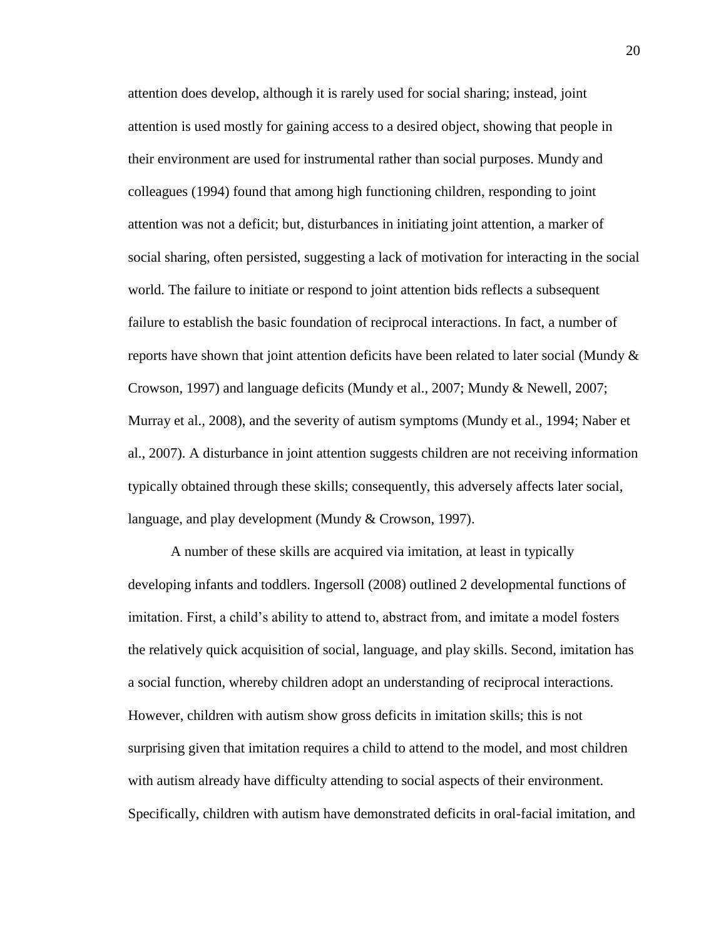attention does develop, although it is rarely used for social sharing; instead, joint attention is used mostly for gaining access to a desired object, showing that people in their environment are used for instrumental rather than social purposes. Mundy and colleagues (1994) found that among high functioning children, responding to joint attention was not a deficit; but, disturbances in initiating joint attention, a marker of social sharing, often persisted, suggesting a lack of motivation for interacting in the social world. The failure to initiate or respond to joint attention bids reflects a subsequent failure to establish the basic foundation of reciprocal interactions. In fact, a number of reports have shown that joint attention deficits have been related to later social (Mundy  $\&$ Crowson, 1997) and language deficits (Mundy et al., 2007; Mundy & Newell, 2007; Murray et al., 2008), and the severity of autism symptoms (Mundy et al., 1994; Naber et al., 2007). A disturbance in joint attention suggests children are not receiving information typically obtained through these skills; consequently, this adversely affects later social, language, and play development (Mundy & Crowson, 1997).

A number of these skills are acquired via imitation, at least in typically developing infants and toddlers. Ingersoll (2008) outlined 2 developmental functions of imitation. First, a child's ability to attend to, abstract from, and imitate a model fosters the relatively quick acquisition of social, language, and play skills. Second, imitation has a social function, whereby children adopt an understanding of reciprocal interactions. However, children with autism show gross deficits in imitation skills; this is not surprising given that imitation requires a child to attend to the model, and most children with autism already have difficulty attending to social aspects of their environment. Specifically, children with autism have demonstrated deficits in oral-facial imitation, and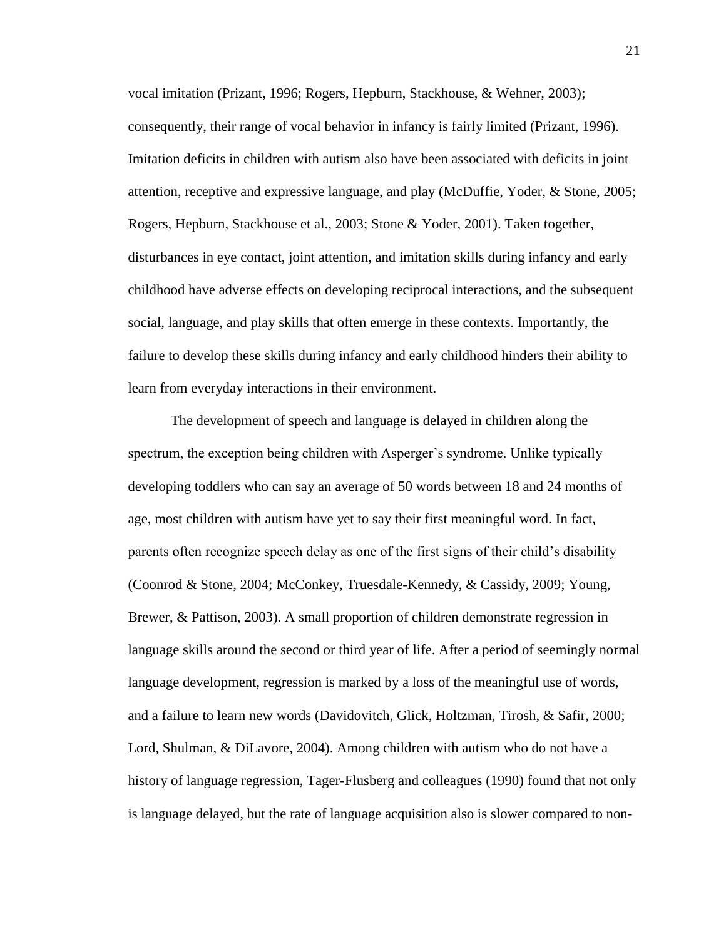vocal imitation (Prizant, 1996; Rogers, Hepburn, Stackhouse, & Wehner, 2003); consequently, their range of vocal behavior in infancy is fairly limited (Prizant, 1996). Imitation deficits in children with autism also have been associated with deficits in joint attention, receptive and expressive language, and play (McDuffie, Yoder, & Stone, 2005; Rogers, Hepburn, Stackhouse et al., 2003; Stone & Yoder, 2001). Taken together, disturbances in eye contact, joint attention, and imitation skills during infancy and early childhood have adverse effects on developing reciprocal interactions, and the subsequent social, language, and play skills that often emerge in these contexts. Importantly, the failure to develop these skills during infancy and early childhood hinders their ability to learn from everyday interactions in their environment.

The development of speech and language is delayed in children along the spectrum, the exception being children with Asperger's syndrome. Unlike typically developing toddlers who can say an average of 50 words between 18 and 24 months of age, most children with autism have yet to say their first meaningful word. In fact, parents often recognize speech delay as one of the first signs of their child's disability (Coonrod & Stone, 2004; McConkey, Truesdale-Kennedy, & Cassidy, 2009; Young, Brewer, & Pattison, 2003). A small proportion of children demonstrate regression in language skills around the second or third year of life. After a period of seemingly normal language development, regression is marked by a loss of the meaningful use of words, and a failure to learn new words (Davidovitch, Glick, Holtzman, Tirosh, & Safir, 2000; Lord, Shulman, & DiLavore, 2004). Among children with autism who do not have a history of language regression, Tager-Flusberg and colleagues (1990) found that not only is language delayed, but the rate of language acquisition also is slower compared to non-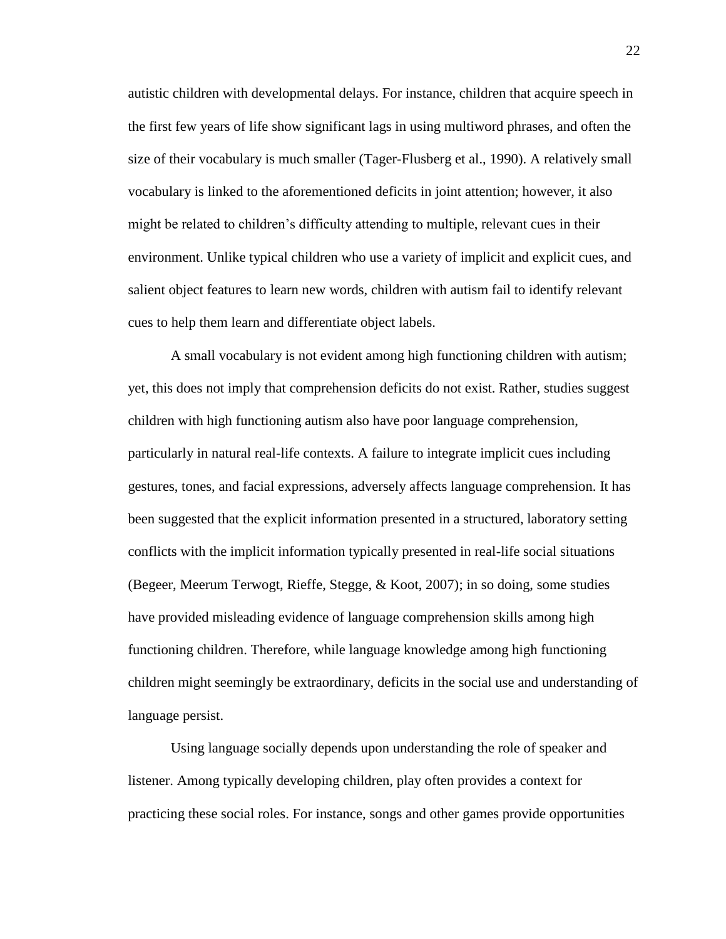autistic children with developmental delays. For instance, children that acquire speech in the first few years of life show significant lags in using multiword phrases, and often the size of their vocabulary is much smaller (Tager-Flusberg et al., 1990). A relatively small vocabulary is linked to the aforementioned deficits in joint attention; however, it also might be related to children's difficulty attending to multiple, relevant cues in their environment. Unlike typical children who use a variety of implicit and explicit cues, and salient object features to learn new words, children with autism fail to identify relevant cues to help them learn and differentiate object labels.

A small vocabulary is not evident among high functioning children with autism; yet, this does not imply that comprehension deficits do not exist. Rather, studies suggest children with high functioning autism also have poor language comprehension, particularly in natural real-life contexts. A failure to integrate implicit cues including gestures, tones, and facial expressions, adversely affects language comprehension. It has been suggested that the explicit information presented in a structured, laboratory setting conflicts with the implicit information typically presented in real-life social situations (Begeer, Meerum Terwogt, Rieffe, Stegge, & Koot, 2007); in so doing, some studies have provided misleading evidence of language comprehension skills among high functioning children. Therefore, while language knowledge among high functioning children might seemingly be extraordinary, deficits in the social use and understanding of language persist.

Using language socially depends upon understanding the role of speaker and listener. Among typically developing children, play often provides a context for practicing these social roles. For instance, songs and other games provide opportunities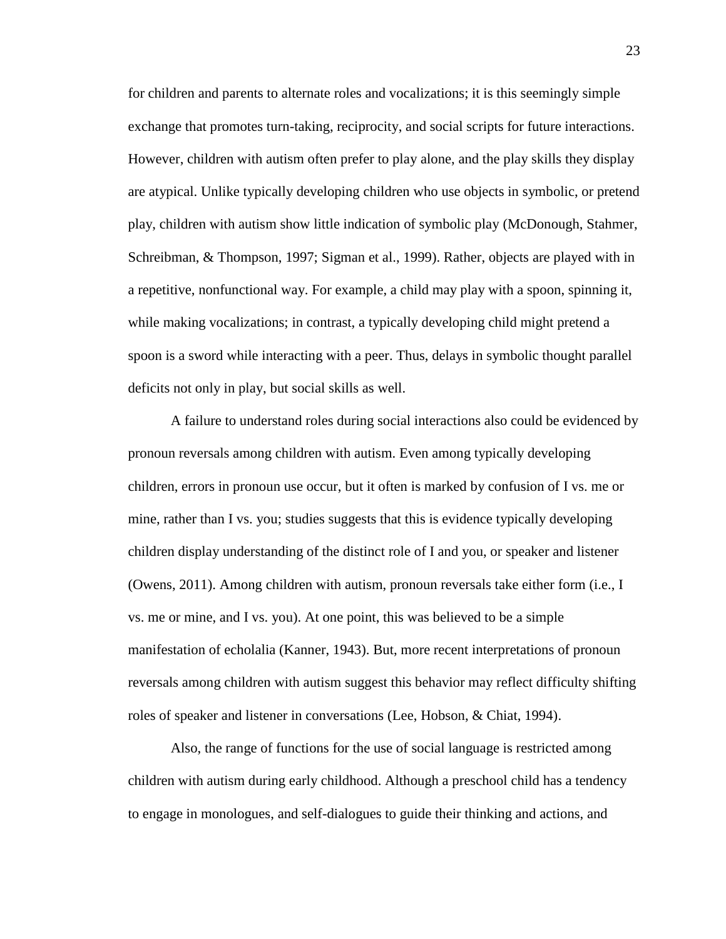for children and parents to alternate roles and vocalizations; it is this seemingly simple exchange that promotes turn-taking, reciprocity, and social scripts for future interactions. However, children with autism often prefer to play alone, and the play skills they display are atypical. Unlike typically developing children who use objects in symbolic, or pretend play, children with autism show little indication of symbolic play (McDonough, Stahmer, Schreibman, & Thompson, 1997; Sigman et al., 1999). Rather, objects are played with in a repetitive, nonfunctional way. For example, a child may play with a spoon, spinning it, while making vocalizations; in contrast, a typically developing child might pretend a spoon is a sword while interacting with a peer. Thus, delays in symbolic thought parallel deficits not only in play, but social skills as well.

A failure to understand roles during social interactions also could be evidenced by pronoun reversals among children with autism. Even among typically developing children, errors in pronoun use occur, but it often is marked by confusion of I vs. me or mine, rather than I vs. you; studies suggests that this is evidence typically developing children display understanding of the distinct role of I and you, or speaker and listener (Owens, 2011). Among children with autism, pronoun reversals take either form (i.e., I vs. me or mine, and I vs. you). At one point, this was believed to be a simple manifestation of echolalia (Kanner, 1943). But, more recent interpretations of pronoun reversals among children with autism suggest this behavior may reflect difficulty shifting roles of speaker and listener in conversations (Lee, Hobson, & Chiat, 1994).

Also, the range of functions for the use of social language is restricted among children with autism during early childhood. Although a preschool child has a tendency to engage in monologues, and self-dialogues to guide their thinking and actions, and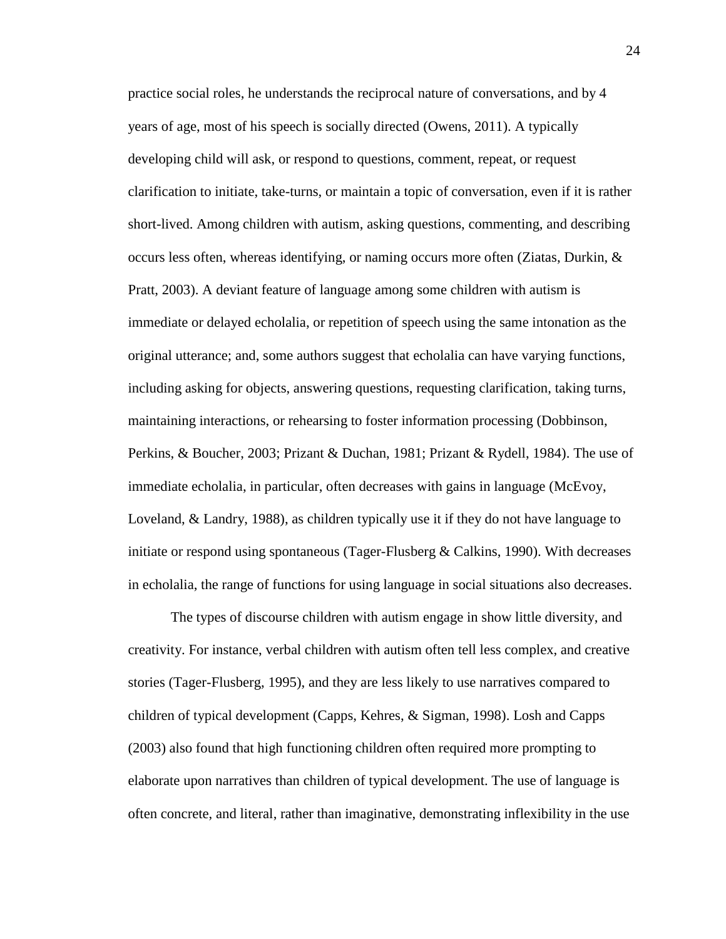practice social roles, he understands the reciprocal nature of conversations, and by 4 years of age, most of his speech is socially directed (Owens, 2011). A typically developing child will ask, or respond to questions, comment, repeat, or request clarification to initiate, take-turns, or maintain a topic of conversation, even if it is rather short-lived. Among children with autism, asking questions, commenting, and describing occurs less often, whereas identifying, or naming occurs more often (Ziatas, Durkin, & Pratt, 2003). A deviant feature of language among some children with autism is immediate or delayed echolalia, or repetition of speech using the same intonation as the original utterance; and, some authors suggest that echolalia can have varying functions, including asking for objects, answering questions, requesting clarification, taking turns, maintaining interactions, or rehearsing to foster information processing (Dobbinson, Perkins, & Boucher, 2003; Prizant & Duchan, 1981; Prizant & Rydell, 1984). The use of immediate echolalia, in particular, often decreases with gains in language (McEvoy, Loveland, & Landry, 1988), as children typically use it if they do not have language to initiate or respond using spontaneous (Tager-Flusberg  $\&$  Calkins, 1990). With decreases in echolalia, the range of functions for using language in social situations also decreases.

The types of discourse children with autism engage in show little diversity, and creativity. For instance, verbal children with autism often tell less complex, and creative stories (Tager-Flusberg, 1995), and they are less likely to use narratives compared to children of typical development (Capps, Kehres, & Sigman, 1998). Losh and Capps (2003) also found that high functioning children often required more prompting to elaborate upon narratives than children of typical development. The use of language is often concrete, and literal, rather than imaginative, demonstrating inflexibility in the use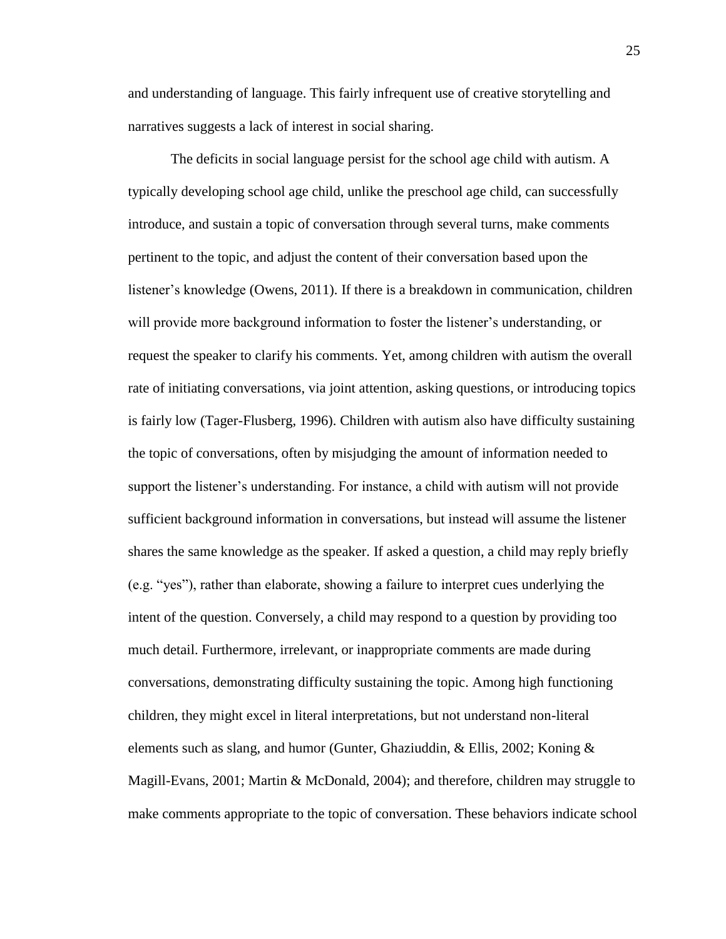and understanding of language. This fairly infrequent use of creative storytelling and narratives suggests a lack of interest in social sharing.

The deficits in social language persist for the school age child with autism. A typically developing school age child, unlike the preschool age child, can successfully introduce, and sustain a topic of conversation through several turns, make comments pertinent to the topic, and adjust the content of their conversation based upon the listener's knowledge (Owens, 2011). If there is a breakdown in communication, children will provide more background information to foster the listener's understanding, or request the speaker to clarify his comments. Yet, among children with autism the overall rate of initiating conversations, via joint attention, asking questions, or introducing topics is fairly low (Tager-Flusberg, 1996). Children with autism also have difficulty sustaining the topic of conversations, often by misjudging the amount of information needed to support the listener's understanding. For instance, a child with autism will not provide sufficient background information in conversations, but instead will assume the listener shares the same knowledge as the speaker. If asked a question, a child may reply briefly (e.g. "yes"), rather than elaborate, showing a failure to interpret cues underlying the intent of the question. Conversely, a child may respond to a question by providing too much detail. Furthermore, irrelevant, or inappropriate comments are made during conversations, demonstrating difficulty sustaining the topic. Among high functioning children, they might excel in literal interpretations, but not understand non-literal elements such as slang, and humor (Gunter, Ghaziuddin, & Ellis, 2002; Koning  $\&$ Magill-Evans, 2001; Martin & McDonald, 2004); and therefore, children may struggle to make comments appropriate to the topic of conversation. These behaviors indicate school

25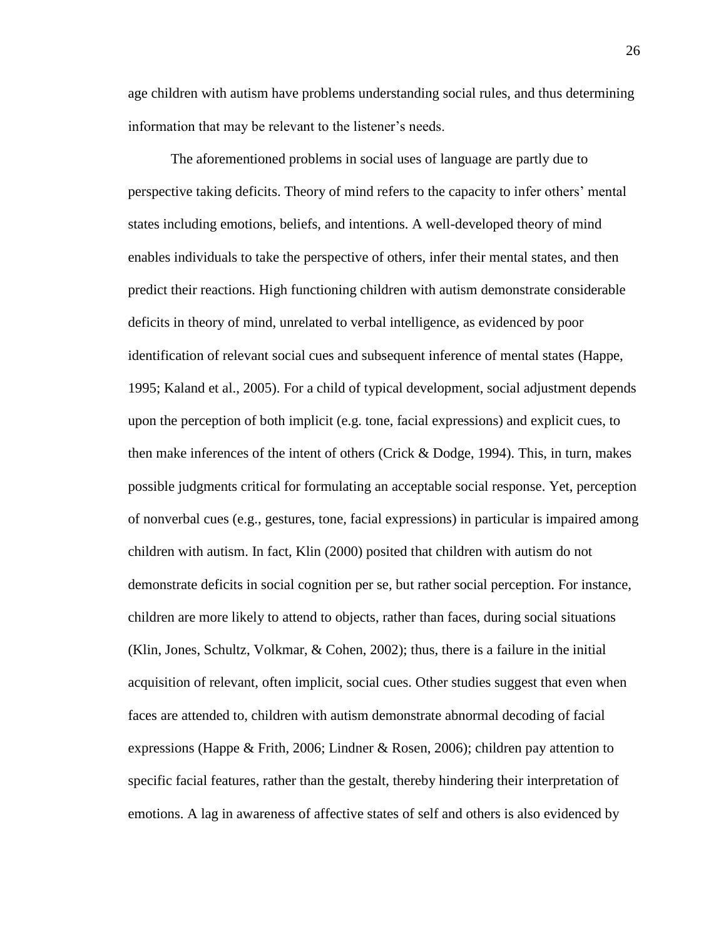age children with autism have problems understanding social rules, and thus determining information that may be relevant to the listener's needs.

The aforementioned problems in social uses of language are partly due to perspective taking deficits. Theory of mind refers to the capacity to infer others' mental states including emotions, beliefs, and intentions. A well-developed theory of mind enables individuals to take the perspective of others, infer their mental states, and then predict their reactions. High functioning children with autism demonstrate considerable deficits in theory of mind, unrelated to verbal intelligence, as evidenced by poor identification of relevant social cues and subsequent inference of mental states (Happe, 1995; Kaland et al., 2005). For a child of typical development, social adjustment depends upon the perception of both implicit (e.g. tone, facial expressions) and explicit cues, to then make inferences of the intent of others (Crick  $&$  Dodge, 1994). This, in turn, makes possible judgments critical for formulating an acceptable social response. Yet, perception of nonverbal cues (e.g., gestures, tone, facial expressions) in particular is impaired among children with autism. In fact, Klin (2000) posited that children with autism do not demonstrate deficits in social cognition per se, but rather social perception. For instance, children are more likely to attend to objects, rather than faces, during social situations (Klin, Jones, Schultz, Volkmar, & Cohen, 2002); thus, there is a failure in the initial acquisition of relevant, often implicit, social cues. Other studies suggest that even when faces are attended to, children with autism demonstrate abnormal decoding of facial expressions (Happe & Frith, 2006; Lindner & Rosen, 2006); children pay attention to specific facial features, rather than the gestalt, thereby hindering their interpretation of emotions. A lag in awareness of affective states of self and others is also evidenced by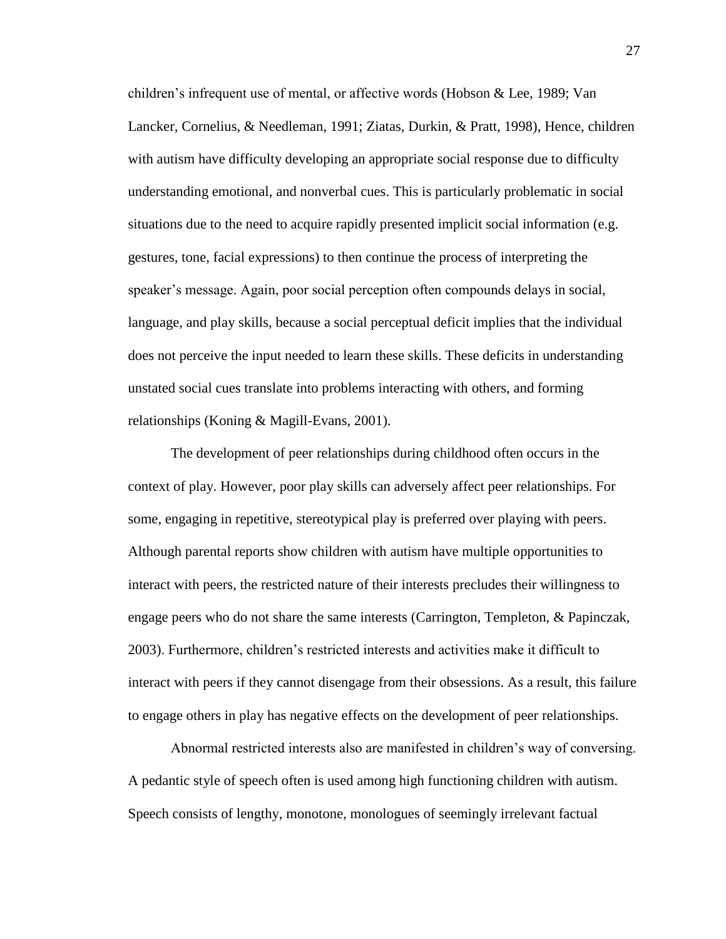children's infrequent use of mental, or affective words (Hobson & Lee, 1989; Van Lancker, Cornelius, & Needleman, 1991; Ziatas, Durkin, & Pratt, 1998), Hence, children with autism have difficulty developing an appropriate social response due to difficulty understanding emotional, and nonverbal cues. This is particularly problematic in social situations due to the need to acquire rapidly presented implicit social information (e.g. gestures, tone, facial expressions) to then continue the process of interpreting the speaker's message. Again, poor social perception often compounds delays in social, language, and play skills, because a social perceptual deficit implies that the individual does not perceive the input needed to learn these skills. These deficits in understanding unstated social cues translate into problems interacting with others, and forming relationships (Koning & Magill-Evans, 2001).

The development of peer relationships during childhood often occurs in the context of play. However, poor play skills can adversely affect peer relationships. For some, engaging in repetitive, stereotypical play is preferred over playing with peers. Although parental reports show children with autism have multiple opportunities to interact with peers, the restricted nature of their interests precludes their willingness to engage peers who do not share the same interests (Carrington, Templeton, & Papinczak, 2003). Furthermore, children's restricted interests and activities make it difficult to interact with peers if they cannot disengage from their obsessions. As a result, this failure to engage others in play has negative effects on the development of peer relationships.

Abnormal restricted interests also are manifested in children's way of conversing. A pedantic style of speech often is used among high functioning children with autism. Speech consists of lengthy, monotone, monologues of seemingly irrelevant factual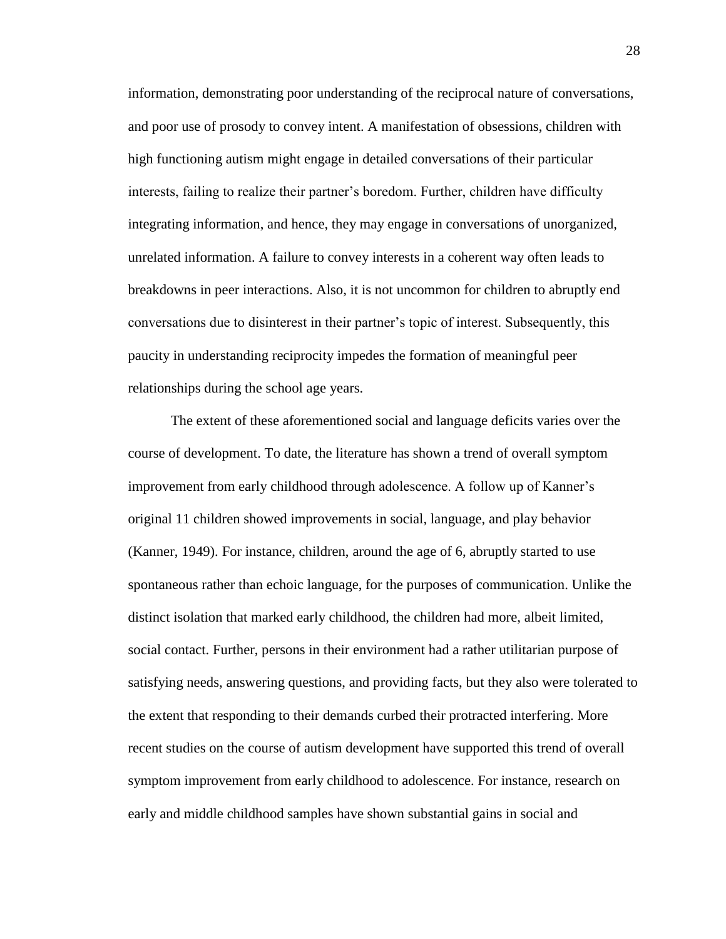information, demonstrating poor understanding of the reciprocal nature of conversations, and poor use of prosody to convey intent. A manifestation of obsessions, children with high functioning autism might engage in detailed conversations of their particular interests, failing to realize their partner's boredom. Further, children have difficulty integrating information, and hence, they may engage in conversations of unorganized, unrelated information. A failure to convey interests in a coherent way often leads to breakdowns in peer interactions. Also, it is not uncommon for children to abruptly end conversations due to disinterest in their partner's topic of interest. Subsequently, this paucity in understanding reciprocity impedes the formation of meaningful peer relationships during the school age years.

The extent of these aforementioned social and language deficits varies over the course of development. To date, the literature has shown a trend of overall symptom improvement from early childhood through adolescence. A follow up of Kanner's original 11 children showed improvements in social, language, and play behavior (Kanner, 1949). For instance, children, around the age of 6, abruptly started to use spontaneous rather than echoic language, for the purposes of communication. Unlike the distinct isolation that marked early childhood, the children had more, albeit limited, social contact. Further, persons in their environment had a rather utilitarian purpose of satisfying needs, answering questions, and providing facts, but they also were tolerated to the extent that responding to their demands curbed their protracted interfering. More recent studies on the course of autism development have supported this trend of overall symptom improvement from early childhood to adolescence. For instance, research on early and middle childhood samples have shown substantial gains in social and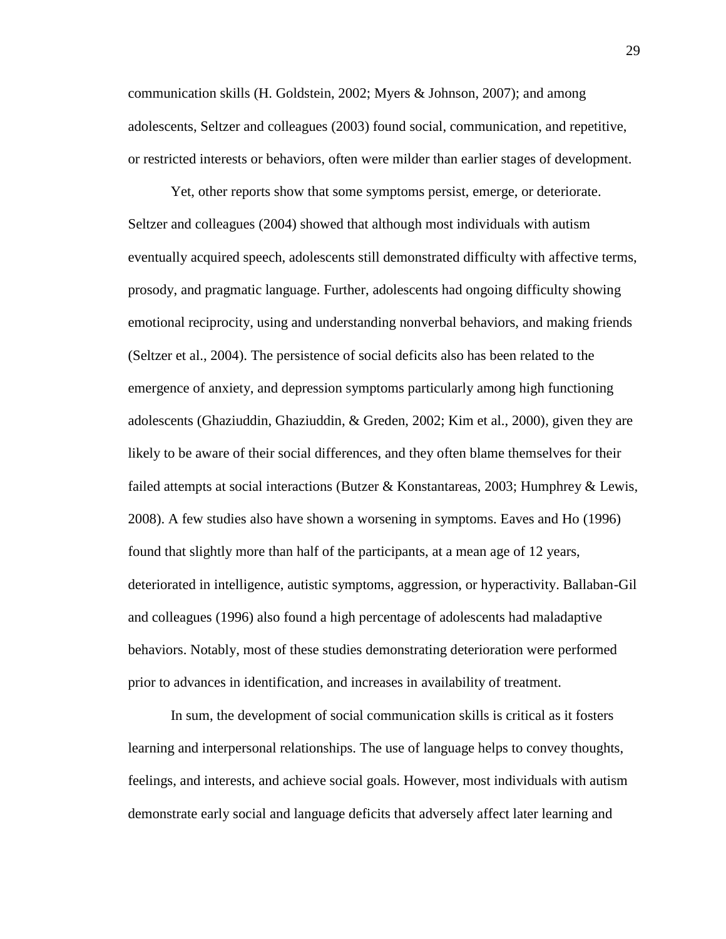communication skills (H. Goldstein, 2002; Myers & Johnson, 2007); and among adolescents, Seltzer and colleagues (2003) found social, communication, and repetitive, or restricted interests or behaviors, often were milder than earlier stages of development.

Yet, other reports show that some symptoms persist, emerge, or deteriorate. Seltzer and colleagues (2004) showed that although most individuals with autism eventually acquired speech, adolescents still demonstrated difficulty with affective terms, prosody, and pragmatic language. Further, adolescents had ongoing difficulty showing emotional reciprocity, using and understanding nonverbal behaviors, and making friends (Seltzer et al., 2004). The persistence of social deficits also has been related to the emergence of anxiety, and depression symptoms particularly among high functioning adolescents (Ghaziuddin, Ghaziuddin, & Greden, 2002; Kim et al., 2000), given they are likely to be aware of their social differences, and they often blame themselves for their failed attempts at social interactions (Butzer & Konstantareas, 2003; Humphrey & Lewis, 2008). A few studies also have shown a worsening in symptoms. Eaves and Ho (1996) found that slightly more than half of the participants, at a mean age of 12 years, deteriorated in intelligence, autistic symptoms, aggression, or hyperactivity. Ballaban-Gil and colleagues (1996) also found a high percentage of adolescents had maladaptive behaviors. Notably, most of these studies demonstrating deterioration were performed prior to advances in identification, and increases in availability of treatment.

In sum, the development of social communication skills is critical as it fosters learning and interpersonal relationships. The use of language helps to convey thoughts, feelings, and interests, and achieve social goals. However, most individuals with autism demonstrate early social and language deficits that adversely affect later learning and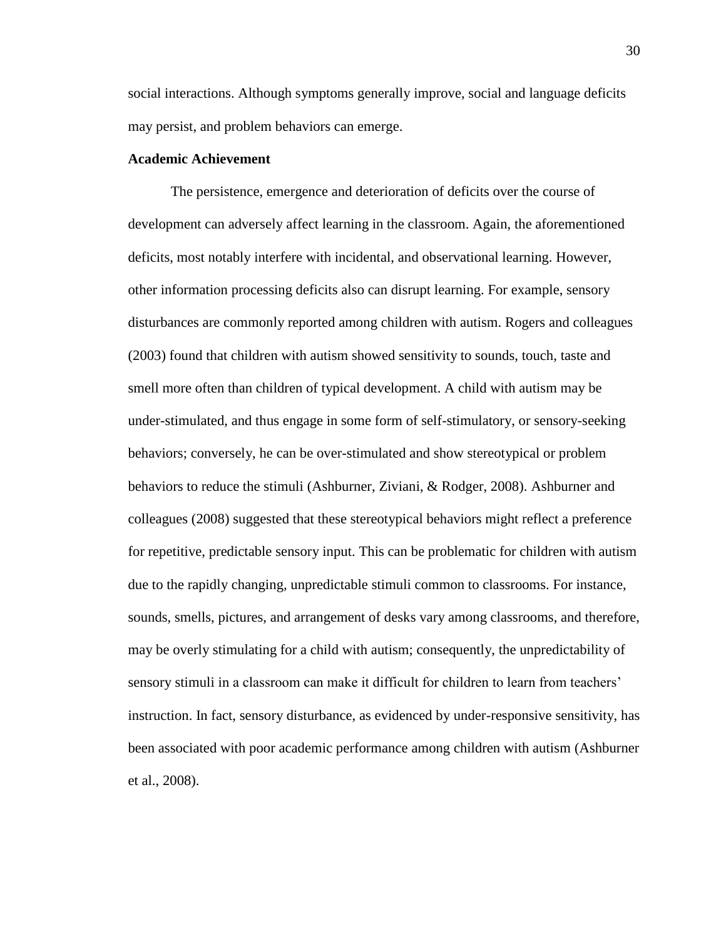social interactions. Although symptoms generally improve, social and language deficits may persist, and problem behaviors can emerge.

### **Academic Achievement**

The persistence, emergence and deterioration of deficits over the course of development can adversely affect learning in the classroom. Again, the aforementioned deficits, most notably interfere with incidental, and observational learning. However, other information processing deficits also can disrupt learning. For example, sensory disturbances are commonly reported among children with autism. Rogers and colleagues (2003) found that children with autism showed sensitivity to sounds, touch, taste and smell more often than children of typical development. A child with autism may be under-stimulated, and thus engage in some form of self-stimulatory, or sensory-seeking behaviors; conversely, he can be over-stimulated and show stereotypical or problem behaviors to reduce the stimuli (Ashburner, Ziviani, & Rodger, 2008). Ashburner and colleagues (2008) suggested that these stereotypical behaviors might reflect a preference for repetitive, predictable sensory input. This can be problematic for children with autism due to the rapidly changing, unpredictable stimuli common to classrooms. For instance, sounds, smells, pictures, and arrangement of desks vary among classrooms, and therefore, may be overly stimulating for a child with autism; consequently, the unpredictability of sensory stimuli in a classroom can make it difficult for children to learn from teachers' instruction. In fact, sensory disturbance, as evidenced by under-responsive sensitivity, has been associated with poor academic performance among children with autism (Ashburner et al., 2008).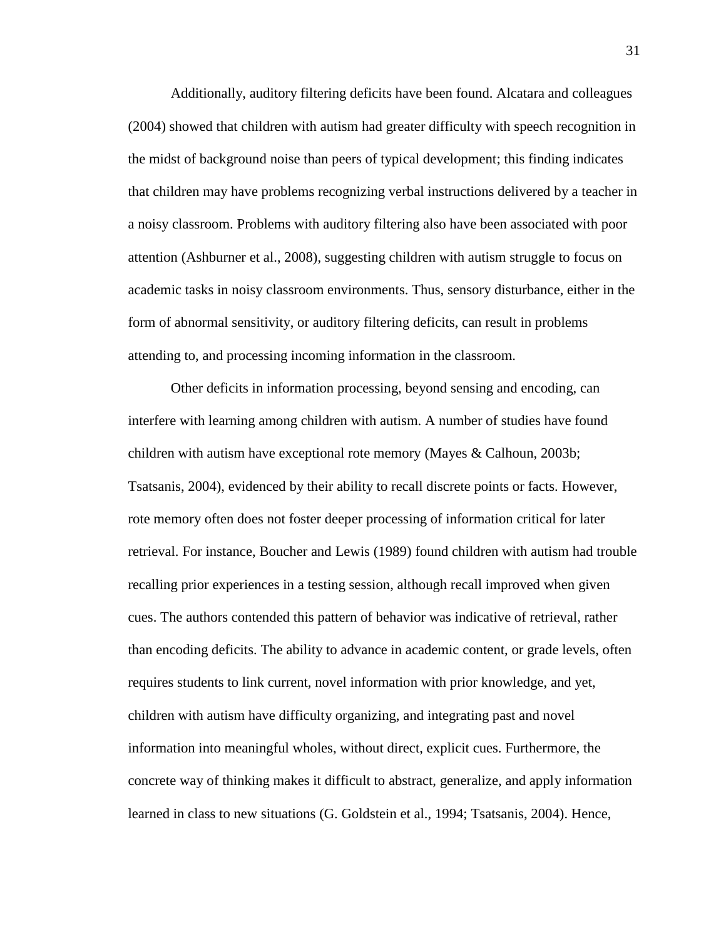Additionally, auditory filtering deficits have been found. Alcatara and colleagues (2004) showed that children with autism had greater difficulty with speech recognition in the midst of background noise than peers of typical development; this finding indicates that children may have problems recognizing verbal instructions delivered by a teacher in a noisy classroom. Problems with auditory filtering also have been associated with poor attention (Ashburner et al., 2008), suggesting children with autism struggle to focus on academic tasks in noisy classroom environments. Thus, sensory disturbance, either in the form of abnormal sensitivity, or auditory filtering deficits, can result in problems attending to, and processing incoming information in the classroom.

Other deficits in information processing, beyond sensing and encoding, can interfere with learning among children with autism. A number of studies have found children with autism have exceptional rote memory (Mayes & Calhoun, 2003b; Tsatsanis, 2004), evidenced by their ability to recall discrete points or facts. However, rote memory often does not foster deeper processing of information critical for later retrieval. For instance, Boucher and Lewis (1989) found children with autism had trouble recalling prior experiences in a testing session, although recall improved when given cues. The authors contended this pattern of behavior was indicative of retrieval, rather than encoding deficits. The ability to advance in academic content, or grade levels, often requires students to link current, novel information with prior knowledge, and yet, children with autism have difficulty organizing, and integrating past and novel information into meaningful wholes, without direct, explicit cues. Furthermore, the concrete way of thinking makes it difficult to abstract, generalize, and apply information learned in class to new situations (G. Goldstein et al., 1994; Tsatsanis, 2004). Hence,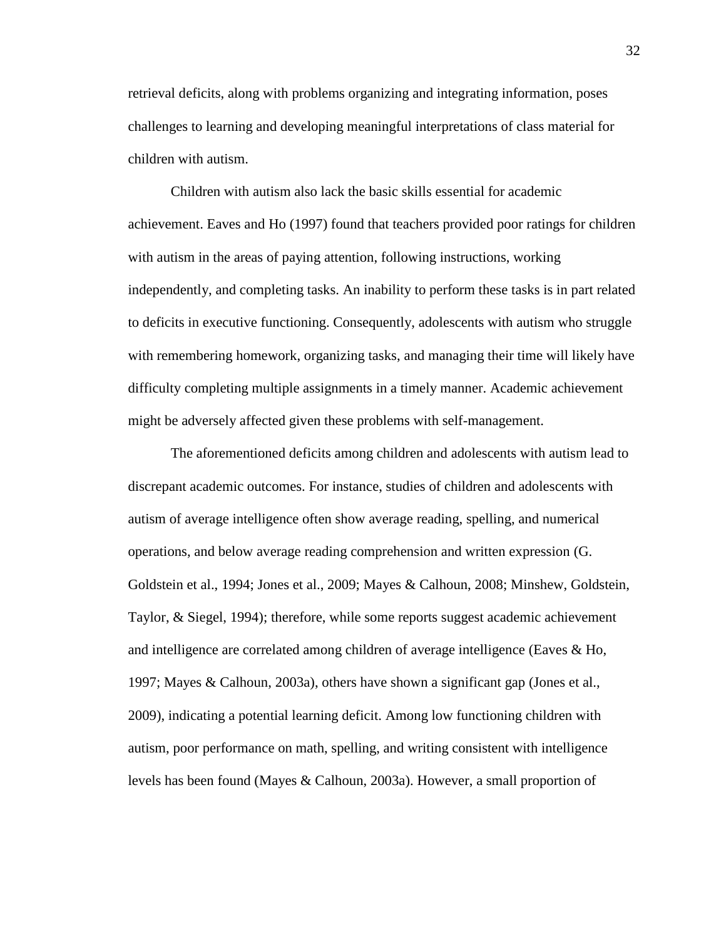retrieval deficits, along with problems organizing and integrating information, poses challenges to learning and developing meaningful interpretations of class material for children with autism.

Children with autism also lack the basic skills essential for academic achievement. Eaves and Ho (1997) found that teachers provided poor ratings for children with autism in the areas of paying attention, following instructions, working independently, and completing tasks. An inability to perform these tasks is in part related to deficits in executive functioning. Consequently, adolescents with autism who struggle with remembering homework, organizing tasks, and managing their time will likely have difficulty completing multiple assignments in a timely manner. Academic achievement might be adversely affected given these problems with self-management.

The aforementioned deficits among children and adolescents with autism lead to discrepant academic outcomes. For instance, studies of children and adolescents with autism of average intelligence often show average reading, spelling, and numerical operations, and below average reading comprehension and written expression (G. Goldstein et al., 1994; Jones et al., 2009; Mayes & Calhoun, 2008; Minshew, Goldstein, Taylor, & Siegel, 1994); therefore, while some reports suggest academic achievement and intelligence are correlated among children of average intelligence (Eaves & Ho, 1997; Mayes & Calhoun, 2003a), others have shown a significant gap (Jones et al., 2009), indicating a potential learning deficit. Among low functioning children with autism, poor performance on math, spelling, and writing consistent with intelligence levels has been found (Mayes & Calhoun, 2003a). However, a small proportion of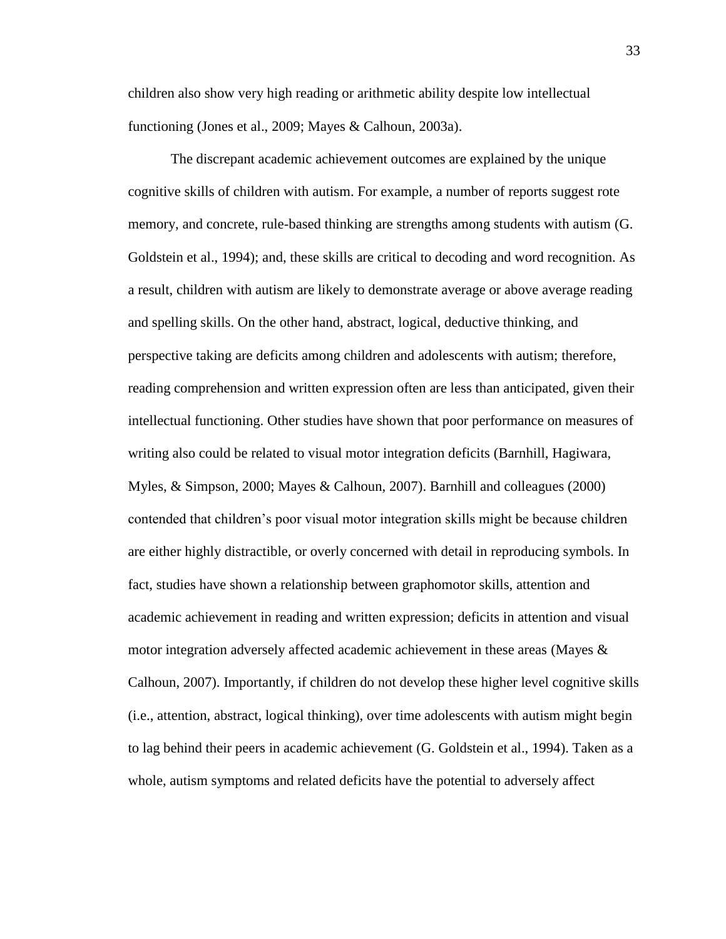children also show very high reading or arithmetic ability despite low intellectual functioning (Jones et al., 2009; Mayes & Calhoun, 2003a).

The discrepant academic achievement outcomes are explained by the unique cognitive skills of children with autism. For example, a number of reports suggest rote memory, and concrete, rule-based thinking are strengths among students with autism (G. Goldstein et al., 1994); and, these skills are critical to decoding and word recognition. As a result, children with autism are likely to demonstrate average or above average reading and spelling skills. On the other hand, abstract, logical, deductive thinking, and perspective taking are deficits among children and adolescents with autism; therefore, reading comprehension and written expression often are less than anticipated, given their intellectual functioning. Other studies have shown that poor performance on measures of writing also could be related to visual motor integration deficits (Barnhill, Hagiwara, Myles, & Simpson, 2000; Mayes & Calhoun, 2007). Barnhill and colleagues (2000) contended that children's poor visual motor integration skills might be because children are either highly distractible, or overly concerned with detail in reproducing symbols. In fact, studies have shown a relationship between graphomotor skills, attention and academic achievement in reading and written expression; deficits in attention and visual motor integration adversely affected academic achievement in these areas (Mayes & Calhoun, 2007). Importantly, if children do not develop these higher level cognitive skills (i.e., attention, abstract, logical thinking), over time adolescents with autism might begin to lag behind their peers in academic achievement (G. Goldstein et al., 1994). Taken as a whole, autism symptoms and related deficits have the potential to adversely affect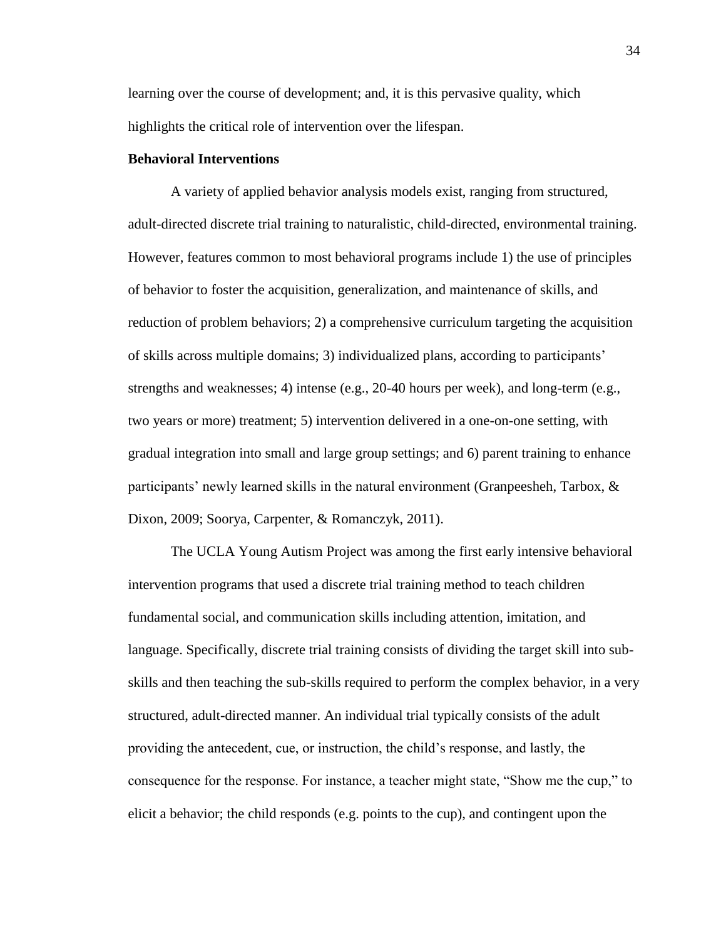learning over the course of development; and, it is this pervasive quality, which highlights the critical role of intervention over the lifespan.

### **Behavioral Interventions**

A variety of applied behavior analysis models exist, ranging from structured, adult-directed discrete trial training to naturalistic, child-directed, environmental training. However, features common to most behavioral programs include 1) the use of principles of behavior to foster the acquisition, generalization, and maintenance of skills, and reduction of problem behaviors; 2) a comprehensive curriculum targeting the acquisition of skills across multiple domains; 3) individualized plans, according to participants' strengths and weaknesses; 4) intense (e.g., 20-40 hours per week), and long-term (e.g., two years or more) treatment; 5) intervention delivered in a one-on-one setting, with gradual integration into small and large group settings; and 6) parent training to enhance participants' newly learned skills in the natural environment (Granpeesheh, Tarbox, & Dixon, 2009; Soorya, Carpenter, & Romanczyk, 2011).

The UCLA Young Autism Project was among the first early intensive behavioral intervention programs that used a discrete trial training method to teach children fundamental social, and communication skills including attention, imitation, and language. Specifically, discrete trial training consists of dividing the target skill into subskills and then teaching the sub-skills required to perform the complex behavior, in a very structured, adult-directed manner. An individual trial typically consists of the adult providing the antecedent, cue, or instruction, the child's response, and lastly, the consequence for the response. For instance, a teacher might state, "Show me the cup," to elicit a behavior; the child responds (e.g. points to the cup), and contingent upon the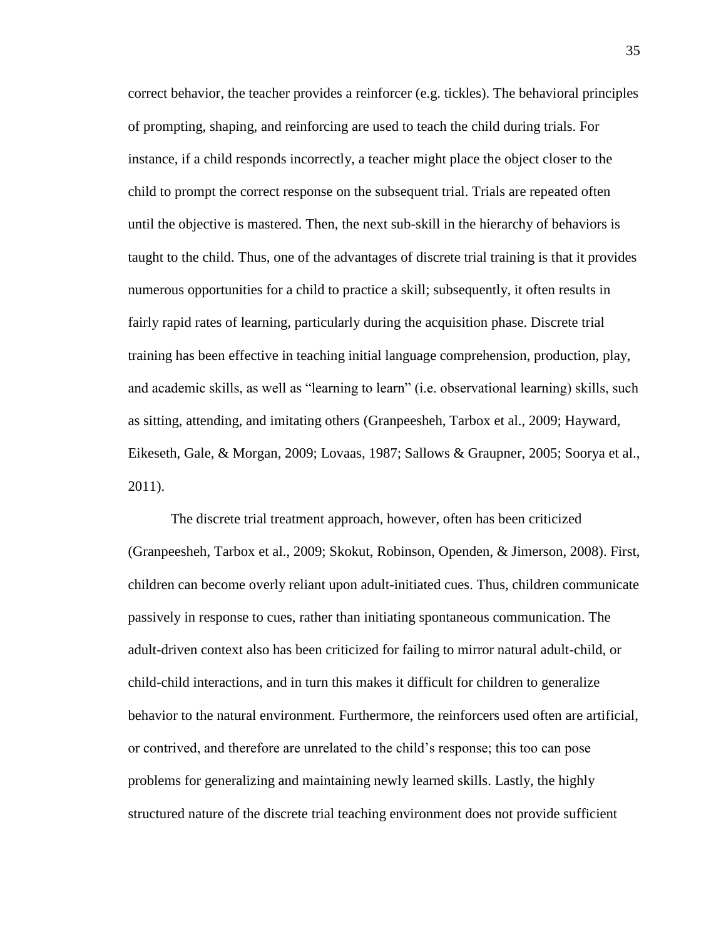correct behavior, the teacher provides a reinforcer (e.g. tickles). The behavioral principles of prompting, shaping, and reinforcing are used to teach the child during trials. For instance, if a child responds incorrectly, a teacher might place the object closer to the child to prompt the correct response on the subsequent trial. Trials are repeated often until the objective is mastered. Then, the next sub-skill in the hierarchy of behaviors is taught to the child. Thus, one of the advantages of discrete trial training is that it provides numerous opportunities for a child to practice a skill; subsequently, it often results in fairly rapid rates of learning, particularly during the acquisition phase. Discrete trial training has been effective in teaching initial language comprehension, production, play, and academic skills, as well as "learning to learn" (i.e. observational learning) skills, such as sitting, attending, and imitating others (Granpeesheh, Tarbox et al., 2009; Hayward, Eikeseth, Gale, & Morgan, 2009; Lovaas, 1987; Sallows & Graupner, 2005; Soorya et al., 2011).

The discrete trial treatment approach, however, often has been criticized (Granpeesheh, Tarbox et al., 2009; Skokut, Robinson, Openden, & Jimerson, 2008). First, children can become overly reliant upon adult-initiated cues. Thus, children communicate passively in response to cues, rather than initiating spontaneous communication. The adult-driven context also has been criticized for failing to mirror natural adult-child, or child-child interactions, and in turn this makes it difficult for children to generalize behavior to the natural environment. Furthermore, the reinforcers used often are artificial, or contrived, and therefore are unrelated to the child's response; this too can pose problems for generalizing and maintaining newly learned skills. Lastly, the highly structured nature of the discrete trial teaching environment does not provide sufficient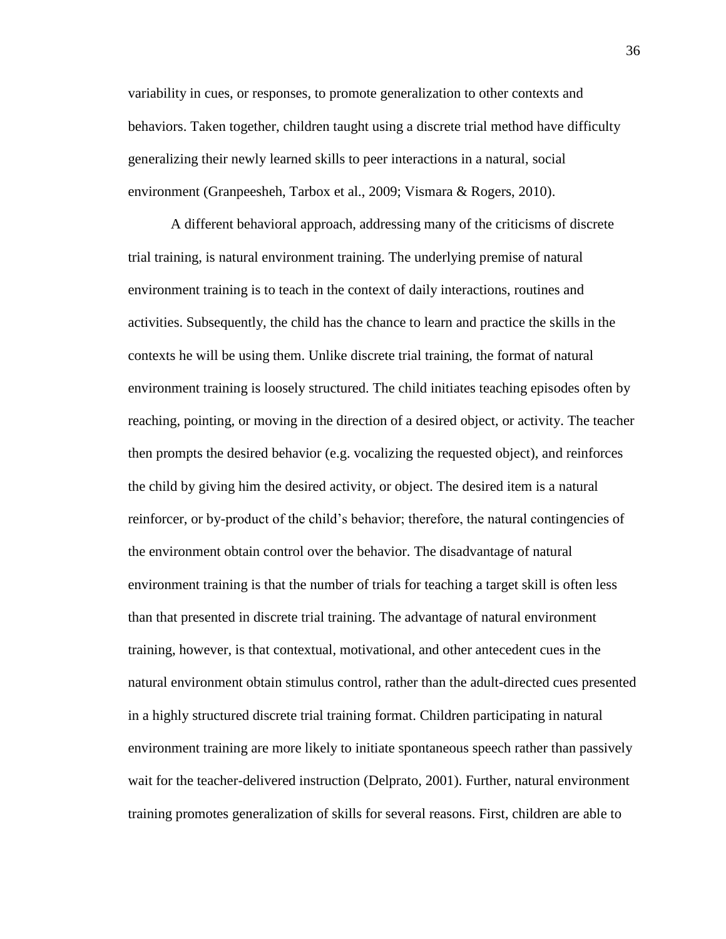variability in cues, or responses, to promote generalization to other contexts and behaviors. Taken together, children taught using a discrete trial method have difficulty generalizing their newly learned skills to peer interactions in a natural, social environment (Granpeesheh, Tarbox et al., 2009; Vismara & Rogers, 2010).

A different behavioral approach, addressing many of the criticisms of discrete trial training, is natural environment training. The underlying premise of natural environment training is to teach in the context of daily interactions, routines and activities. Subsequently, the child has the chance to learn and practice the skills in the contexts he will be using them. Unlike discrete trial training, the format of natural environment training is loosely structured. The child initiates teaching episodes often by reaching, pointing, or moving in the direction of a desired object, or activity. The teacher then prompts the desired behavior (e.g. vocalizing the requested object), and reinforces the child by giving him the desired activity, or object. The desired item is a natural reinforcer, or by-product of the child's behavior; therefore, the natural contingencies of the environment obtain control over the behavior. The disadvantage of natural environment training is that the number of trials for teaching a target skill is often less than that presented in discrete trial training. The advantage of natural environment training, however, is that contextual, motivational, and other antecedent cues in the natural environment obtain stimulus control, rather than the adult-directed cues presented in a highly structured discrete trial training format. Children participating in natural environment training are more likely to initiate spontaneous speech rather than passively wait for the teacher-delivered instruction (Delprato, 2001). Further, natural environment training promotes generalization of skills for several reasons. First, children are able to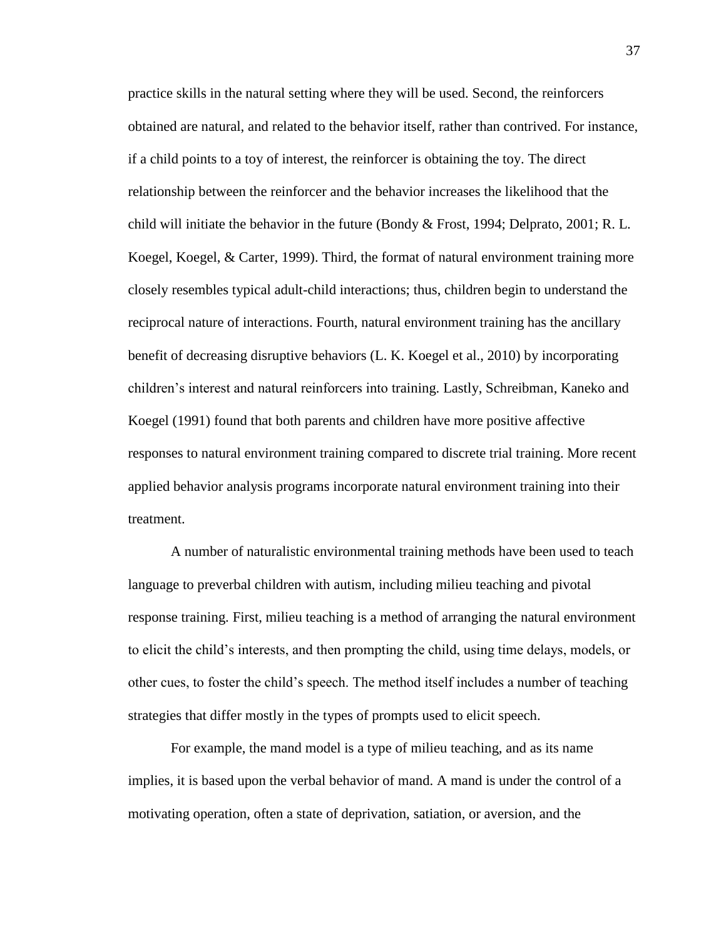practice skills in the natural setting where they will be used. Second, the reinforcers obtained are natural, and related to the behavior itself, rather than contrived. For instance, if a child points to a toy of interest, the reinforcer is obtaining the toy. The direct relationship between the reinforcer and the behavior increases the likelihood that the child will initiate the behavior in the future (Bondy & Frost, 1994; Delprato, 2001; R. L. Koegel, Koegel, & Carter, 1999). Third, the format of natural environment training more closely resembles typical adult-child interactions; thus, children begin to understand the reciprocal nature of interactions. Fourth, natural environment training has the ancillary benefit of decreasing disruptive behaviors (L. K. Koegel et al., 2010) by incorporating children's interest and natural reinforcers into training. Lastly, Schreibman, Kaneko and Koegel (1991) found that both parents and children have more positive affective responses to natural environment training compared to discrete trial training. More recent applied behavior analysis programs incorporate natural environment training into their treatment.

A number of naturalistic environmental training methods have been used to teach language to preverbal children with autism, including milieu teaching and pivotal response training. First, milieu teaching is a method of arranging the natural environment to elicit the child's interests, and then prompting the child, using time delays, models, or other cues, to foster the child's speech. The method itself includes a number of teaching strategies that differ mostly in the types of prompts used to elicit speech.

For example, the mand model is a type of milieu teaching, and as its name implies, it is based upon the verbal behavior of mand. A mand is under the control of a motivating operation, often a state of deprivation, satiation, or aversion, and the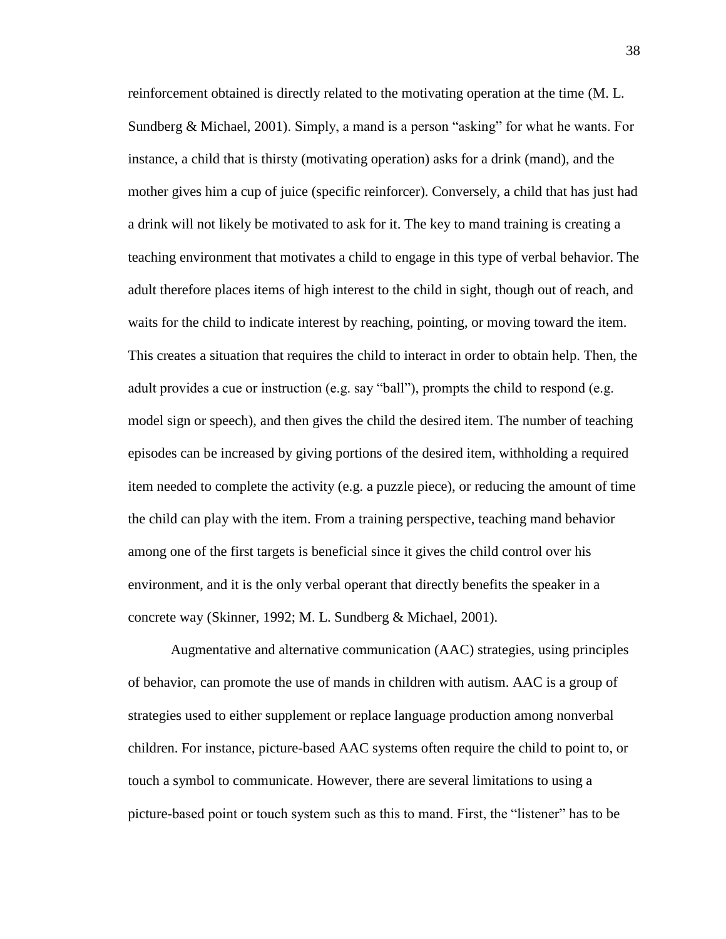reinforcement obtained is directly related to the motivating operation at the time (M. L. Sundberg & Michael, 2001). Simply, a mand is a person "asking" for what he wants. For instance, a child that is thirsty (motivating operation) asks for a drink (mand), and the mother gives him a cup of juice (specific reinforcer). Conversely, a child that has just had a drink will not likely be motivated to ask for it. The key to mand training is creating a teaching environment that motivates a child to engage in this type of verbal behavior. The adult therefore places items of high interest to the child in sight, though out of reach, and waits for the child to indicate interest by reaching, pointing, or moving toward the item. This creates a situation that requires the child to interact in order to obtain help. Then, the adult provides a cue or instruction (e.g. say "ball"), prompts the child to respond (e.g. model sign or speech), and then gives the child the desired item. The number of teaching episodes can be increased by giving portions of the desired item, withholding a required item needed to complete the activity (e.g. a puzzle piece), or reducing the amount of time the child can play with the item. From a training perspective, teaching mand behavior among one of the first targets is beneficial since it gives the child control over his environment, and it is the only verbal operant that directly benefits the speaker in a concrete way (Skinner, 1992; M. L. Sundberg & Michael, 2001).

Augmentative and alternative communication (AAC) strategies, using principles of behavior, can promote the use of mands in children with autism. AAC is a group of strategies used to either supplement or replace language production among nonverbal children. For instance, picture-based AAC systems often require the child to point to, or touch a symbol to communicate. However, there are several limitations to using a picture-based point or touch system such as this to mand. First, the "listener" has to be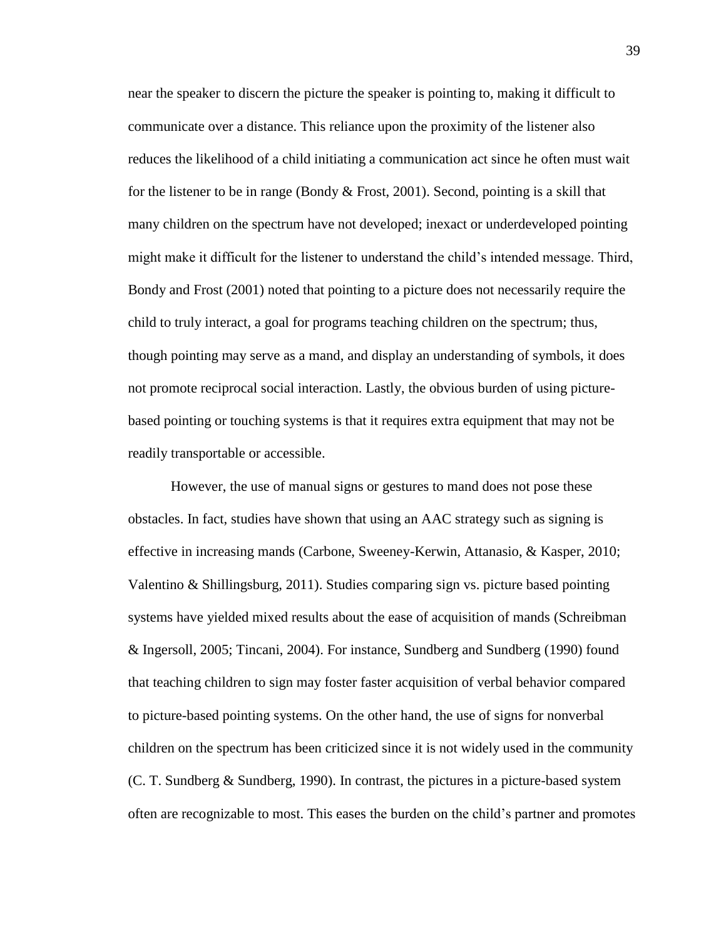near the speaker to discern the picture the speaker is pointing to, making it difficult to communicate over a distance. This reliance upon the proximity of the listener also reduces the likelihood of a child initiating a communication act since he often must wait for the listener to be in range (Bondy  $&$  Frost, 2001). Second, pointing is a skill that many children on the spectrum have not developed; inexact or underdeveloped pointing might make it difficult for the listener to understand the child's intended message. Third, Bondy and Frost (2001) noted that pointing to a picture does not necessarily require the child to truly interact, a goal for programs teaching children on the spectrum; thus, though pointing may serve as a mand, and display an understanding of symbols, it does not promote reciprocal social interaction. Lastly, the obvious burden of using picturebased pointing or touching systems is that it requires extra equipment that may not be readily transportable or accessible.

However, the use of manual signs or gestures to mand does not pose these obstacles. In fact, studies have shown that using an AAC strategy such as signing is effective in increasing mands (Carbone, Sweeney-Kerwin, Attanasio, & Kasper, 2010; Valentino & Shillingsburg, 2011). Studies comparing sign vs. picture based pointing systems have yielded mixed results about the ease of acquisition of mands (Schreibman & Ingersoll, 2005; Tincani, 2004). For instance, Sundberg and Sundberg (1990) found that teaching children to sign may foster faster acquisition of verbal behavior compared to picture-based pointing systems. On the other hand, the use of signs for nonverbal children on the spectrum has been criticized since it is not widely used in the community (C. T. Sundberg & Sundberg, 1990). In contrast, the pictures in a picture-based system often are recognizable to most. This eases the burden on the child's partner and promotes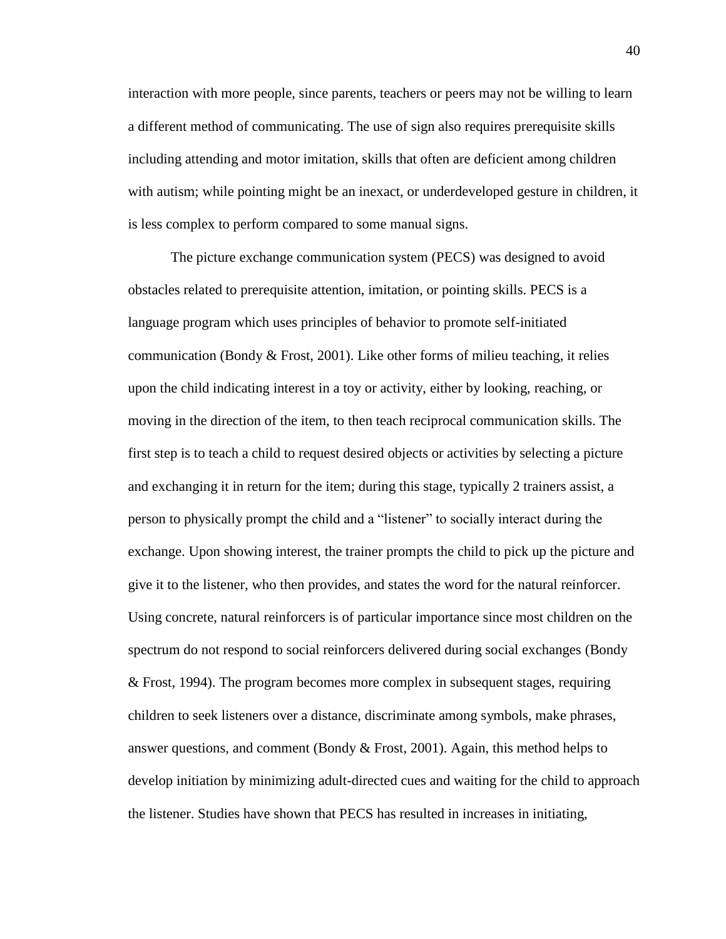interaction with more people, since parents, teachers or peers may not be willing to learn a different method of communicating. The use of sign also requires prerequisite skills including attending and motor imitation, skills that often are deficient among children with autism; while pointing might be an inexact, or underdeveloped gesture in children, it is less complex to perform compared to some manual signs.

The picture exchange communication system (PECS) was designed to avoid obstacles related to prerequisite attention, imitation, or pointing skills. PECS is a language program which uses principles of behavior to promote self-initiated communication (Bondy  $&$  Frost, 2001). Like other forms of milieu teaching, it relies upon the child indicating interest in a toy or activity, either by looking, reaching, or moving in the direction of the item, to then teach reciprocal communication skills. The first step is to teach a child to request desired objects or activities by selecting a picture and exchanging it in return for the item; during this stage, typically 2 trainers assist, a person to physically prompt the child and a "listener" to socially interact during the exchange. Upon showing interest, the trainer prompts the child to pick up the picture and give it to the listener, who then provides, and states the word for the natural reinforcer. Using concrete, natural reinforcers is of particular importance since most children on the spectrum do not respond to social reinforcers delivered during social exchanges (Bondy & Frost, 1994). The program becomes more complex in subsequent stages, requiring children to seek listeners over a distance, discriminate among symbols, make phrases, answer questions, and comment (Bondy  $\&$  Frost, 2001). Again, this method helps to develop initiation by minimizing adult-directed cues and waiting for the child to approach the listener. Studies have shown that PECS has resulted in increases in initiating,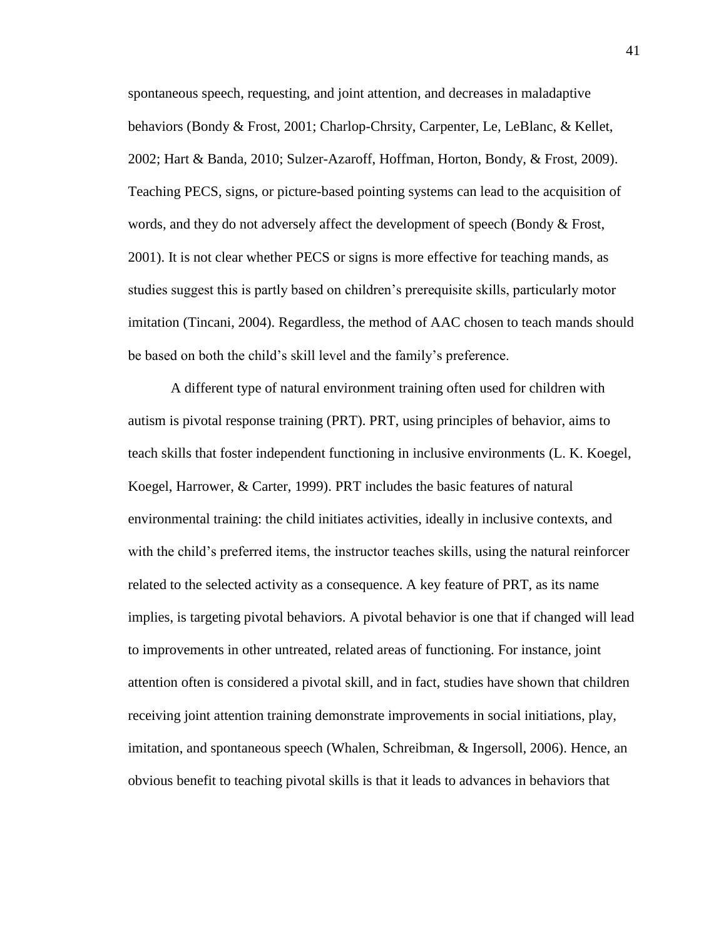spontaneous speech, requesting, and joint attention, and decreases in maladaptive behaviors (Bondy & Frost, 2001; Charlop-Chrsity, Carpenter, Le, LeBlanc, & Kellet, 2002; Hart & Banda, 2010; Sulzer-Azaroff, Hoffman, Horton, Bondy, & Frost, 2009). Teaching PECS, signs, or picture-based pointing systems can lead to the acquisition of words, and they do not adversely affect the development of speech (Bondy & Frost, 2001). It is not clear whether PECS or signs is more effective for teaching mands, as studies suggest this is partly based on children's prerequisite skills, particularly motor imitation (Tincani, 2004). Regardless, the method of AAC chosen to teach mands should be based on both the child's skill level and the family's preference.

A different type of natural environment training often used for children with autism is pivotal response training (PRT). PRT, using principles of behavior, aims to teach skills that foster independent functioning in inclusive environments (L. K. Koegel, Koegel, Harrower, & Carter, 1999). PRT includes the basic features of natural environmental training: the child initiates activities, ideally in inclusive contexts, and with the child's preferred items, the instructor teaches skills, using the natural reinforcer related to the selected activity as a consequence. A key feature of PRT, as its name implies, is targeting pivotal behaviors. A pivotal behavior is one that if changed will lead to improvements in other untreated, related areas of functioning. For instance, joint attention often is considered a pivotal skill, and in fact, studies have shown that children receiving joint attention training demonstrate improvements in social initiations, play, imitation, and spontaneous speech (Whalen, Schreibman, & Ingersoll, 2006). Hence, an obvious benefit to teaching pivotal skills is that it leads to advances in behaviors that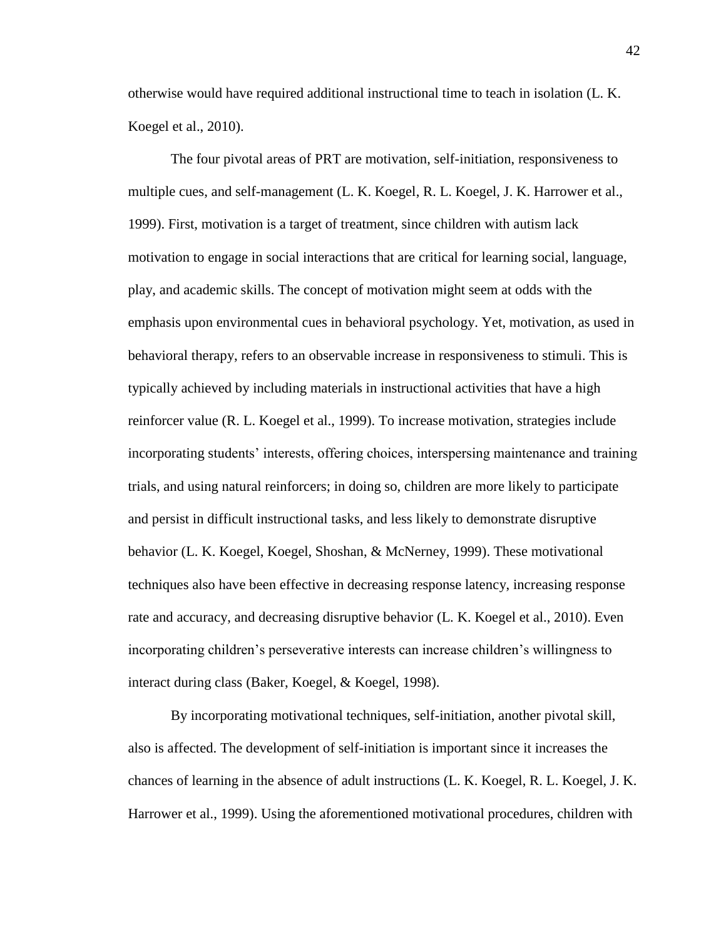otherwise would have required additional instructional time to teach in isolation (L. K. Koegel et al., 2010).

The four pivotal areas of PRT are motivation, self-initiation, responsiveness to multiple cues, and self-management (L. K. Koegel, R. L. Koegel, J. K. Harrower et al., 1999). First, motivation is a target of treatment, since children with autism lack motivation to engage in social interactions that are critical for learning social, language, play, and academic skills. The concept of motivation might seem at odds with the emphasis upon environmental cues in behavioral psychology. Yet, motivation, as used in behavioral therapy, refers to an observable increase in responsiveness to stimuli. This is typically achieved by including materials in instructional activities that have a high reinforcer value (R. L. Koegel et al., 1999). To increase motivation, strategies include incorporating students' interests, offering choices, interspersing maintenance and training trials, and using natural reinforcers; in doing so, children are more likely to participate and persist in difficult instructional tasks, and less likely to demonstrate disruptive behavior (L. K. Koegel, Koegel, Shoshan, & McNerney, 1999). These motivational techniques also have been effective in decreasing response latency, increasing response rate and accuracy, and decreasing disruptive behavior (L. K. Koegel et al., 2010). Even incorporating children's perseverative interests can increase children's willingness to interact during class (Baker, Koegel, & Koegel, 1998).

By incorporating motivational techniques, self-initiation, another pivotal skill, also is affected. The development of self-initiation is important since it increases the chances of learning in the absence of adult instructions (L. K. Koegel, R. L. Koegel, J. K. Harrower et al., 1999). Using the aforementioned motivational procedures, children with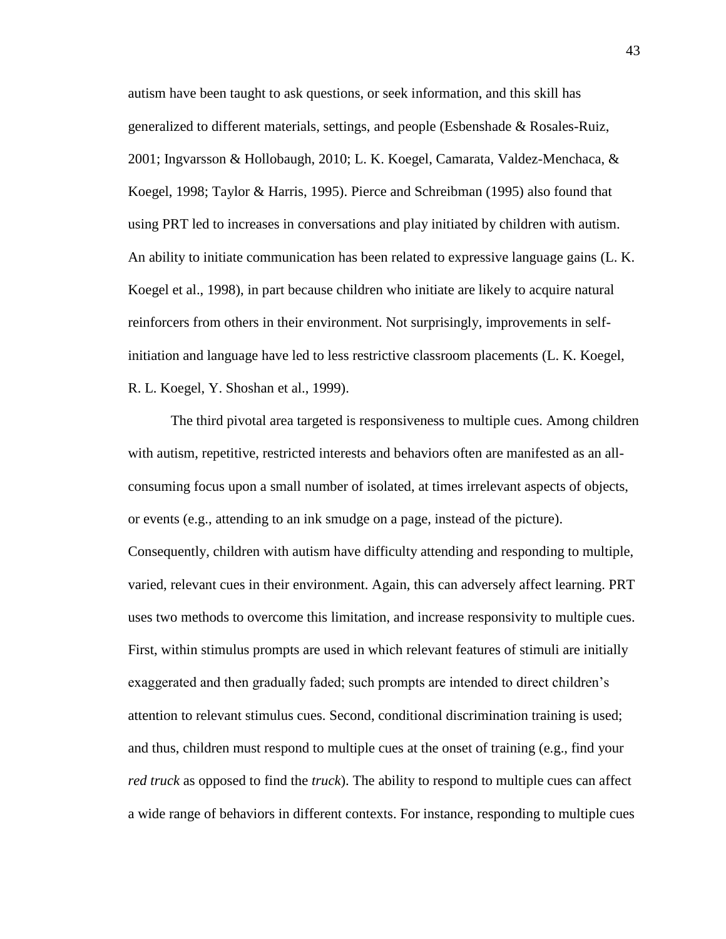autism have been taught to ask questions, or seek information, and this skill has generalized to different materials, settings, and people (Esbenshade & Rosales-Ruiz, 2001; Ingvarsson & Hollobaugh, 2010; L. K. Koegel, Camarata, Valdez-Menchaca, & Koegel, 1998; Taylor & Harris, 1995). Pierce and Schreibman (1995) also found that using PRT led to increases in conversations and play initiated by children with autism. An ability to initiate communication has been related to expressive language gains (L. K. Koegel et al., 1998), in part because children who initiate are likely to acquire natural reinforcers from others in their environment. Not surprisingly, improvements in selfinitiation and language have led to less restrictive classroom placements (L. K. Koegel, R. L. Koegel, Y. Shoshan et al., 1999).

The third pivotal area targeted is responsiveness to multiple cues. Among children with autism, repetitive, restricted interests and behaviors often are manifested as an allconsuming focus upon a small number of isolated, at times irrelevant aspects of objects, or events (e.g., attending to an ink smudge on a page, instead of the picture). Consequently, children with autism have difficulty attending and responding to multiple, varied, relevant cues in their environment. Again, this can adversely affect learning. PRT uses two methods to overcome this limitation, and increase responsivity to multiple cues. First, within stimulus prompts are used in which relevant features of stimuli are initially exaggerated and then gradually faded; such prompts are intended to direct children's attention to relevant stimulus cues. Second, conditional discrimination training is used; and thus, children must respond to multiple cues at the onset of training (e.g., find your *red truck* as opposed to find the *truck*). The ability to respond to multiple cues can affect a wide range of behaviors in different contexts. For instance, responding to multiple cues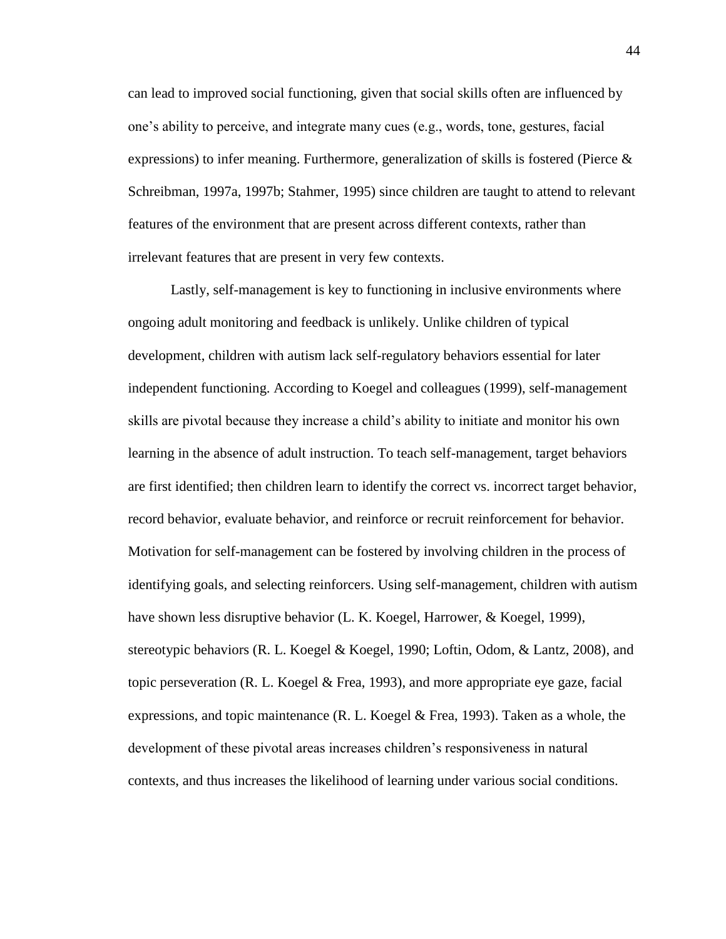can lead to improved social functioning, given that social skills often are influenced by one's ability to perceive, and integrate many cues (e.g., words, tone, gestures, facial expressions) to infer meaning. Furthermore, generalization of skills is fostered (Pierce  $\&$ Schreibman, 1997a, 1997b; Stahmer, 1995) since children are taught to attend to relevant features of the environment that are present across different contexts, rather than irrelevant features that are present in very few contexts.

Lastly, self-management is key to functioning in inclusive environments where ongoing adult monitoring and feedback is unlikely. Unlike children of typical development, children with autism lack self-regulatory behaviors essential for later independent functioning. According to Koegel and colleagues (1999), self-management skills are pivotal because they increase a child's ability to initiate and monitor his own learning in the absence of adult instruction. To teach self-management, target behaviors are first identified; then children learn to identify the correct vs. incorrect target behavior, record behavior, evaluate behavior, and reinforce or recruit reinforcement for behavior. Motivation for self-management can be fostered by involving children in the process of identifying goals, and selecting reinforcers. Using self-management, children with autism have shown less disruptive behavior (L. K. Koegel, Harrower, & Koegel, 1999), stereotypic behaviors (R. L. Koegel & Koegel, 1990; Loftin, Odom, & Lantz, 2008), and topic perseveration (R. L. Koegel & Frea, 1993), and more appropriate eye gaze, facial expressions, and topic maintenance (R. L. Koegel & Frea, 1993). Taken as a whole, the development of these pivotal areas increases children's responsiveness in natural contexts, and thus increases the likelihood of learning under various social conditions.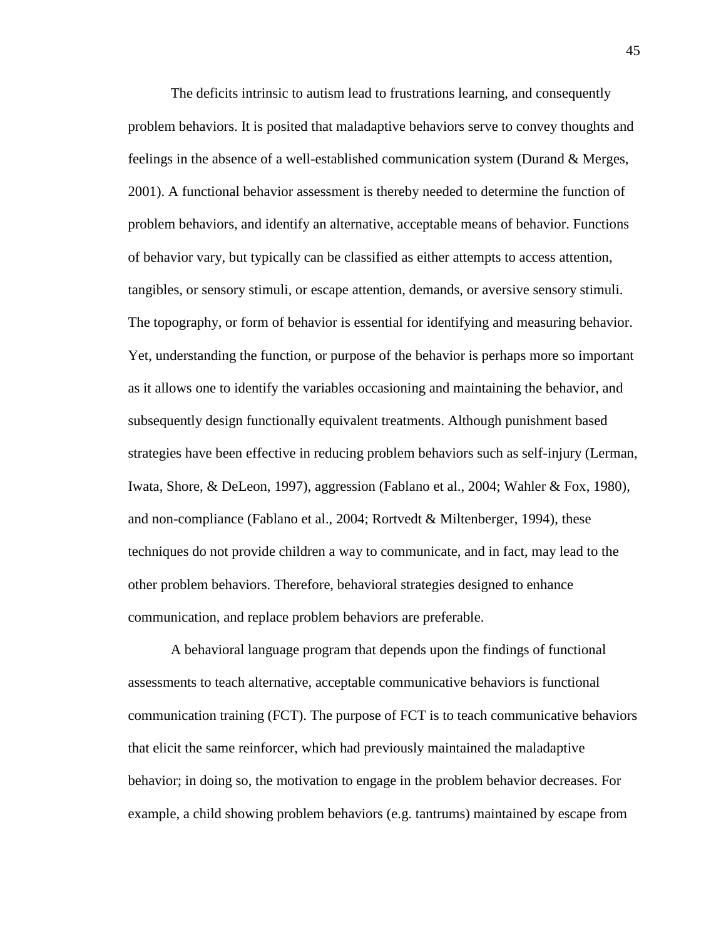The deficits intrinsic to autism lead to frustrations learning, and consequently problem behaviors. It is posited that maladaptive behaviors serve to convey thoughts and feelings in the absence of a well-established communication system (Durand & Merges, 2001). A functional behavior assessment is thereby needed to determine the function of problem behaviors, and identify an alternative, acceptable means of behavior. Functions of behavior vary, but typically can be classified as either attempts to access attention, tangibles, or sensory stimuli, or escape attention, demands, or aversive sensory stimuli. The topography, or form of behavior is essential for identifying and measuring behavior. Yet, understanding the function, or purpose of the behavior is perhaps more so important as it allows one to identify the variables occasioning and maintaining the behavior, and subsequently design functionally equivalent treatments. Although punishment based strategies have been effective in reducing problem behaviors such as self-injury (Lerman, Iwata, Shore, & DeLeon, 1997), aggression (Fablano et al., 2004; Wahler & Fox, 1980), and non-compliance (Fablano et al., 2004; Rortvedt & Miltenberger, 1994), these techniques do not provide children a way to communicate, and in fact, may lead to the other problem behaviors. Therefore, behavioral strategies designed to enhance communication, and replace problem behaviors are preferable.

A behavioral language program that depends upon the findings of functional assessments to teach alternative, acceptable communicative behaviors is functional communication training (FCT). The purpose of FCT is to teach communicative behaviors that elicit the same reinforcer, which had previously maintained the maladaptive behavior; in doing so, the motivation to engage in the problem behavior decreases. For example, a child showing problem behaviors (e.g. tantrums) maintained by escape from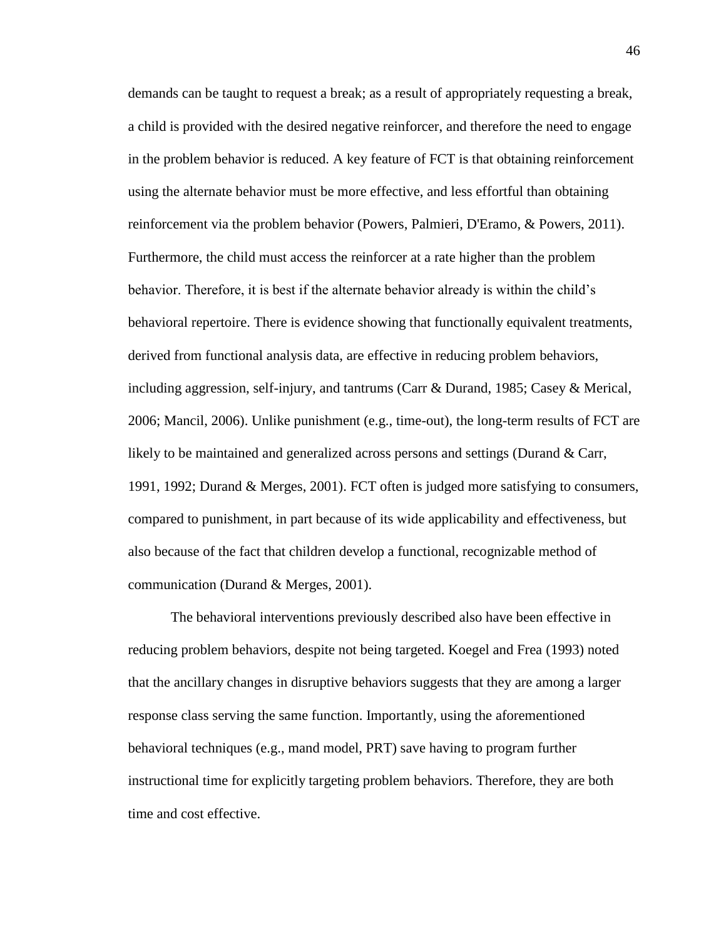demands can be taught to request a break; as a result of appropriately requesting a break, a child is provided with the desired negative reinforcer, and therefore the need to engage in the problem behavior is reduced. A key feature of FCT is that obtaining reinforcement using the alternate behavior must be more effective, and less effortful than obtaining reinforcement via the problem behavior (Powers, Palmieri, D'Eramo, & Powers, 2011). Furthermore, the child must access the reinforcer at a rate higher than the problem behavior. Therefore, it is best if the alternate behavior already is within the child's behavioral repertoire. There is evidence showing that functionally equivalent treatments, derived from functional analysis data, are effective in reducing problem behaviors, including aggression, self-injury, and tantrums (Carr & Durand, 1985; Casey & Merical, 2006; Mancil, 2006). Unlike punishment (e.g., time-out), the long-term results of FCT are likely to be maintained and generalized across persons and settings (Durand & Carr, 1991, 1992; Durand & Merges, 2001). FCT often is judged more satisfying to consumers, compared to punishment, in part because of its wide applicability and effectiveness, but also because of the fact that children develop a functional, recognizable method of communication (Durand & Merges, 2001).

The behavioral interventions previously described also have been effective in reducing problem behaviors, despite not being targeted. Koegel and Frea (1993) noted that the ancillary changes in disruptive behaviors suggests that they are among a larger response class serving the same function. Importantly, using the aforementioned behavioral techniques (e.g., mand model, PRT) save having to program further instructional time for explicitly targeting problem behaviors. Therefore, they are both time and cost effective.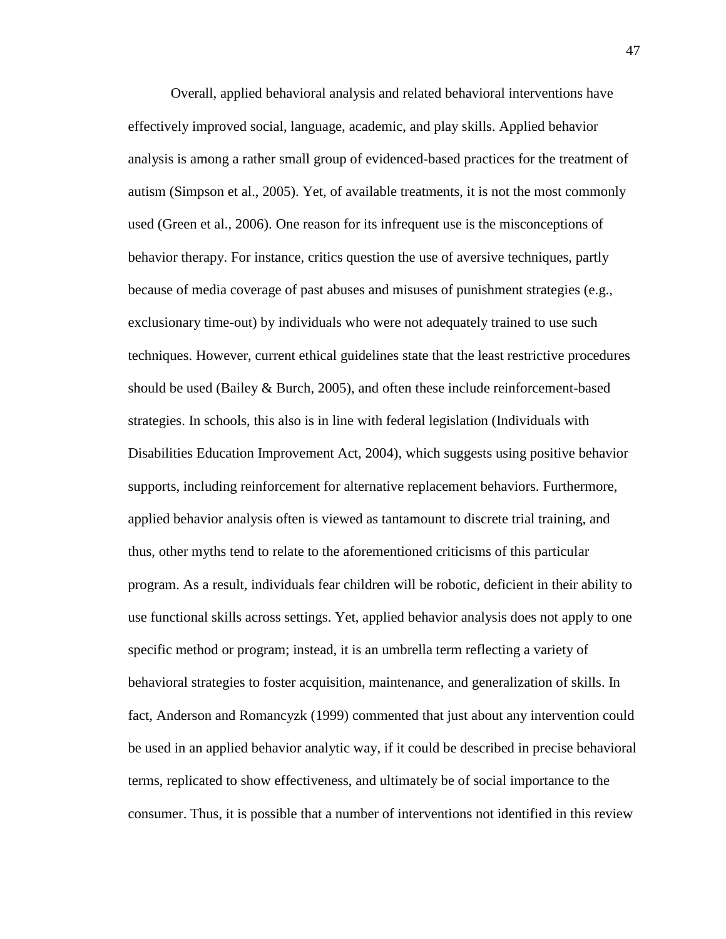Overall, applied behavioral analysis and related behavioral interventions have effectively improved social, language, academic, and play skills. Applied behavior analysis is among a rather small group of evidenced-based practices for the treatment of autism (Simpson et al., 2005). Yet, of available treatments, it is not the most commonly used (Green et al., 2006). One reason for its infrequent use is the misconceptions of behavior therapy. For instance, critics question the use of aversive techniques, partly because of media coverage of past abuses and misuses of punishment strategies (e.g., exclusionary time-out) by individuals who were not adequately trained to use such techniques. However, current ethical guidelines state that the least restrictive procedures should be used (Bailey  $&$  Burch, 2005), and often these include reinforcement-based strategies. In schools, this also is in line with federal legislation (Individuals with Disabilities Education Improvement Act, 2004), which suggests using positive behavior supports, including reinforcement for alternative replacement behaviors. Furthermore, applied behavior analysis often is viewed as tantamount to discrete trial training, and thus, other myths tend to relate to the aforementioned criticisms of this particular program. As a result, individuals fear children will be robotic, deficient in their ability to use functional skills across settings. Yet, applied behavior analysis does not apply to one specific method or program; instead, it is an umbrella term reflecting a variety of behavioral strategies to foster acquisition, maintenance, and generalization of skills. In fact, Anderson and Romancyzk (1999) commented that just about any intervention could be used in an applied behavior analytic way, if it could be described in precise behavioral terms, replicated to show effectiveness, and ultimately be of social importance to the consumer. Thus, it is possible that a number of interventions not identified in this review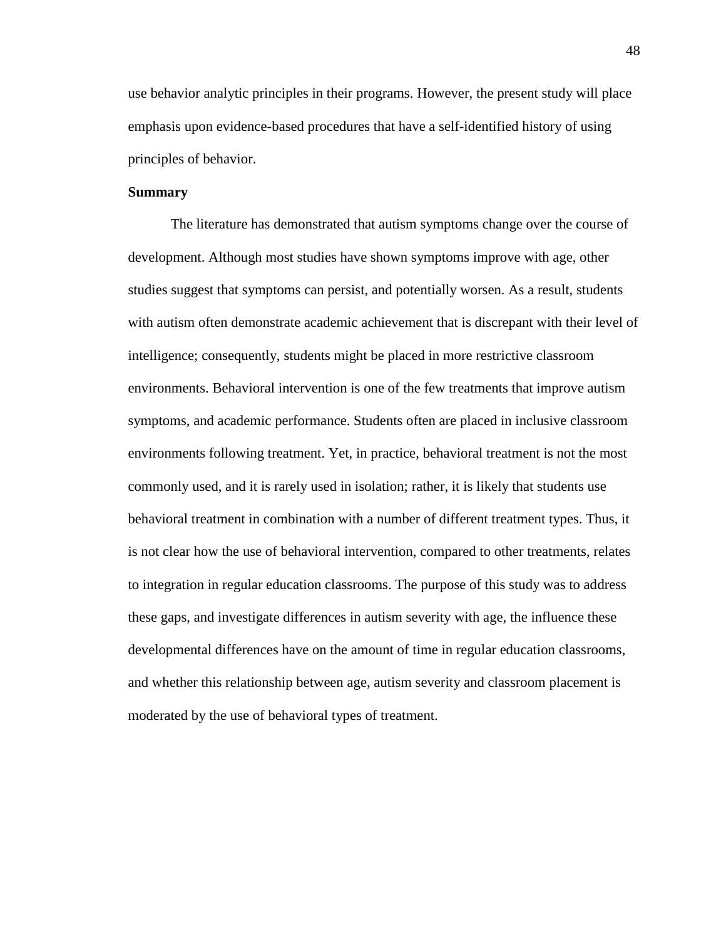use behavior analytic principles in their programs. However, the present study will place emphasis upon evidence-based procedures that have a self-identified history of using principles of behavior.

### **Summary**

The literature has demonstrated that autism symptoms change over the course of development. Although most studies have shown symptoms improve with age, other studies suggest that symptoms can persist, and potentially worsen. As a result, students with autism often demonstrate academic achievement that is discrepant with their level of intelligence; consequently, students might be placed in more restrictive classroom environments. Behavioral intervention is one of the few treatments that improve autism symptoms, and academic performance. Students often are placed in inclusive classroom environments following treatment. Yet, in practice, behavioral treatment is not the most commonly used, and it is rarely used in isolation; rather, it is likely that students use behavioral treatment in combination with a number of different treatment types. Thus, it is not clear how the use of behavioral intervention, compared to other treatments, relates to integration in regular education classrooms. The purpose of this study was to address these gaps, and investigate differences in autism severity with age, the influence these developmental differences have on the amount of time in regular education classrooms, and whether this relationship between age, autism severity and classroom placement is moderated by the use of behavioral types of treatment.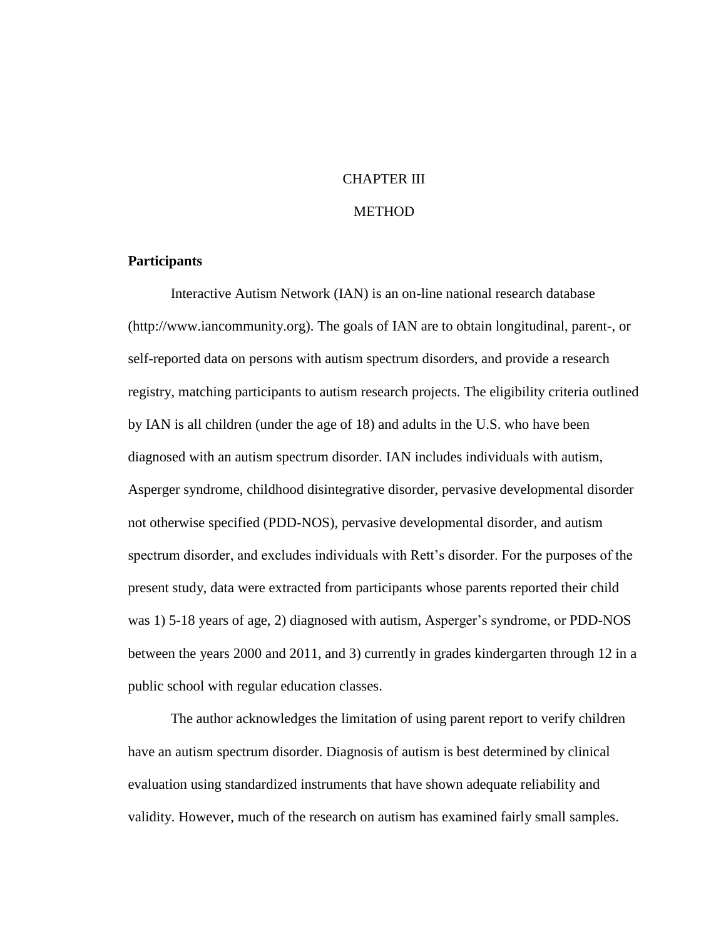### CHAPTER III

# **METHOD**

## **Participants**

Interactive Autism Network (IAN) is an on-line national research database (http://www.iancommunity.org). The goals of IAN are to obtain longitudinal, parent-, or self-reported data on persons with autism spectrum disorders, and provide a research registry, matching participants to autism research projects. The eligibility criteria outlined by IAN is all children (under the age of 18) and adults in the U.S. who have been diagnosed with an autism spectrum disorder. IAN includes individuals with autism, Asperger syndrome, childhood disintegrative disorder, pervasive developmental disorder not otherwise specified (PDD-NOS), pervasive developmental disorder, and autism spectrum disorder, and excludes individuals with Rett's disorder. For the purposes of the present study, data were extracted from participants whose parents reported their child was 1) 5-18 years of age, 2) diagnosed with autism, Asperger's syndrome, or PDD-NOS between the years 2000 and 2011, and 3) currently in grades kindergarten through 12 in a public school with regular education classes.

The author acknowledges the limitation of using parent report to verify children have an autism spectrum disorder. Diagnosis of autism is best determined by clinical evaluation using standardized instruments that have shown adequate reliability and validity. However, much of the research on autism has examined fairly small samples.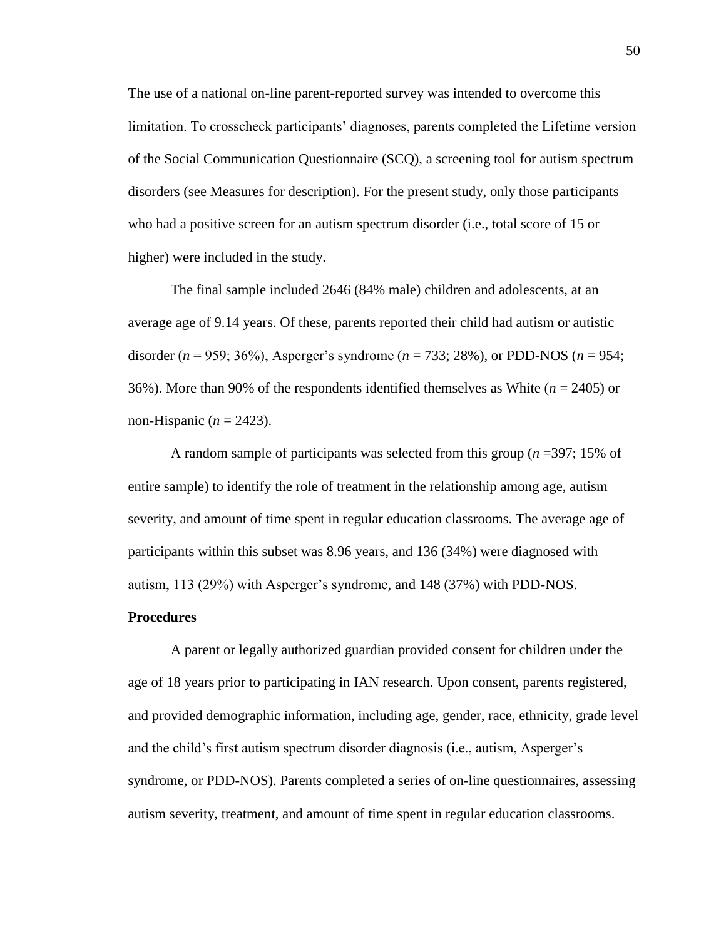The use of a national on-line parent-reported survey was intended to overcome this limitation. To crosscheck participants' diagnoses, parents completed the Lifetime version of the Social Communication Questionnaire (SCQ), a screening tool for autism spectrum disorders (see Measures for description). For the present study, only those participants who had a positive screen for an autism spectrum disorder (i.e., total score of 15 or higher) were included in the study.

The final sample included 2646 (84% male) children and adolescents, at an average age of 9.14 years. Of these, parents reported their child had autism or autistic disorder (*n* = 959; 36%), Asperger's syndrome (*n* = 733; 28%), or PDD-NOS (*n* = 954; 36%). More than 90% of the respondents identified themselves as White (*n* = 2405) or non-Hispanic ( $n = 2423$ ).

A random sample of participants was selected from this group (*n* =397; 15% of entire sample) to identify the role of treatment in the relationship among age, autism severity, and amount of time spent in regular education classrooms. The average age of participants within this subset was 8.96 years, and 136 (34%) were diagnosed with autism, 113 (29%) with Asperger's syndrome, and 148 (37%) with PDD-NOS.

#### **Procedures**

A parent or legally authorized guardian provided consent for children under the age of 18 years prior to participating in IAN research. Upon consent, parents registered, and provided demographic information, including age, gender, race, ethnicity, grade level and the child's first autism spectrum disorder diagnosis (i.e., autism, Asperger's syndrome, or PDD-NOS). Parents completed a series of on-line questionnaires, assessing autism severity, treatment, and amount of time spent in regular education classrooms.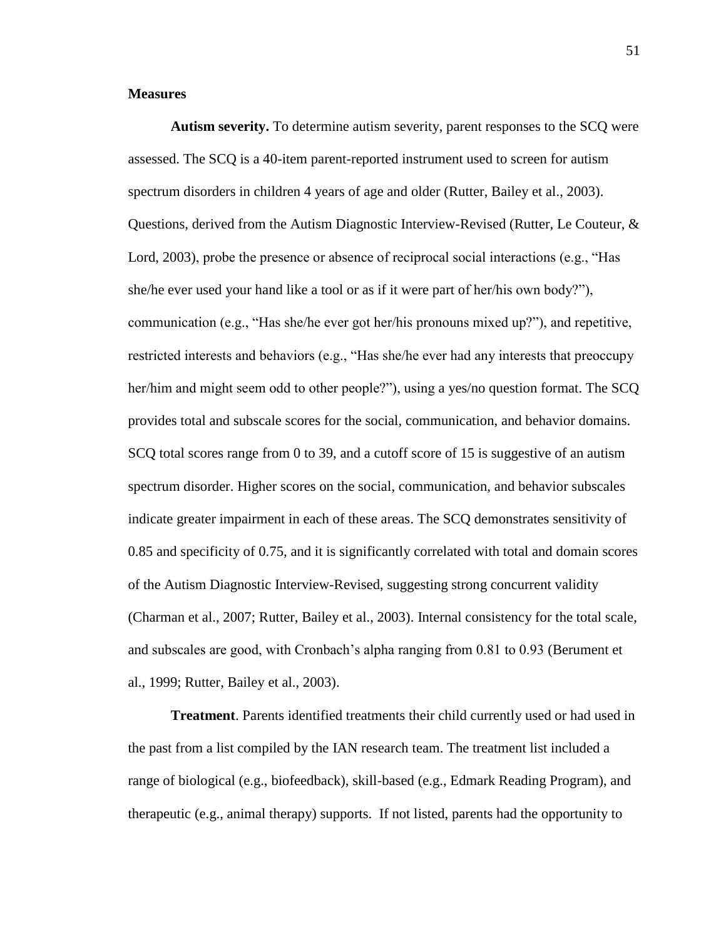### **Measures**

**Autism severity.** To determine autism severity, parent responses to the SCQ were assessed. The SCQ is a 40-item parent-reported instrument used to screen for autism spectrum disorders in children 4 years of age and older (Rutter, Bailey et al., 2003). Questions, derived from the Autism Diagnostic Interview-Revised (Rutter, Le Couteur, & Lord, 2003), probe the presence or absence of reciprocal social interactions (e.g., "Has she/he ever used your hand like a tool or as if it were part of her/his own body?"), communication (e.g., "Has she/he ever got her/his pronouns mixed up?"), and repetitive, restricted interests and behaviors (e.g., "Has she/he ever had any interests that preoccupy her/him and might seem odd to other people?"), using a yes/no question format. The SCQ provides total and subscale scores for the social, communication, and behavior domains. SCQ total scores range from 0 to 39, and a cutoff score of 15 is suggestive of an autism spectrum disorder. Higher scores on the social, communication, and behavior subscales indicate greater impairment in each of these areas. The SCQ demonstrates sensitivity of 0.85 and specificity of 0.75, and it is significantly correlated with total and domain scores of the Autism Diagnostic Interview-Revised, suggesting strong concurrent validity (Charman et al., 2007; Rutter, Bailey et al., 2003). Internal consistency for the total scale, and subscales are good, with Cronbach's alpha ranging from 0.81 to 0.93 (Berument et al., 1999; Rutter, Bailey et al., 2003).

**Treatment**. Parents identified treatments their child currently used or had used in the past from a list compiled by the IAN research team. The treatment list included a range of biological (e.g., biofeedback), skill-based (e.g., Edmark Reading Program), and therapeutic (e.g., animal therapy) supports. If not listed, parents had the opportunity to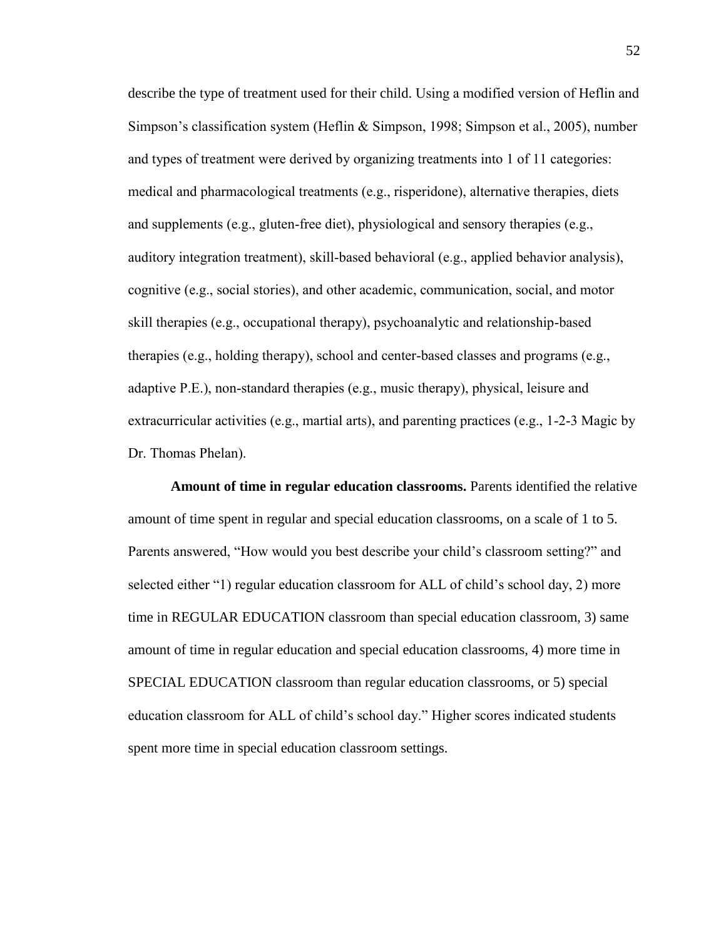describe the type of treatment used for their child. Using a modified version of Heflin and Simpson's classification system (Heflin & Simpson, 1998; Simpson et al., 2005), number and types of treatment were derived by organizing treatments into 1 of 11 categories: medical and pharmacological treatments (e.g., risperidone), alternative therapies, diets and supplements (e.g., gluten-free diet), physiological and sensory therapies (e.g., auditory integration treatment), skill-based behavioral (e.g., applied behavior analysis), cognitive (e.g., social stories), and other academic, communication, social, and motor skill therapies (e.g., occupational therapy), psychoanalytic and relationship-based therapies (e.g., holding therapy), school and center-based classes and programs (e.g., adaptive P.E.), non-standard therapies (e.g., music therapy), physical, leisure and extracurricular activities (e.g., martial arts), and parenting practices (e.g., 1-2-3 Magic by Dr. Thomas Phelan).

**Amount of time in regular education classrooms.** Parents identified the relative amount of time spent in regular and special education classrooms, on a scale of 1 to 5. Parents answered, "How would you best describe your child's classroom setting?" and selected either "1) regular education classroom for ALL of child's school day, 2) more time in REGULAR EDUCATION classroom than special education classroom, 3) same amount of time in regular education and special education classrooms, 4) more time in SPECIAL EDUCATION classroom than regular education classrooms, or 5) special education classroom for ALL of child's school day." Higher scores indicated students spent more time in special education classroom settings.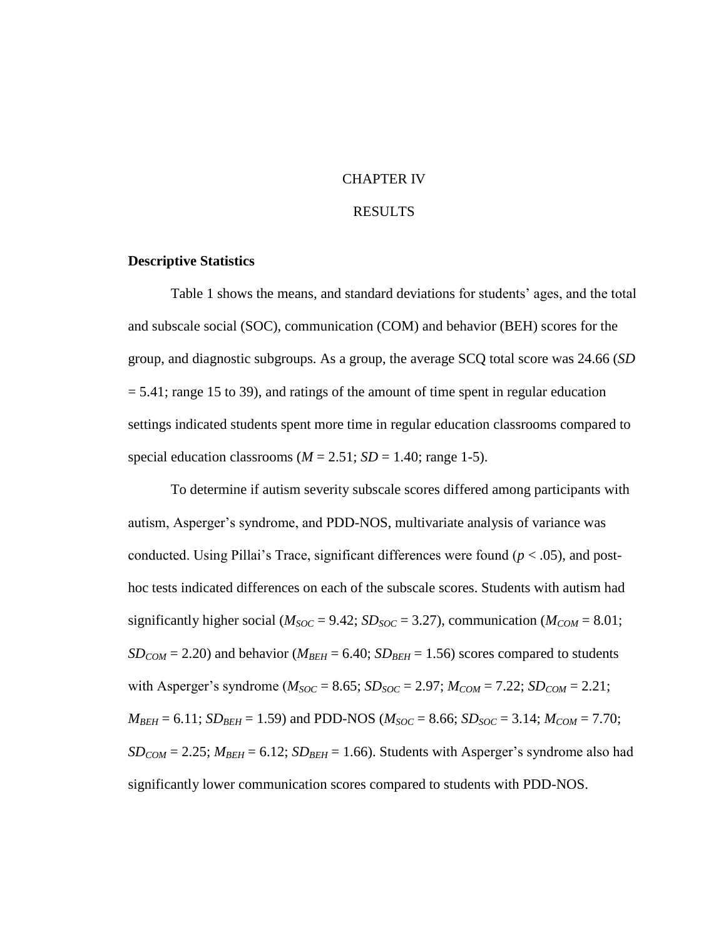### CHAPTER IV

#### RESULTS

## **Descriptive Statistics**

Table 1 shows the means, and standard deviations for students' ages, and the total and subscale social (SOC), communication (COM) and behavior (BEH) scores for the group, and diagnostic subgroups. As a group, the average SCQ total score was 24.66 (*SD*   $= 5.41$ ; range 15 to 39), and ratings of the amount of time spent in regular education settings indicated students spent more time in regular education classrooms compared to special education classrooms ( $M = 2.51$ ;  $SD = 1.40$ ; range 1-5).

To determine if autism severity subscale scores differed among participants with autism, Asperger's syndrome, and PDD-NOS, multivariate analysis of variance was conducted. Using Pillai's Trace, significant differences were found ( $p < .05$ ), and posthoc tests indicated differences on each of the subscale scores. Students with autism had significantly higher social ( $M_{SOC} = 9.42$ ;  $SD_{SOC} = 3.27$ ), communication ( $M_{COM} = 8.01$ ;  $SD_{COM} = 2.20$ ) and behavior ( $M_{BEH} = 6.40$ ;  $SD_{BEH} = 1.56$ ) scores compared to students with Asperger's syndrome ( $M_{SOC} = 8.65$ ;  $SD_{SOC} = 2.97$ ;  $M_{COM} = 7.22$ ;  $SD_{COM} = 2.21$ ;  $M_{BEH} = 6.11$ ;  $SD_{BEH} = 1.59$ ) and PDD-NOS ( $M_{SOC} = 8.66$ ;  $SD_{SOC} = 3.14$ ;  $M_{COM} = 7.70$ ;  $SD_{COM} = 2.25$ ;  $M_{BEH} = 6.12$ ;  $SD_{BEH} = 1.66$ ). Students with Asperger's syndrome also had significantly lower communication scores compared to students with PDD-NOS.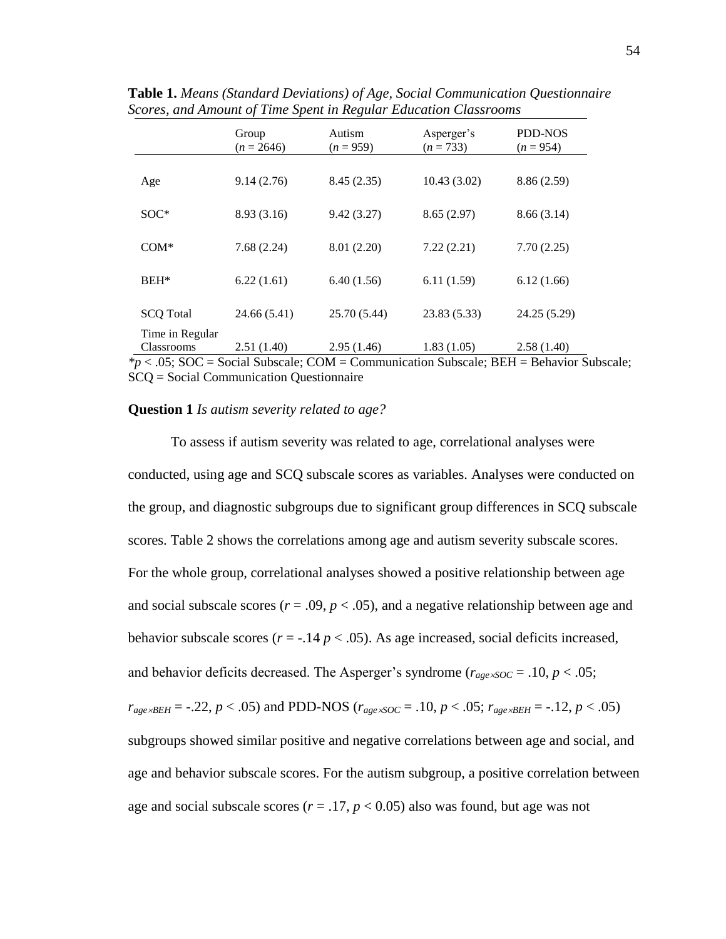|                  | Group<br>$(n = 2646)$ | Autism<br>$(n = 959)$ | Asperger's<br>$(n = 733)$ | <b>PDD-NOS</b><br>$(n = 954)$ |
|------------------|-----------------------|-----------------------|---------------------------|-------------------------------|
|                  |                       |                       |                           |                               |
| Age              | 9.14(2.76)            | 8.45(2.35)            | 10.43(3.02)               | 8.86(2.59)                    |
| $SOC*$           | 8.93 (3.16)           | 9.42(3.27)            | 8.65(2.97)                | 8.66(3.14)                    |
|                  |                       |                       |                           |                               |
| $COM*$           | 7.68(2.24)            | 8.01 (2.20)           | 7.22(2.21)                | 7.70(2.25)                    |
| $BEH*$           | 6.22(1.61)            | 6.40(1.56)            | 6.11(1.59)                | 6.12(1.66)                    |
|                  |                       |                       |                           |                               |
| <b>SCQ</b> Total | 24.66 (5.41)          | 25.70 (5.44)          | 23.83 (5.33)              | 24.25 (5.29)                  |
| Time in Regular  |                       |                       |                           |                               |
| Classrooms       | 2.51(1.40)            | 2.95(1.46)            | 1.83(1.05)                | 2.58(1.40)                    |

**Table 1.** *Means (Standard Deviations) of Age, Social Communication Questionnaire Scores, and Amount of Time Spent in Regular Education Classrooms*

*\*p* < .05; SOC = Social Subscale; COM = Communication Subscale; BEH = Behavior Subscale; SCQ = Social Communication Questionnaire

#### **Question 1** *Is autism severity related to age?*

To assess if autism severity was related to age, correlational analyses were conducted, using age and SCQ subscale scores as variables. Analyses were conducted on the group, and diagnostic subgroups due to significant group differences in SCQ subscale scores. Table 2 shows the correlations among age and autism severity subscale scores. For the whole group, correlational analyses showed a positive relationship between age and social subscale scores ( $r = .09$ ,  $p < .05$ ), and a negative relationship between age and behavior subscale scores ( $r = -.14$   $p < .05$ ). As age increased, social deficits increased, and behavior deficits decreased. The Asperger's syndrome ( $r_{age \times SOC} = .10, p < .05$ ;  $r_{age \times BEH} = -.22, p < .05$  and PDD-NOS ( $r_{age \times SOC} = .10, p < .05$ ;  $r_{age \times BEH} = -.12, p < .05$ ) subgroups showed similar positive and negative correlations between age and social, and age and behavior subscale scores. For the autism subgroup, a positive correlation between age and social subscale scores ( $r = .17$ ,  $p < 0.05$ ) also was found, but age was not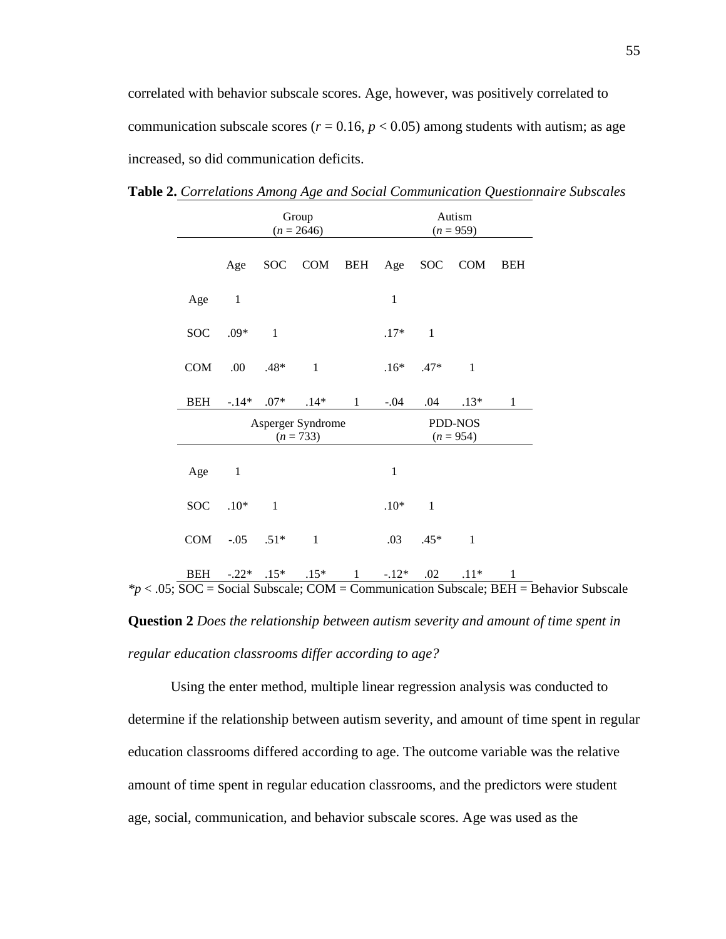correlated with behavior subscale scores. Age, however, was positively correlated to communication subscale scores ( $r = 0.16$ ,  $p < 0.05$ ) among students with autism; as age increased, so did communication deficits.

|            | Group<br>$(n = 2646)$            |                          |                     | Autism<br>$(n = 959)$ |              |                        |              |              |
|------------|----------------------------------|--------------------------|---------------------|-----------------------|--------------|------------------------|--------------|--------------|
|            | Age                              |                          | SOC COM BEH Age SOC |                       |              |                        | <b>COM</b>   | <b>BEH</b>   |
| Age        | $\mathbf{1}$                     |                          |                     |                       | $\mathbf 1$  |                        |              |              |
| <b>SOC</b> | $.09*$                           | $\blacksquare$ 1         |                     |                       | $.17*$       | $\mathbf{1}$           |              |              |
| COM        | .00                              | $.48*$                   | $\blacksquare$      |                       | $.16*$       | $.47*$                 | $\mathbf{1}$ |              |
| <b>BEH</b> | $-14*$                           | $.07*$                   | $.14*$              | $\mathbf{1}$          | $-.04$       | .04                    | $.13*$       | $\mathbf{1}$ |
|            | Asperger Syndrome<br>$(n = 733)$ |                          |                     |                       |              | PDD-NOS<br>$(n = 954)$ |              |              |
| Age        | $\mathbf{1}$                     |                          |                     |                       | $\mathbf{1}$ |                        |              |              |
| SOC        | $.10*$                           | $\overline{\phantom{0}}$ |                     |                       | $.10*$       | $\mathbf{1}$           |              |              |
| COM        | $-.05$                           | $.51*$                   | $\mathbf{1}$        |                       | .03          | $.45*$                 | $\mathbf{1}$ |              |
| <b>BEH</b> | $-.22*$                          | $.15*$                   | $.15*$              | $\mathbf{1}$          | $-.12*$      | .02                    | $.11*$       | $\mathbf{1}$ |

**Table 2.** *Correlations Among Age and Social Communication Questionnaire Subscales*

*\*p* < .05; SOC = Social Subscale; COM = Communication Subscale; BEH = Behavior Subscale

**Question 2** *Does the relationship between autism severity and amount of time spent in regular education classrooms differ according to age?*

Using the enter method, multiple linear regression analysis was conducted to determine if the relationship between autism severity, and amount of time spent in regular education classrooms differed according to age. The outcome variable was the relative amount of time spent in regular education classrooms, and the predictors were student age, social, communication, and behavior subscale scores. Age was used as the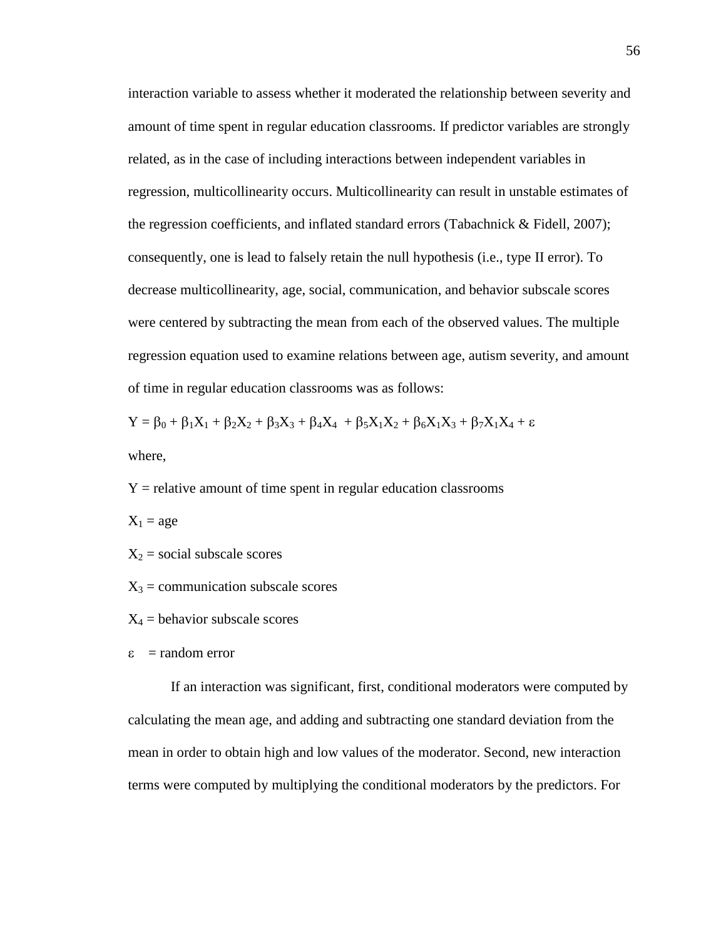interaction variable to assess whether it moderated the relationship between severity and amount of time spent in regular education classrooms. If predictor variables are strongly related, as in the case of including interactions between independent variables in regression, multicollinearity occurs. Multicollinearity can result in unstable estimates of the regression coefficients, and inflated standard errors (Tabachnick & Fidell, 2007); consequently, one is lead to falsely retain the null hypothesis (i.e., type II error). To decrease multicollinearity, age, social, communication, and behavior subscale scores were centered by subtracting the mean from each of the observed values. The multiple regression equation used to examine relations between age, autism severity, and amount of time in regular education classrooms was as follows:

 $Y = \beta_0 + \beta_1 X_1 + \beta_2 X_2 + \beta_3 X_3 + \beta_4 X_4 + \beta_5 X_1 X_2 + \beta_6 X_1 X_3 + \beta_7 X_1 X_4 + \varepsilon$ where,

 $Y =$  relative amount of time spent in regular education classrooms  $X_1 = age$  $X_2$  = social subscale scores

 $X_3$  = communication subscale scores

 $X_4$  = behavior subscale scores

 $\epsilon$  = random error

If an interaction was significant, first, conditional moderators were computed by calculating the mean age, and adding and subtracting one standard deviation from the mean in order to obtain high and low values of the moderator. Second, new interaction terms were computed by multiplying the conditional moderators by the predictors. For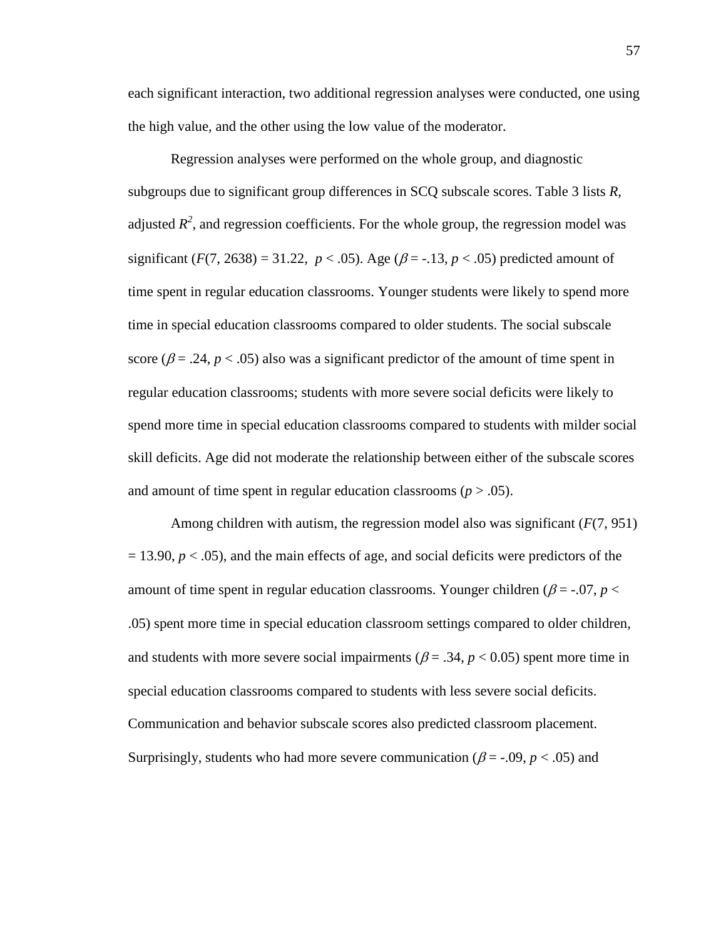each significant interaction, two additional regression analyses were conducted, one using the high value, and the other using the low value of the moderator.

Regression analyses were performed on the whole group, and diagnostic subgroups due to significant group differences in SCQ subscale scores. Table 3 lists *R*, adjusted  $R^2$ , and regression coefficients. For the whole group, the regression model was significant  $(F(7, 2638) = 31.22, p < .05)$ . Age  $(\beta = -.13, p < .05)$  predicted amount of time spent in regular education classrooms. Younger students were likely to spend more time in special education classrooms compared to older students. The social subscale score ( $\beta$  = .24,  $p$  < .05) also was a significant predictor of the amount of time spent in regular education classrooms; students with more severe social deficits were likely to spend more time in special education classrooms compared to students with milder social skill deficits. Age did not moderate the relationship between either of the subscale scores and amount of time spent in regular education classrooms ( $p > .05$ ).

Among children with autism, the regression model also was significant (*F*(7, 951)  $= 13.90, p < .05$ , and the main effects of age, and social deficits were predictors of the amount of time spent in regular education classrooms. Younger children ( $\beta$  = -.07, *p* < .05) spent more time in special education classroom settings compared to older children, and students with more severe social impairments ( $\beta = .34$ ,  $p < 0.05$ ) spent more time in special education classrooms compared to students with less severe social deficits. Communication and behavior subscale scores also predicted classroom placement. Surprisingly, students who had more severe communication ( $\beta = -0.09$ ,  $p < 0.05$ ) and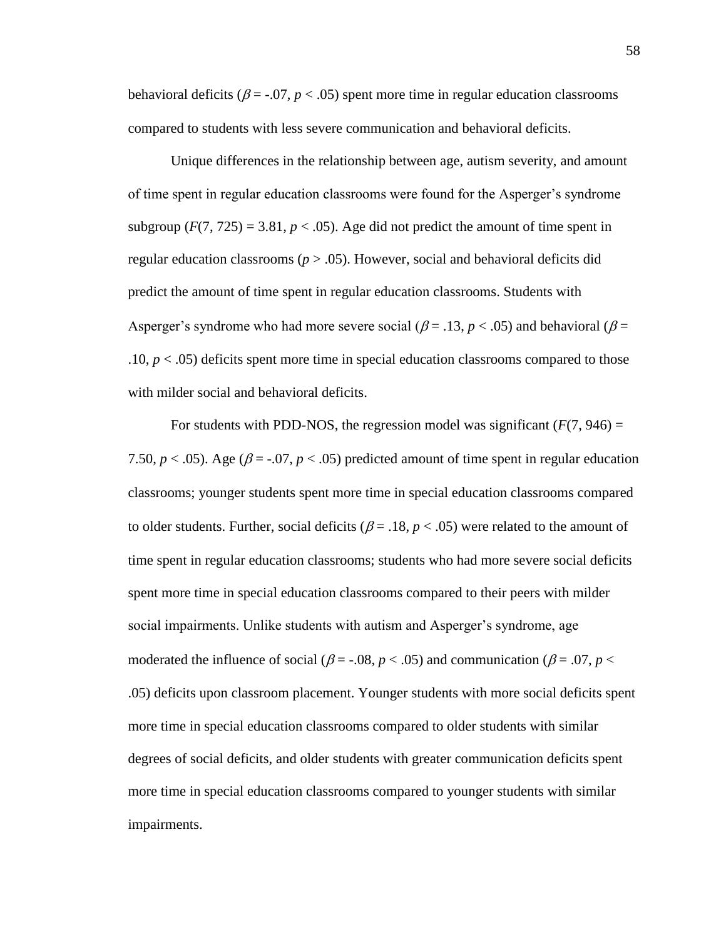behavioral deficits ( $\beta$  = -.07,  $p$  < .05) spent more time in regular education classrooms compared to students with less severe communication and behavioral deficits.

Unique differences in the relationship between age, autism severity, and amount of time spent in regular education classrooms were found for the Asperger's syndrome subgroup  $(F(7, 725) = 3.81, p < .05)$ . Age did not predict the amount of time spent in regular education classrooms ( $p > .05$ ). However, social and behavioral deficits did predict the amount of time spent in regular education classrooms. Students with Asperger's syndrome who had more severe social ( $\beta$  = .13,  $p$  < .05) and behavioral ( $\beta$  = .10, *p* < .05) deficits spent more time in special education classrooms compared to those with milder social and behavioral deficits.

For students with PDD-NOS, the regression model was significant  $(F(7, 946) =$ 7.50,  $p < .05$ ). Age ( $\beta = .07$ ,  $p < .05$ ) predicted amount of time spent in regular education classrooms; younger students spent more time in special education classrooms compared to older students. Further, social deficits ( $\beta = .18$ ,  $p < .05$ ) were related to the amount of time spent in regular education classrooms; students who had more severe social deficits spent more time in special education classrooms compared to their peers with milder social impairments. Unlike students with autism and Asperger's syndrome, age moderated the influence of social ( $\beta$  = -.08,  $p$  < .05) and communication ( $\beta$  = .07,  $p$  < .05) deficits upon classroom placement. Younger students with more social deficits spent more time in special education classrooms compared to older students with similar degrees of social deficits, and older students with greater communication deficits spent more time in special education classrooms compared to younger students with similar impairments.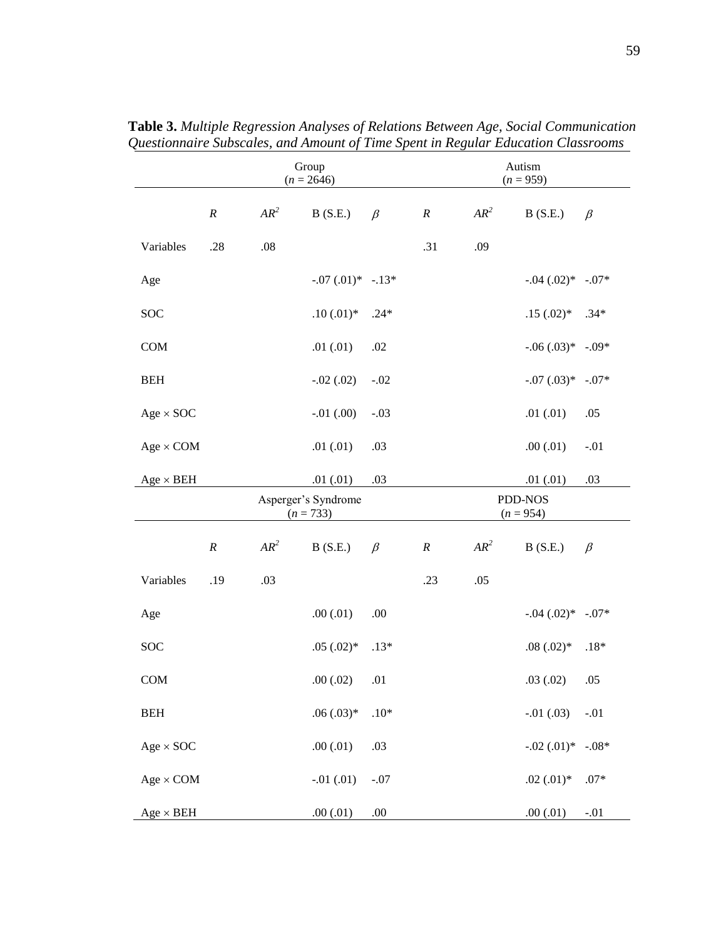|                  |                  |         | Group<br>$(n = 2646)$              |         |          |        | Autism<br>$(n = 959)$  |         |
|------------------|------------------|---------|------------------------------------|---------|----------|--------|------------------------|---------|
|                  | $\boldsymbol{R}$ | $AR^2$  | B(S.E.)                            | $\beta$ | $\cal R$ | $AR^2$ | B(S.E.)                | $\beta$ |
| Variables        | .28              | $.08\,$ |                                    |         | .31      | .09    |                        |         |
| Age              |                  |         | $-.07(.01)*-.13*$                  |         |          |        | $-.04(.02)*-.07*$      |         |
| <b>SOC</b>       |                  |         | $.10(.01)*$                        | $.24*$  |          |        | $.15(.02)^*$           | $.34*$  |
| COM              |                  |         | .01(0.01)                          | .02     |          |        | $-.06(.03)*-.09*$      |         |
| <b>BEH</b>       |                  |         | $-.02(.02)$                        | $-.02$  |          |        | $-0.07$ $(0.03)*$      | $-.07*$ |
| $Age \times SOC$ |                  |         | $-.01(.00)$                        | $-.03$  |          |        | .01(.01)               | .05     |
| $Age \times COM$ |                  |         | .01(0.01)                          | .03     |          |        | .00(0.01)              | $-.01$  |
| $Age \times BEH$ |                  |         | .01(.01)                           | .03     |          |        | .01(0.01)              | .03     |
|                  |                  |         | Asperger's Syndrome<br>$(n = 733)$ |         |          |        | PDD-NOS<br>$(n = 954)$ |         |
|                  | $\cal R$         |         |                                    |         |          |        |                        |         |
|                  |                  | $AR^2$  | B(S.E.)                            | $\beta$ | $\cal R$ | $AR^2$ | B(S.E.)                | $\beta$ |
| Variables        | .19              | .03     |                                    |         | .23      | .05    |                        |         |
| Age              |                  |         | .00(0.01)                          | .00     |          |        | $-.04(.02)*-.07*$      |         |
| <b>SOC</b>       |                  |         | $.05(.02)*$                        | $.13*$  |          |        | $.08(.02)*$            | $.18*$  |
| <b>COM</b>       |                  |         | .00(0.02)                          | .01     |          |        | .03(.02)               | .05     |
| <b>BEH</b>       |                  |         | $.06(.03)*$                        | $.10*$  |          |        | $-.01(.03)$            | $-.01$  |
| $Age \times SOC$ |                  |         | .00(0.01)                          | .03     |          |        | $-.02(.01)$ *          | $-.08*$ |
| $Age \times COM$ |                  |         | $-.01(.01)$                        | $-.07$  |          |        | $.02$ $(.01)$ *        | $.07*$  |

**Table 3.** *Multiple Regression Analyses of Relations Between Age, Social Communication Questionnaire Subscales, and Amount of Time Spent in Regular Education Classrooms*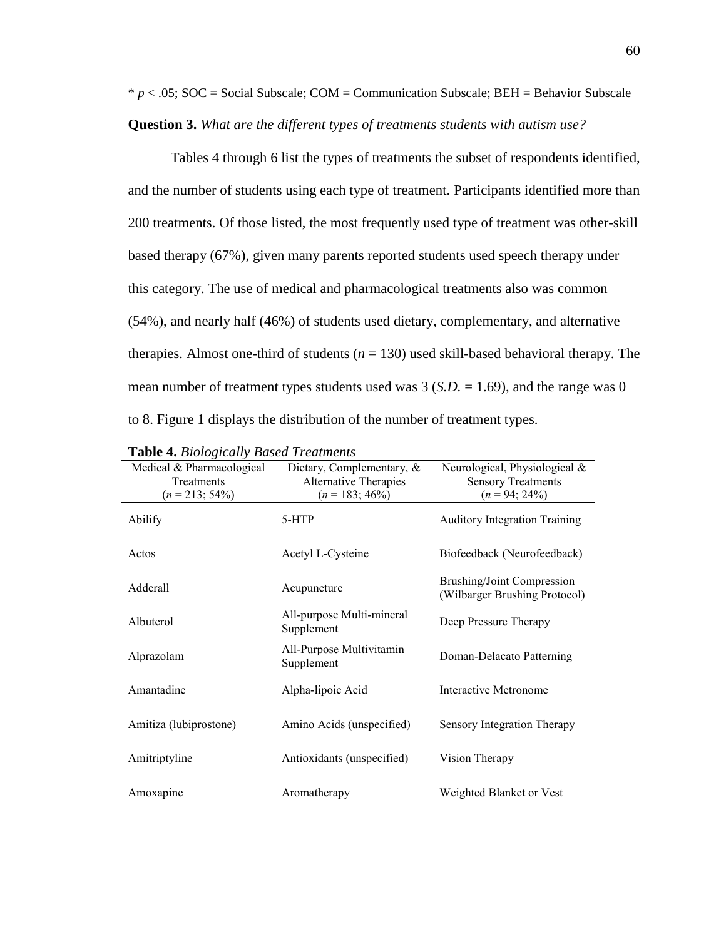$* p < .05$ ; SOC = Social Subscale; COM = Communication Subscale; BEH = Behavior Subscale **Question 3.** *What are the different types of treatments students with autism use?*

Tables 4 through 6 list the types of treatments the subset of respondents identified, and the number of students using each type of treatment. Participants identified more than 200 treatments. Of those listed, the most frequently used type of treatment was other-skill based therapy (67%), given many parents reported students used speech therapy under this category. The use of medical and pharmacological treatments also was common (54%), and nearly half (46%) of students used dietary, complementary, and alternative therapies. Almost one-third of students  $(n = 130)$  used skill-based behavioral therapy. The mean number of treatment types students used was 3 (*S.D.* = 1.69), and the range was 0 to 8. Figure 1 displays the distribution of the number of treatment types.

| Medical & Pharmacological<br>Treatments<br>$(n = 213; 54\%)$ | Dietary, Complementary, $\&$<br>Alternative Therapies<br>$(n = 183; 46\%)$ | Neurological, Physiological &<br><b>Sensory Treatments</b><br>$(n = 94; 24\%)$ |
|--------------------------------------------------------------|----------------------------------------------------------------------------|--------------------------------------------------------------------------------|
| Abilify                                                      | 5-HTP                                                                      | <b>Auditory Integration Training</b>                                           |
| Actos                                                        | Acetyl L-Cysteine                                                          | Biofeedback (Neurofeedback)                                                    |
| Adderall                                                     | Acupuncture                                                                | <b>Brushing/Joint Compression</b><br>(Wilbarger Brushing Protocol)             |
| Albuterol                                                    | All-purpose Multi-mineral<br>Supplement                                    | Deep Pressure Therapy                                                          |
| Alprazolam                                                   | All-Purpose Multivitamin<br>Supplement                                     | Doman-Delacato Patterning                                                      |
| Amantadine                                                   | Alpha-lipoic Acid                                                          | <b>Interactive Metronome</b>                                                   |
| Amitiza (lubiprostone)                                       | Amino Acids (unspecified)                                                  | Sensory Integration Therapy                                                    |
| Amitriptyline                                                | Antioxidants (unspecified)                                                 | Vision Therapy                                                                 |
| Amoxapine                                                    | Aromatherapy                                                               | Weighted Blanket or Vest                                                       |

|  |  |  |  | <b>Table 4.</b> Biologically Based Treatments |
|--|--|--|--|-----------------------------------------------|
|--|--|--|--|-----------------------------------------------|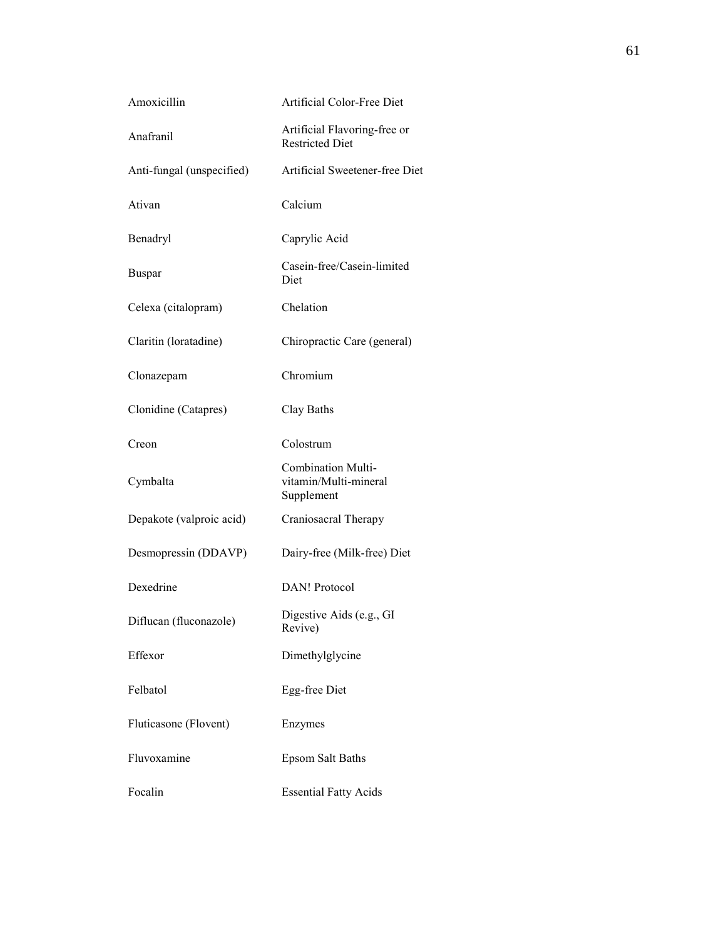| Amoxicillin               | Artificial Color-Free Diet                                       |
|---------------------------|------------------------------------------------------------------|
| Anafranil                 | Artificial Flavoring-free or<br><b>Restricted Diet</b>           |
| Anti-fungal (unspecified) | Artificial Sweetener-free Diet                                   |
| Ativan                    | Calcium                                                          |
| Benadryl                  | Caprylic Acid                                                    |
| <b>Buspar</b>             | Casein-free/Casein-limited<br>Diet                               |
| Celexa (citalopram)       | Chelation                                                        |
| Claritin (loratadine)     | Chiropractic Care (general)                                      |
| Clonazepam                | Chromium                                                         |
| Clonidine (Catapres)      | Clay Baths                                                       |
| Creon                     | Colostrum                                                        |
| Cymbalta                  | <b>Combination Multi-</b><br>vitamin/Multi-mineral<br>Supplement |
| Depakote (valproic acid)  | Craniosacral Therapy                                             |
| Desmopressin (DDAVP)      | Dairy-free (Milk-free) Diet                                      |
| Dexedrine                 | DAN! Protocol                                                    |
| Diflucan (fluconazole)    | Digestive Aids (e.g., GI<br>Revive)                              |
| Effexor                   | Dimethylglycine                                                  |
| Felbatol                  | Egg-free Diet                                                    |
| Fluticasone (Flovent)     | Enzymes                                                          |
| Fluvoxamine               | <b>Epsom Salt Baths</b>                                          |
| Focalin                   | <b>Essential Fatty Acids</b>                                     |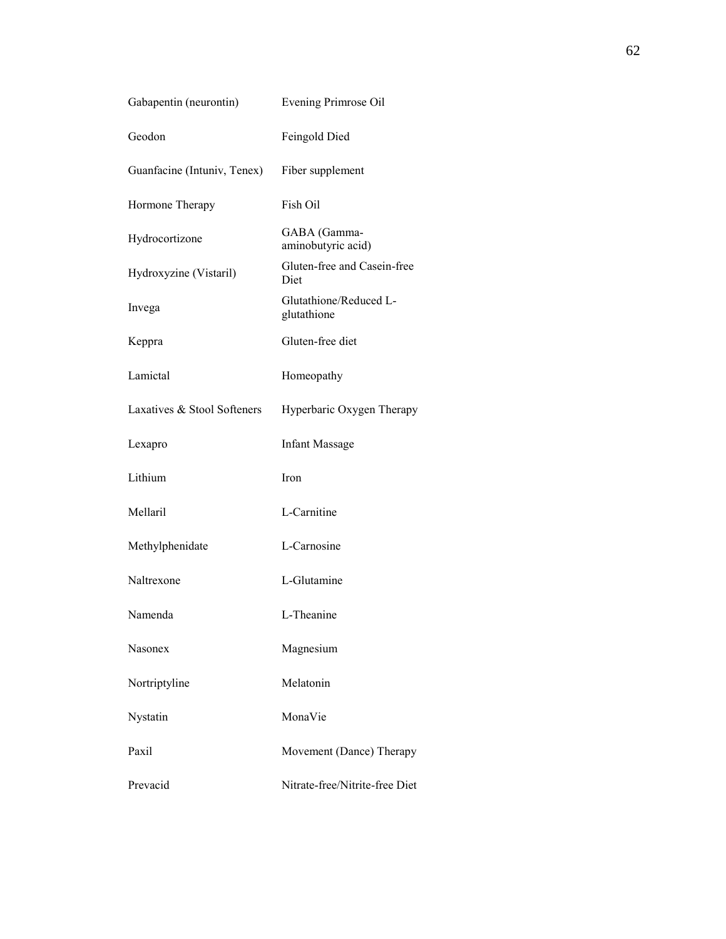| Gabapentin (neurontin)      | Evening Primrose Oil                  |
|-----------------------------|---------------------------------------|
| Geodon                      | Feingold Died                         |
| Guanfacine (Intuniv, Tenex) | Fiber supplement                      |
| Hormone Therapy             | Fish Oil                              |
| Hydrocortizone              | GABA (Gamma-<br>aminobutyric acid)    |
| Hydroxyzine (Vistaril)      | Gluten-free and Casein-free<br>Diet   |
| Invega                      | Glutathione/Reduced L-<br>glutathione |
| Keppra                      | Gluten-free diet                      |
| Lamictal                    | Homeopathy                            |
| Laxatives & Stool Softeners | Hyperbaric Oxygen Therapy             |
| Lexapro                     | <b>Infant Massage</b>                 |
| Lithium                     | Iron                                  |
| Mellaril                    | L-Carnitine                           |
| Methylphenidate             | L-Carnosine                           |
| Naltrexone                  | L-Glutamine                           |
| Namenda                     | L-Theanine                            |
| <b>Nasonex</b>              | Magnesium                             |
| Nortriptyline               | Melatonin                             |
| Nystatin                    | MonaVie                               |
| Paxil                       | Movement (Dance) Therapy              |
| Prevacid                    | Nitrate-free/Nitrite-free Diet        |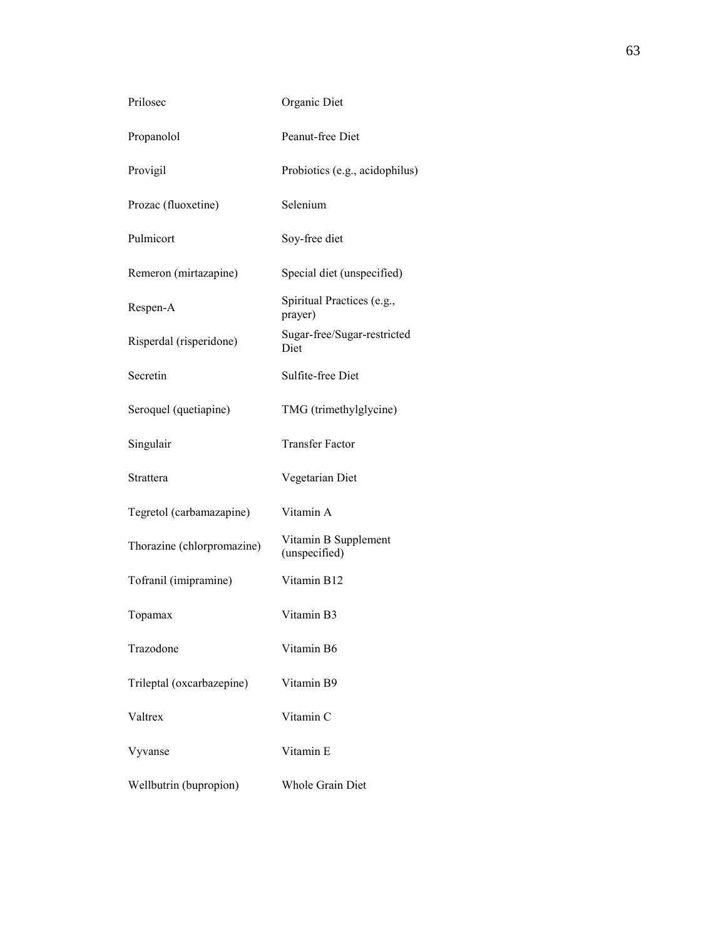| Prilosec                   | Organic Diet                          |
|----------------------------|---------------------------------------|
| Propanolol                 | Peanut-free Diet                      |
| Provigil                   | Probiotics (e.g., acidophilus)        |
| Prozac (fluoxetine)        | Selenium                              |
| Pulmicort                  | Soy-free diet                         |
| Remeron (mirtazapine)      | Special diet (unspecified)            |
| Respen-A                   | Spiritual Practices (e.g.,<br>prayer) |
| Risperdal (risperidone)    | Sugar-free/Sugar-restricted<br>Diet   |
| Secretin                   | Sulfite-free Diet                     |
| Seroquel (quetiapine)      | TMG (trimethylglycine)                |
| Singulair                  | <b>Transfer Factor</b>                |
| Strattera                  | Vegetarian Diet                       |
| Tegretol (carbamazapine)   | Vitamin A                             |
| Thorazine (chlorpromazine) | Vitamin B Supplement<br>(unspecified) |
| Tofranil (imipramine)      | Vitamin B12                           |
| Topamax                    | Vitamin B3                            |
| Trazodone                  | Vitamin B6                            |
| Trileptal (oxcarbazepine)  | Vitamin B9                            |
| Valtrex                    | Vitamin C                             |
| Vyvanse                    | Vitamin E                             |
| Wellbutrin (bupropion)     | Whole Grain Diet                      |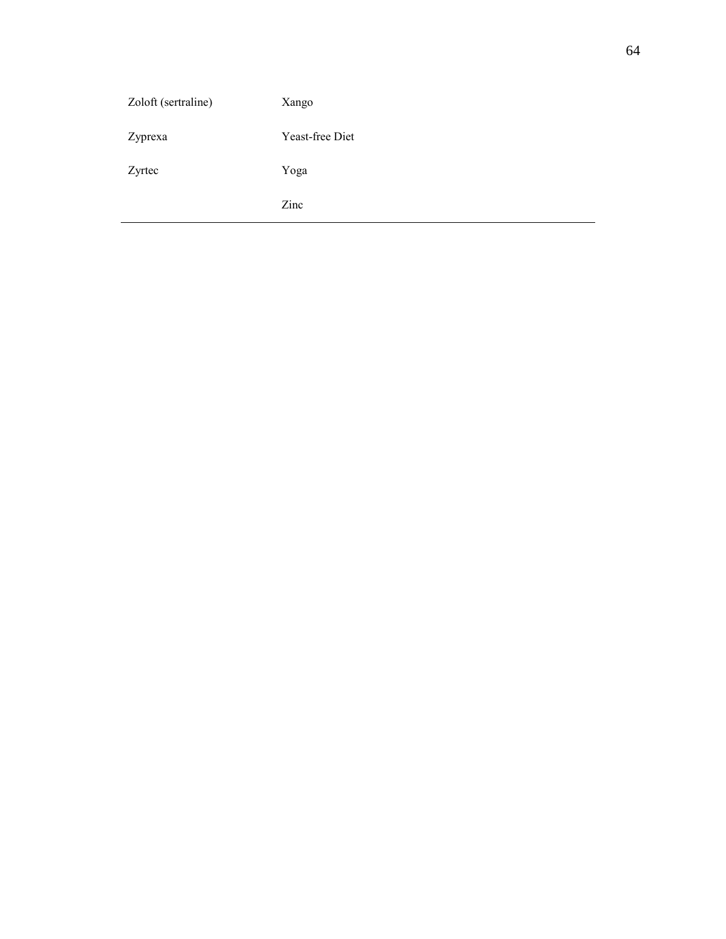| Zoloft (sertraline) | Xango           |
|---------------------|-----------------|
| Zyprexa             | Yeast-free Diet |
| Zyrtec              | Yoga            |
|                     | Zinc            |
|                     |                 |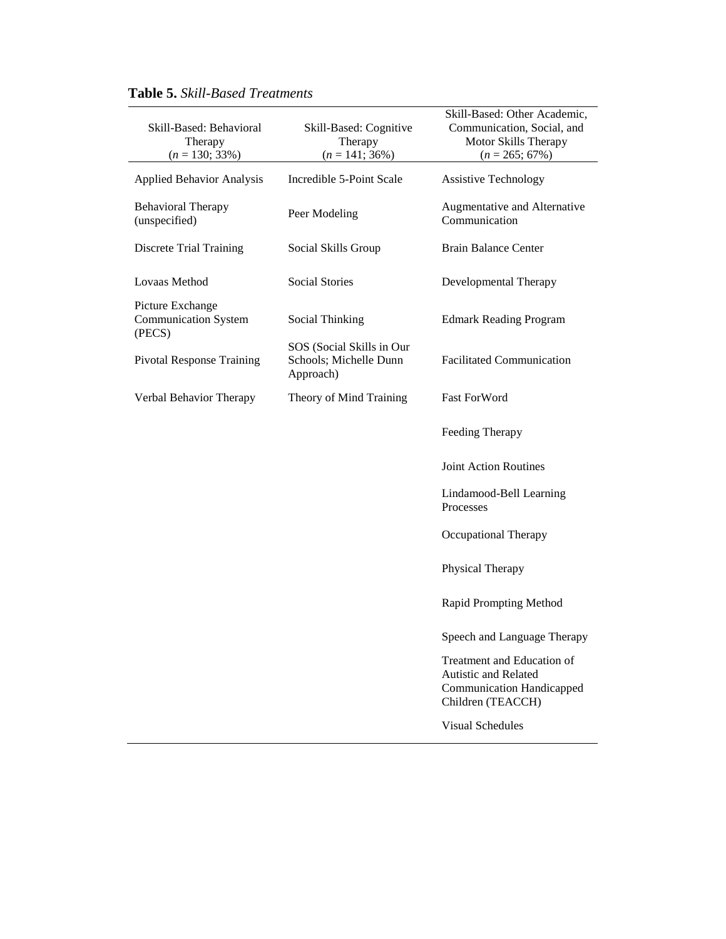| Skill-Based: Behavioral<br>Therapy<br>$(n = 130; 33\%)$   | Skill-Based: Cognitive<br>Therapy<br>$(n = 141; 36\%)$           | Skill-Based: Other Academic,<br>Communication, Social, and<br>Motor Skills Therapy<br>$(n = 265; 67\%)$     |
|-----------------------------------------------------------|------------------------------------------------------------------|-------------------------------------------------------------------------------------------------------------|
| <b>Applied Behavior Analysis</b>                          | Incredible 5-Point Scale                                         | <b>Assistive Technology</b>                                                                                 |
| <b>Behavioral Therapy</b><br>(unspecified)                | Peer Modeling                                                    | Augmentative and Alternative<br>Communication                                                               |
| <b>Discrete Trial Training</b>                            | Social Skills Group                                              | <b>Brain Balance Center</b>                                                                                 |
| Lovaas Method                                             | <b>Social Stories</b>                                            | Developmental Therapy                                                                                       |
| Picture Exchange<br><b>Communication System</b><br>(PECS) | Social Thinking                                                  | <b>Edmark Reading Program</b>                                                                               |
| <b>Pivotal Response Training</b>                          | SOS (Social Skills in Our<br>Schools; Michelle Dunn<br>Approach) | <b>Facilitated Communication</b>                                                                            |
| Verbal Behavior Therapy                                   | Theory of Mind Training                                          | <b>Fast ForWord</b>                                                                                         |
|                                                           |                                                                  | Feeding Therapy                                                                                             |
|                                                           |                                                                  | <b>Joint Action Routines</b>                                                                                |
|                                                           |                                                                  | Lindamood-Bell Learning<br>Processes                                                                        |
|                                                           |                                                                  | Occupational Therapy                                                                                        |
|                                                           |                                                                  | Physical Therapy                                                                                            |
|                                                           |                                                                  | Rapid Prompting Method                                                                                      |
|                                                           |                                                                  | Speech and Language Therapy                                                                                 |
|                                                           |                                                                  | Treatment and Education of<br>Autistic and Related<br><b>Communication Handicapped</b><br>Children (TEACCH) |
|                                                           |                                                                  | <b>Visual Schedules</b>                                                                                     |

# **Table 5.** *Skill-Based Treatments*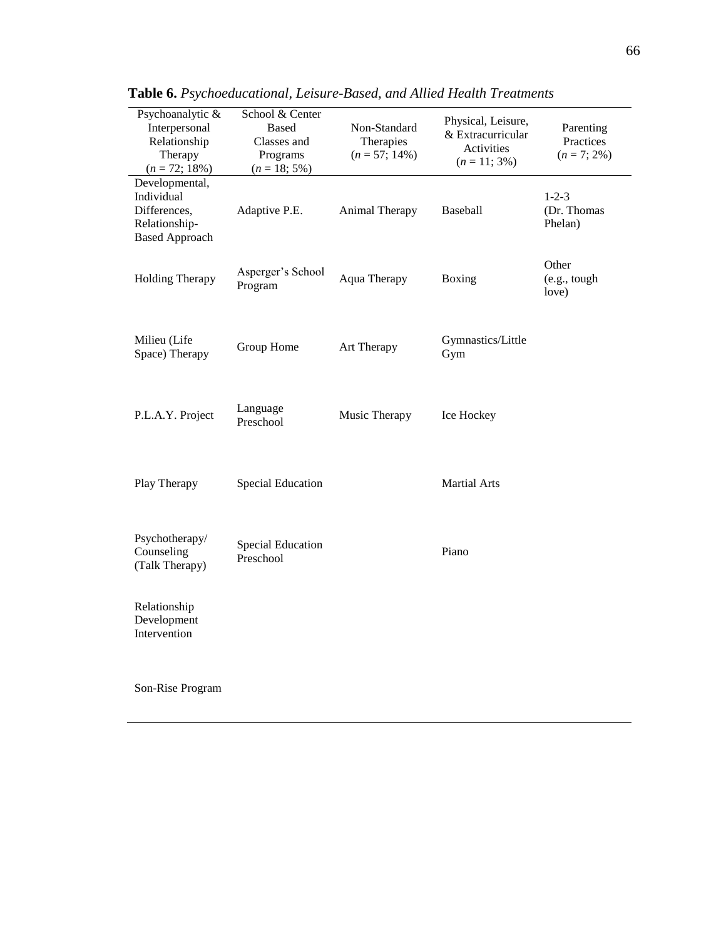| Psychoanalytic &<br>Interpersonal<br>Relationship<br>Therapy<br>$(n = 72; 18\%)$       | School & Center<br><b>Based</b><br>Classes and<br>Programs<br>$(n = 18; 5\%)$ | Non-Standard<br>Therapies<br>$(n = 57; 14\%)$ | Physical, Leisure,<br>& Extracurricular<br>Activities<br>$(n = 11; 3\%)$ | Parenting<br>Practices<br>$(n = 7; 2\%)$ |
|----------------------------------------------------------------------------------------|-------------------------------------------------------------------------------|-----------------------------------------------|--------------------------------------------------------------------------|------------------------------------------|
| Developmental,<br>Individual<br>Differences,<br>Relationship-<br><b>Based Approach</b> | Adaptive P.E.                                                                 | Animal Therapy                                | Baseball                                                                 | $1 - 2 - 3$<br>(Dr. Thomas<br>Phelan)    |
| <b>Holding Therapy</b>                                                                 | Asperger's School<br>Program                                                  | Aqua Therapy                                  | Boxing                                                                   | Other<br>(e.g., tough)<br>love)          |
| Milieu (Life<br>Space) Therapy                                                         | Group Home                                                                    | Art Therapy                                   | Gymnastics/Little<br>Gym                                                 |                                          |
| P.L.A.Y. Project                                                                       | Language<br>Preschool                                                         | Music Therapy                                 | Ice Hockey                                                               |                                          |
| Play Therapy                                                                           | <b>Special Education</b>                                                      |                                               | <b>Martial Arts</b>                                                      |                                          |
| Psychotherapy/<br>Counseling<br>(Talk Therapy)                                         | <b>Special Education</b><br>Preschool                                         |                                               | Piano                                                                    |                                          |
| Relationship<br>Development<br>Intervention                                            |                                                                               |                                               |                                                                          |                                          |
| Son-Rise Program                                                                       |                                                                               |                                               |                                                                          |                                          |

**Table 6.** *Psychoeducational, Leisure-Based, and Allied Health Treatments*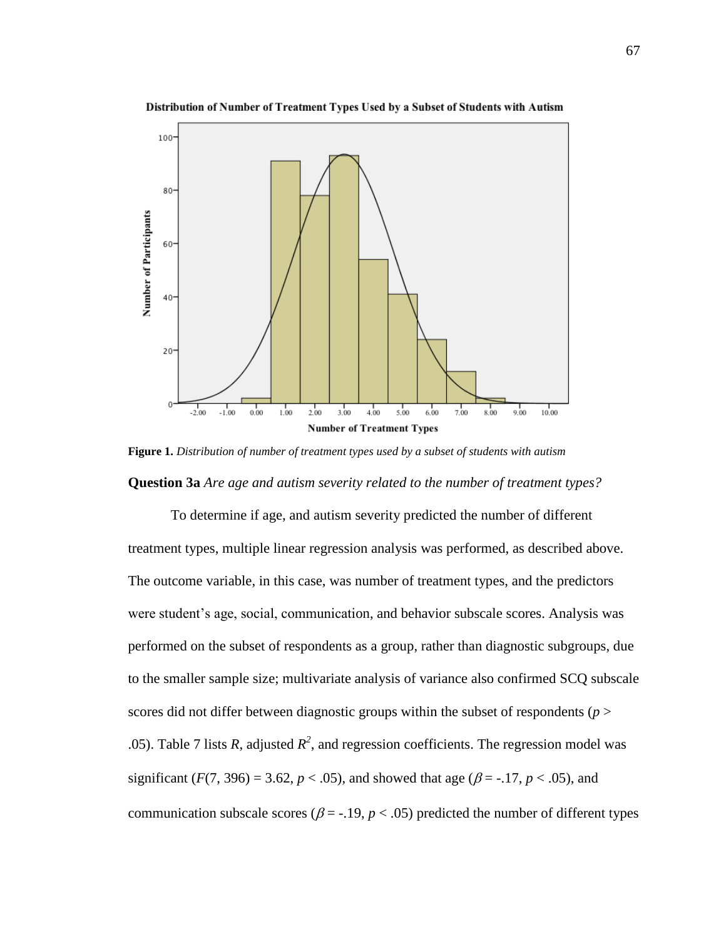

Distribution of Number of Treatment Types Used by a Subset of Students with Autism

**Figure 1.** *Distribution of number of treatment types used by a subset of students with autism* **Question 3a** *Are age and autism severity related to the number of treatment types?*

To determine if age, and autism severity predicted the number of different treatment types, multiple linear regression analysis was performed, as described above. The outcome variable, in this case, was number of treatment types, and the predictors were student's age, social, communication, and behavior subscale scores. Analysis was performed on the subset of respondents as a group, rather than diagnostic subgroups, due to the smaller sample size; multivariate analysis of variance also confirmed SCQ subscale scores did not differ between diagnostic groups within the subset of respondents ( $p >$ .05). Table 7 lists *R*, adjusted  $R^2$ , and regression coefficients. The regression model was significant ( $F(7, 396) = 3.62$ ,  $p < .05$ ), and showed that age ( $\beta = -.17$ ,  $p < .05$ ), and communication subscale scores ( $\beta$  = -.19,  $p$  < .05) predicted the number of different types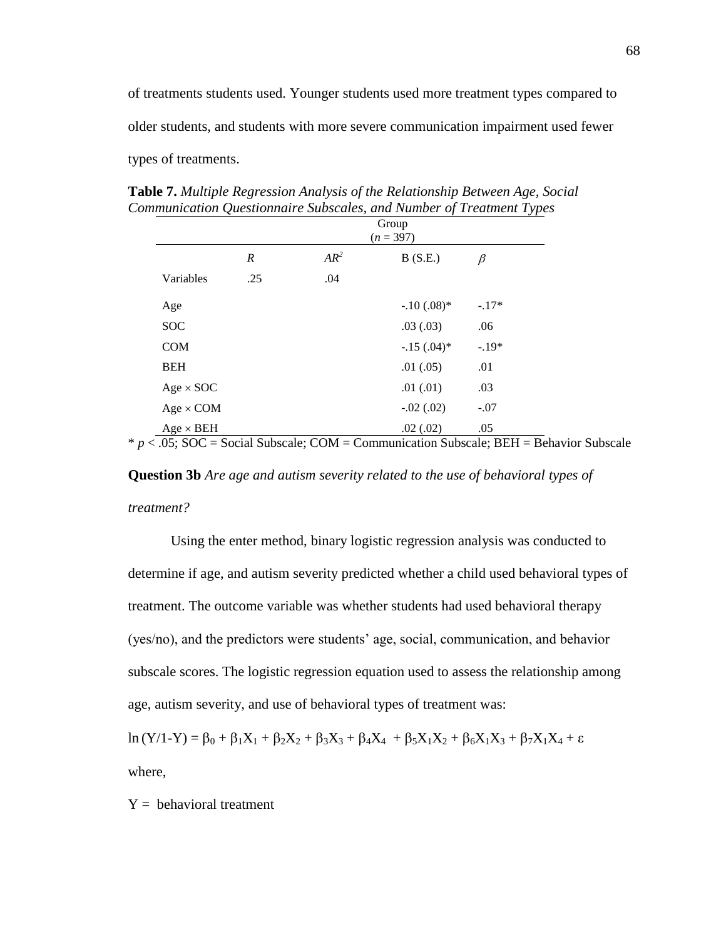of treatments students used. Younger students used more treatment types compared to older students, and students with more severe communication impairment used fewer types of treatments.

**Table 7.** *Multiple Regression Analysis of the Relationship Between Age, Social Communication Questionnaire Subscales, and Number of Treatment Types*

|                  | Group<br>$(n = 397)$ |        |              |         |
|------------------|----------------------|--------|--------------|---------|
|                  | $\boldsymbol{R}$     | $AR^2$ | B(S.E.)      | $\beta$ |
| Variables        | .25                  | .04    |              |         |
| Age              |                      |        | $-.10(.08)*$ | $-.17*$ |
| <b>SOC</b>       |                      |        | .03(0.03)    | .06     |
| <b>COM</b>       |                      |        | $-.15(.04)*$ | $-.19*$ |
| <b>BEH</b>       |                      |        | .01(.05)     | .01     |
| $Age \times SOC$ |                      |        | .01(0.01)    | .03     |
| $Age \times COM$ |                      |        | $-.02(.02)$  | $-.07$  |
| $Age \times BEH$ |                      |        | .02(.02)     | .05     |

 $* p < .05$ ; SOC = Social Subscale; COM = Communication Subscale; BEH = Behavior Subscale

**Question 3b** *Are age and autism severity related to the use of behavioral types of treatment?* 

Using the enter method, binary logistic regression analysis was conducted to determine if age, and autism severity predicted whether a child used behavioral types of treatment. The outcome variable was whether students had used behavioral therapy (yes/no), and the predictors were students' age, social, communication, and behavior subscale scores. The logistic regression equation used to assess the relationship among age, autism severity, and use of behavioral types of treatment was:

 $\ln (Y/1-Y) = \beta_0 + \beta_1 X_1 + \beta_2 X_2 + \beta_3 X_3 + \beta_4 X_4 + \beta_5 X_1 X_2 + \beta_6 X_1 X_3 + \beta_7 X_1 X_4 + \epsilon$ where,

 $Y =$  behavioral treatment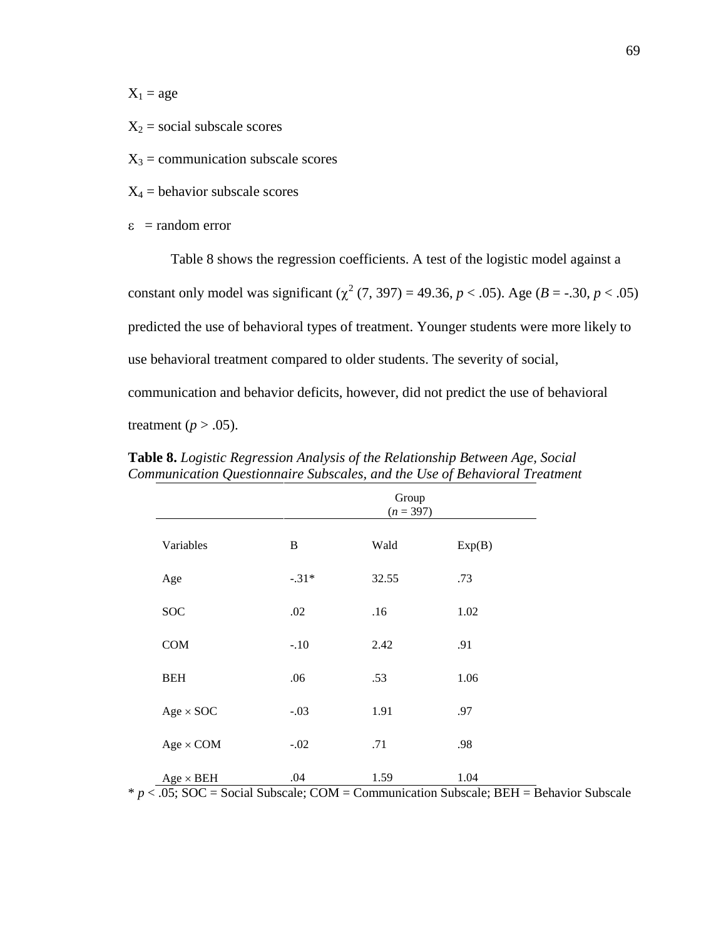$X_1 = age$ 

 $X_2$  = social subscale scores

 $X_3$  = communication subscale scores

 $X_4$  = behavior subscale scores

 $\epsilon$  = random error

Table 8 shows the regression coefficients. A test of the logistic model against a constant only model was significant  $(\chi^2 (7, 397) = 49.36, p < .05)$ . Age  $(B = -.30, p < .05)$ predicted the use of behavioral types of treatment. Younger students were more likely to use behavioral treatment compared to older students. The severity of social, communication and behavior deficits, however, did not predict the use of behavioral treatment ( $p > .05$ ).

|                  | Group<br>$(n = 397)$ |       |        |  |
|------------------|----------------------|-------|--------|--|
| Variables        | B                    | Wald  | Exp(B) |  |
| Age              | $-.31*$              | 32.55 | .73    |  |
| SOC              | .02                  | .16   | 1.02   |  |
| COM              | $-.10$               | 2.42  | .91    |  |
| <b>BEH</b>       | .06                  | .53   | 1.06   |  |
| $Age \times SOC$ | $-.03$               | 1.91  | .97    |  |
| $Age \times COM$ | $-.02$               | .71   | .98    |  |
| $Age \times BEH$ | .04                  | 1.59  | 1.04   |  |

**Table 8.** *Logistic Regression Analysis of the Relationship Between Age, Social Communication Questionnaire Subscales, and the Use of Behavioral Treatment* 

\* *p* < .05; SOC = Social Subscale; COM = Communication Subscale; BEH = Behavior Subscale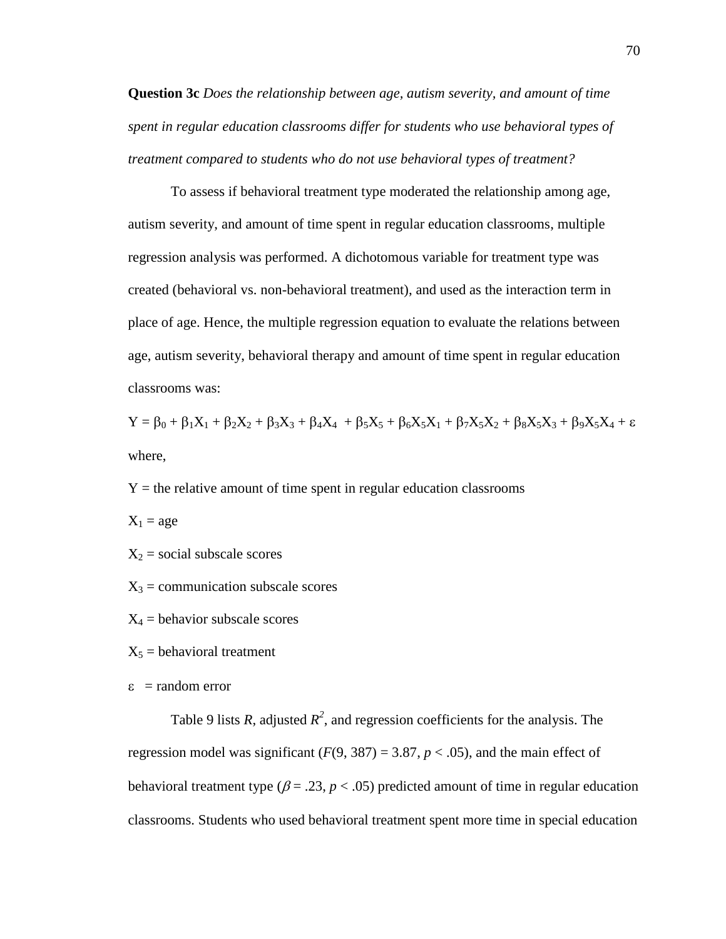**Question 3c** *Does the relationship between age, autism severity, and amount of time spent in regular education classrooms differ for students who use behavioral types of treatment compared to students who do not use behavioral types of treatment?* 

To assess if behavioral treatment type moderated the relationship among age, autism severity, and amount of time spent in regular education classrooms, multiple regression analysis was performed. A dichotomous variable for treatment type was created (behavioral vs. non-behavioral treatment), and used as the interaction term in place of age. Hence, the multiple regression equation to evaluate the relations between age, autism severity, behavioral therapy and amount of time spent in regular education classrooms was:

 $Y = \beta_0 + \beta_1 X_1 + \beta_2 X_2 + \beta_3 X_3 + \beta_4 X_4 + \beta_5 X_5 + \beta_6 X_5 X_1 + \beta_7 X_5 X_2 + \beta_8 X_5 X_3 + \beta_9 X_5 X_4 + \varepsilon$ where,

 $Y =$  the relative amount of time spent in regular education classrooms

 $X_1 = age$ 

 $X_2$  = social subscale scores

- $X_3$  = communication subscale scores
- $X_4$  = behavior subscale scores
- $X_5$  = behavioral treatment
- $\epsilon$  = random error

Table 9 lists *R*, adjusted  $R^2$ , and regression coefficients for the analysis. The regression model was significant  $(F(9, 387) = 3.87, p < .05)$ , and the main effect of behavioral treatment type ( $\beta = .23$ ,  $p < .05$ ) predicted amount of time in regular education classrooms. Students who used behavioral treatment spent more time in special education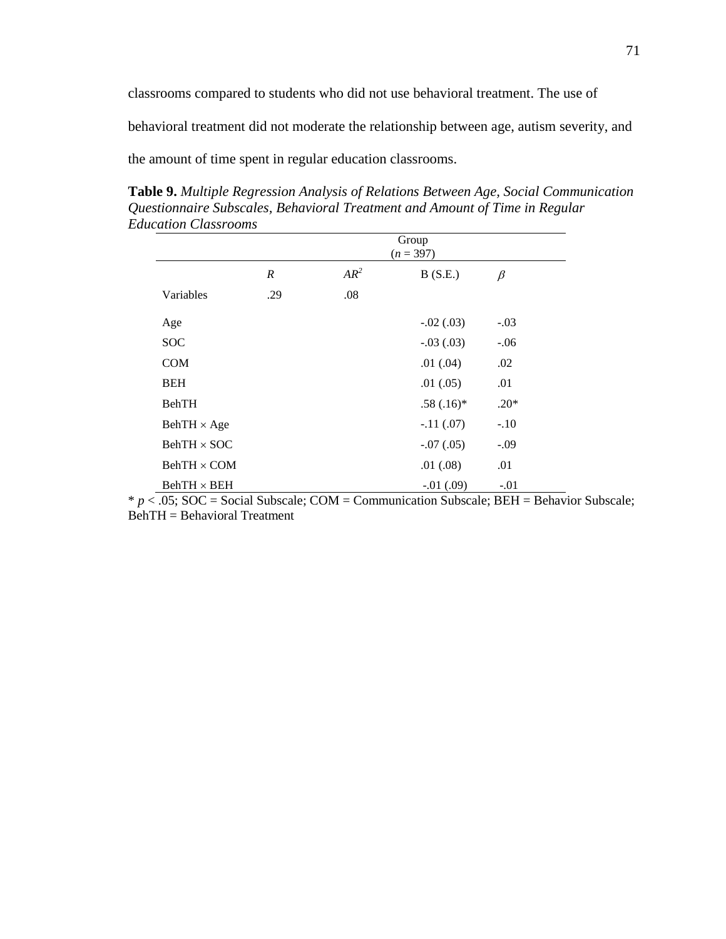classrooms compared to students who did not use behavioral treatment. The use of

behavioral treatment did not moderate the relationship between age, autism severity, and

the amount of time spent in regular education classrooms.

**Table 9.** *Multiple Regression Analysis of Relations Between Age, Social Communication Questionnaire Subscales, Behavioral Treatment and Amount of Time in Regular Education Classrooms* 

|                    | Group<br>$(n = 397)$ |        |              |         |  |
|--------------------|----------------------|--------|--------------|---------|--|
|                    | $\boldsymbol{R}$     | $AR^2$ | B(S.E.)      | $\beta$ |  |
| Variables          | .29                  | .08    |              |         |  |
| Age                |                      |        | $-.02(.03)$  | $-.03$  |  |
| <b>SOC</b>         |                      |        | $-.03(.03)$  | $-.06$  |  |
| <b>COM</b>         |                      |        | .01(.04)     | .02     |  |
| <b>BEH</b>         |                      |        | .01(.05)     | .01     |  |
| <b>BehTH</b>       |                      |        | $.58(.16)$ * | $.20*$  |  |
| $BehTH \times Age$ |                      |        | $-.11(.07)$  | $-.10$  |  |
| $BehTH \times SOC$ |                      |        | $-.07(.05)$  | $-.09$  |  |
| $BehTH \times COM$ |                      |        | .01(.08)     | .01     |  |
| $BehTH \times BEH$ |                      |        | $-.01(.09)$  | $-.01$  |  |

\* *p* < .05; SOC = Social Subscale; COM = Communication Subscale; BEH = Behavior Subscale; BehTH = Behavioral Treatment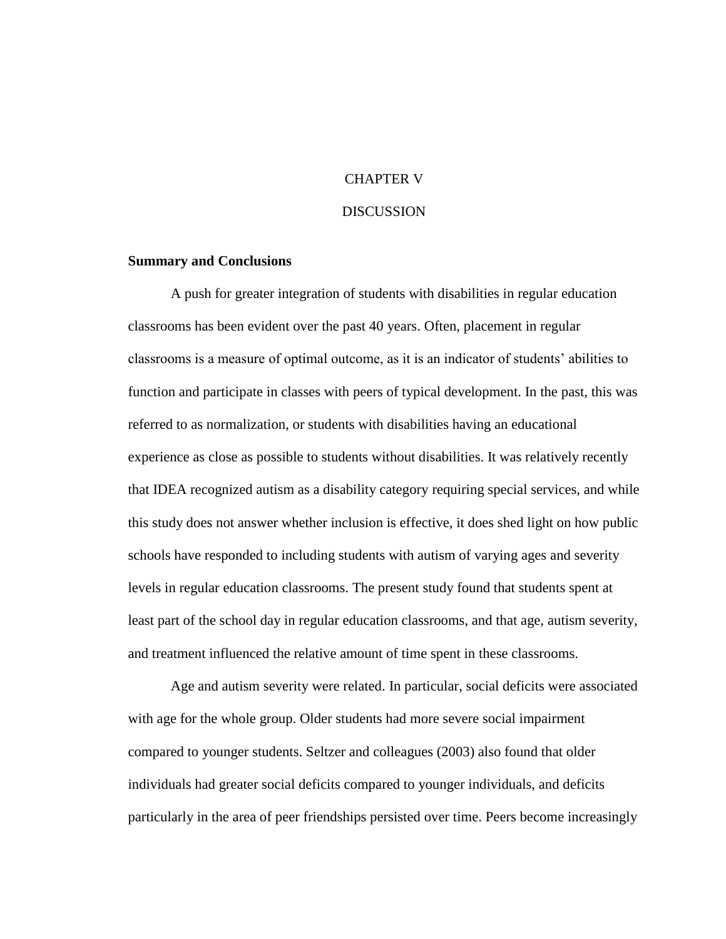## CHAPTER V

### **DISCUSSION**

### **Summary and Conclusions**

A push for greater integration of students with disabilities in regular education classrooms has been evident over the past 40 years. Often, placement in regular classrooms is a measure of optimal outcome, as it is an indicator of students' abilities to function and participate in classes with peers of typical development. In the past, this was referred to as normalization, or students with disabilities having an educational experience as close as possible to students without disabilities. It was relatively recently that IDEA recognized autism as a disability category requiring special services, and while this study does not answer whether inclusion is effective, it does shed light on how public schools have responded to including students with autism of varying ages and severity levels in regular education classrooms. The present study found that students spent at least part of the school day in regular education classrooms, and that age, autism severity, and treatment influenced the relative amount of time spent in these classrooms.

Age and autism severity were related. In particular, social deficits were associated with age for the whole group. Older students had more severe social impairment compared to younger students. Seltzer and colleagues (2003) also found that older individuals had greater social deficits compared to younger individuals, and deficits particularly in the area of peer friendships persisted over time. Peers become increasingly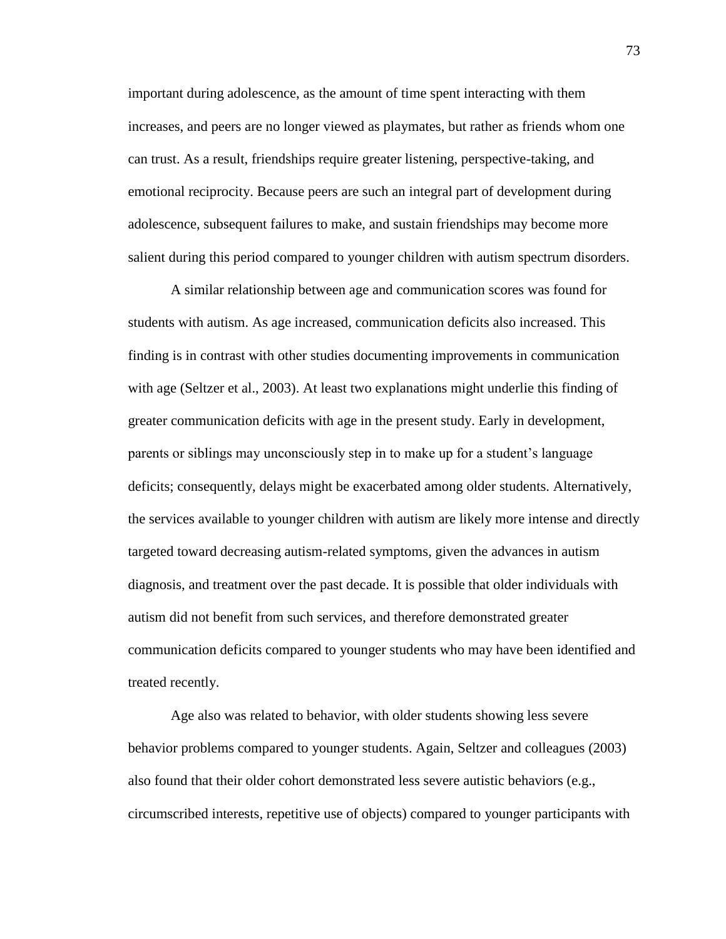important during adolescence, as the amount of time spent interacting with them increases, and peers are no longer viewed as playmates, but rather as friends whom one can trust. As a result, friendships require greater listening, perspective-taking, and emotional reciprocity. Because peers are such an integral part of development during adolescence, subsequent failures to make, and sustain friendships may become more salient during this period compared to younger children with autism spectrum disorders.

A similar relationship between age and communication scores was found for students with autism. As age increased, communication deficits also increased. This finding is in contrast with other studies documenting improvements in communication with age (Seltzer et al., 2003). At least two explanations might underlie this finding of greater communication deficits with age in the present study. Early in development, parents or siblings may unconsciously step in to make up for a student's language deficits; consequently, delays might be exacerbated among older students. Alternatively, the services available to younger children with autism are likely more intense and directly targeted toward decreasing autism-related symptoms, given the advances in autism diagnosis, and treatment over the past decade. It is possible that older individuals with autism did not benefit from such services, and therefore demonstrated greater communication deficits compared to younger students who may have been identified and treated recently.

Age also was related to behavior, with older students showing less severe behavior problems compared to younger students. Again, Seltzer and colleagues (2003) also found that their older cohort demonstrated less severe autistic behaviors (e.g., circumscribed interests, repetitive use of objects) compared to younger participants with

73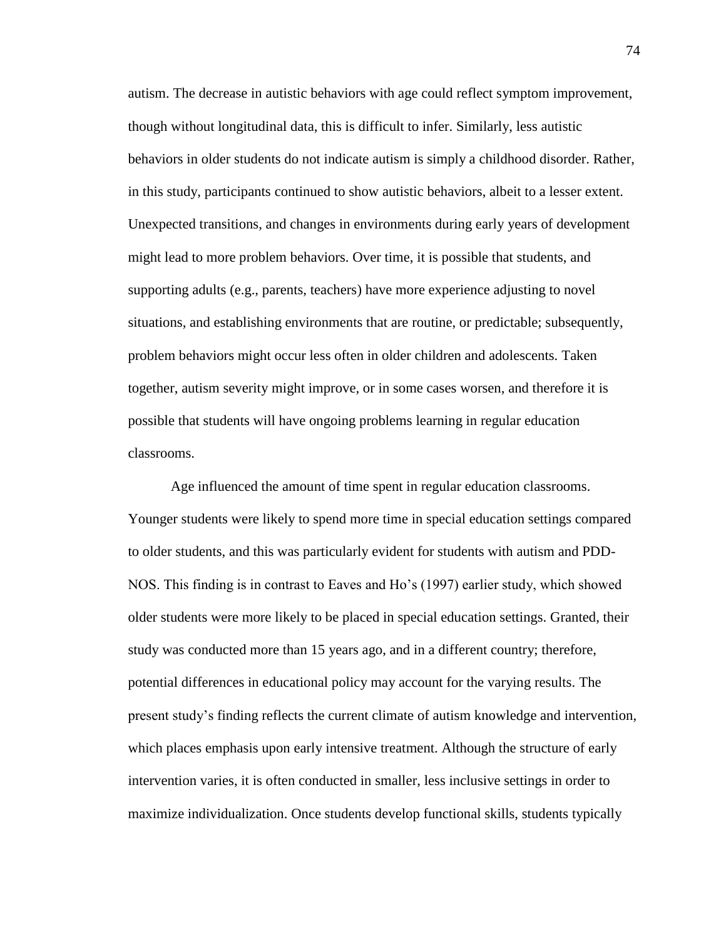autism. The decrease in autistic behaviors with age could reflect symptom improvement, though without longitudinal data, this is difficult to infer. Similarly, less autistic behaviors in older students do not indicate autism is simply a childhood disorder. Rather, in this study, participants continued to show autistic behaviors, albeit to a lesser extent. Unexpected transitions, and changes in environments during early years of development might lead to more problem behaviors. Over time, it is possible that students, and supporting adults (e.g., parents, teachers) have more experience adjusting to novel situations, and establishing environments that are routine, or predictable; subsequently, problem behaviors might occur less often in older children and adolescents. Taken together, autism severity might improve, or in some cases worsen, and therefore it is possible that students will have ongoing problems learning in regular education classrooms.

Age influenced the amount of time spent in regular education classrooms. Younger students were likely to spend more time in special education settings compared to older students, and this was particularly evident for students with autism and PDD-NOS. This finding is in contrast to Eaves and Ho's (1997) earlier study, which showed older students were more likely to be placed in special education settings. Granted, their study was conducted more than 15 years ago, and in a different country; therefore, potential differences in educational policy may account for the varying results. The present study's finding reflects the current climate of autism knowledge and intervention, which places emphasis upon early intensive treatment. Although the structure of early intervention varies, it is often conducted in smaller, less inclusive settings in order to maximize individualization. Once students develop functional skills, students typically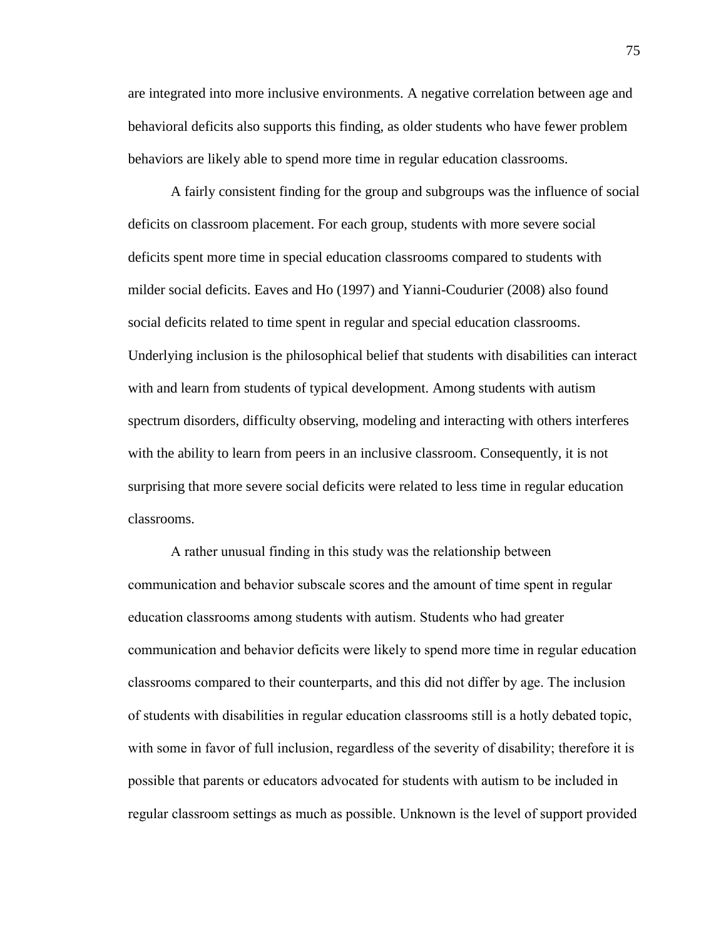are integrated into more inclusive environments. A negative correlation between age and behavioral deficits also supports this finding, as older students who have fewer problem behaviors are likely able to spend more time in regular education classrooms.

A fairly consistent finding for the group and subgroups was the influence of social deficits on classroom placement. For each group, students with more severe social deficits spent more time in special education classrooms compared to students with milder social deficits. Eaves and Ho (1997) and Yianni-Coudurier (2008) also found social deficits related to time spent in regular and special education classrooms. Underlying inclusion is the philosophical belief that students with disabilities can interact with and learn from students of typical development. Among students with autism spectrum disorders, difficulty observing, modeling and interacting with others interferes with the ability to learn from peers in an inclusive classroom. Consequently, it is not surprising that more severe social deficits were related to less time in regular education classrooms.

A rather unusual finding in this study was the relationship between communication and behavior subscale scores and the amount of time spent in regular education classrooms among students with autism. Students who had greater communication and behavior deficits were likely to spend more time in regular education classrooms compared to their counterparts, and this did not differ by age. The inclusion of students with disabilities in regular education classrooms still is a hotly debated topic, with some in favor of full inclusion, regardless of the severity of disability; therefore it is possible that parents or educators advocated for students with autism to be included in regular classroom settings as much as possible. Unknown is the level of support provided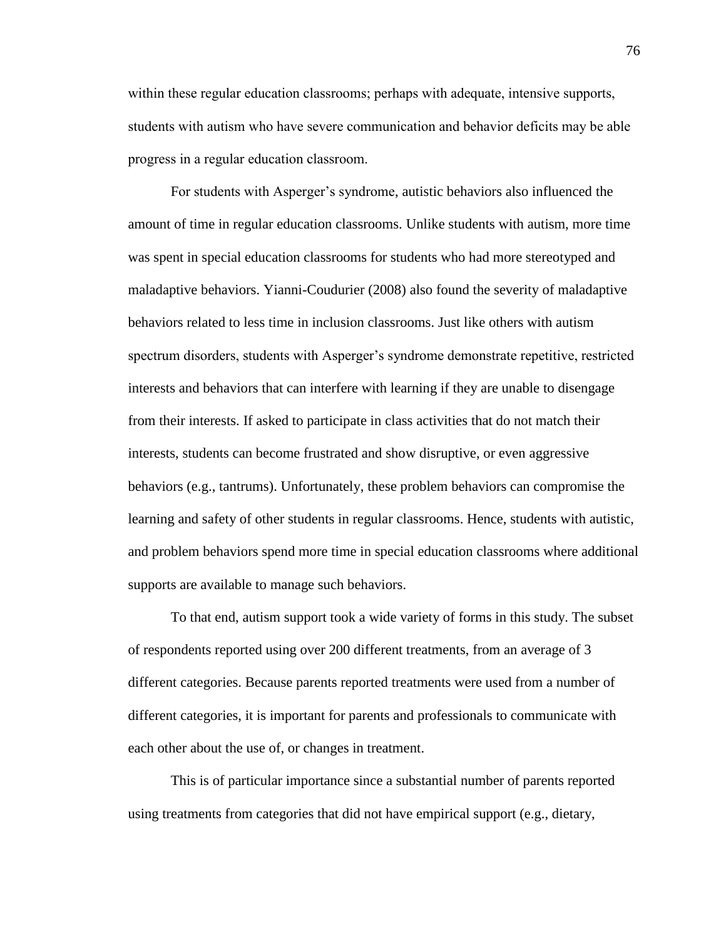within these regular education classrooms; perhaps with adequate, intensive supports, students with autism who have severe communication and behavior deficits may be able progress in a regular education classroom.

For students with Asperger's syndrome, autistic behaviors also influenced the amount of time in regular education classrooms. Unlike students with autism, more time was spent in special education classrooms for students who had more stereotyped and maladaptive behaviors. Yianni-Coudurier (2008) also found the severity of maladaptive behaviors related to less time in inclusion classrooms. Just like others with autism spectrum disorders, students with Asperger's syndrome demonstrate repetitive, restricted interests and behaviors that can interfere with learning if they are unable to disengage from their interests. If asked to participate in class activities that do not match their interests, students can become frustrated and show disruptive, or even aggressive behaviors (e.g., tantrums). Unfortunately, these problem behaviors can compromise the learning and safety of other students in regular classrooms. Hence, students with autistic, and problem behaviors spend more time in special education classrooms where additional supports are available to manage such behaviors.

To that end, autism support took a wide variety of forms in this study. The subset of respondents reported using over 200 different treatments, from an average of 3 different categories. Because parents reported treatments were used from a number of different categories, it is important for parents and professionals to communicate with each other about the use of, or changes in treatment.

This is of particular importance since a substantial number of parents reported using treatments from categories that did not have empirical support (e.g., dietary,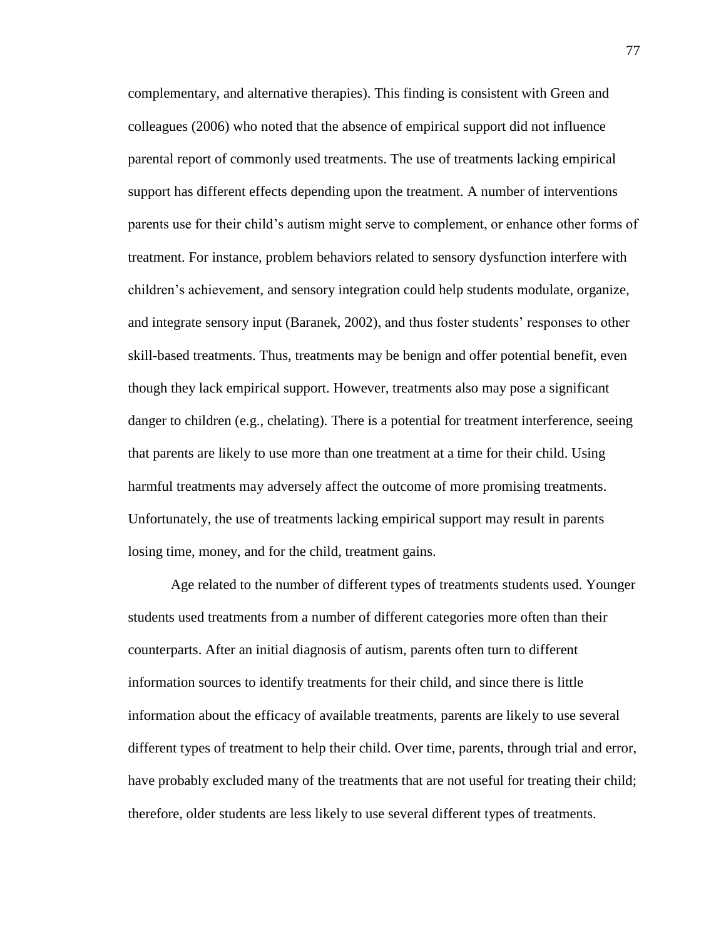complementary, and alternative therapies). This finding is consistent with Green and colleagues (2006) who noted that the absence of empirical support did not influence parental report of commonly used treatments. The use of treatments lacking empirical support has different effects depending upon the treatment. A number of interventions parents use for their child's autism might serve to complement, or enhance other forms of treatment. For instance, problem behaviors related to sensory dysfunction interfere with children's achievement, and sensory integration could help students modulate, organize, and integrate sensory input (Baranek, 2002), and thus foster students' responses to other skill-based treatments. Thus, treatments may be benign and offer potential benefit, even though they lack empirical support. However, treatments also may pose a significant danger to children (e.g., chelating). There is a potential for treatment interference, seeing that parents are likely to use more than one treatment at a time for their child. Using harmful treatments may adversely affect the outcome of more promising treatments. Unfortunately, the use of treatments lacking empirical support may result in parents losing time, money, and for the child, treatment gains.

Age related to the number of different types of treatments students used. Younger students used treatments from a number of different categories more often than their counterparts. After an initial diagnosis of autism, parents often turn to different information sources to identify treatments for their child, and since there is little information about the efficacy of available treatments, parents are likely to use several different types of treatment to help their child. Over time, parents, through trial and error, have probably excluded many of the treatments that are not useful for treating their child; therefore, older students are less likely to use several different types of treatments.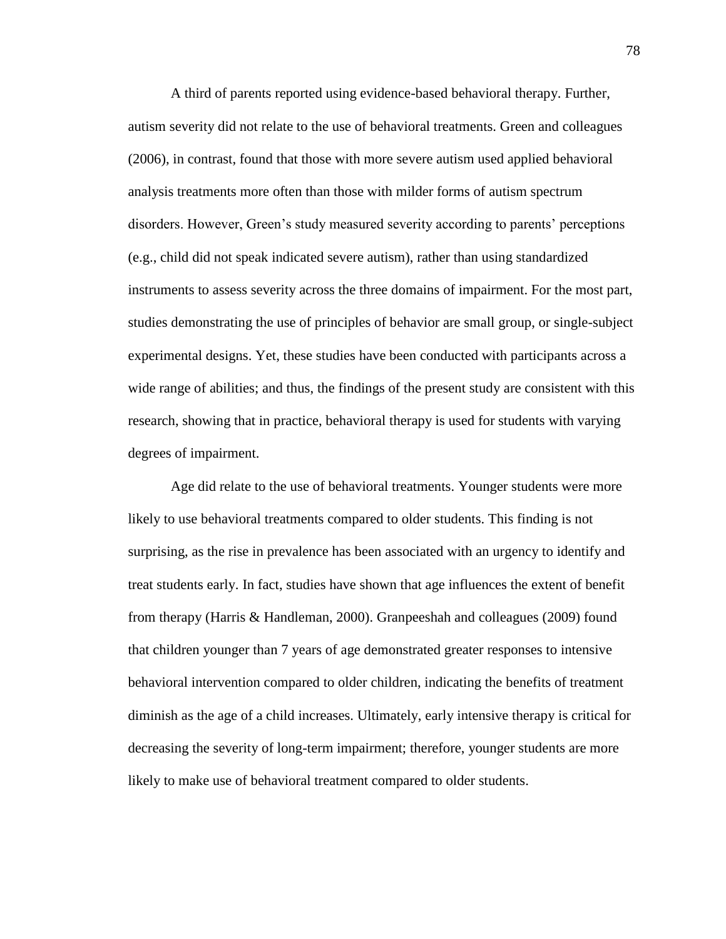A third of parents reported using evidence-based behavioral therapy. Further, autism severity did not relate to the use of behavioral treatments. Green and colleagues (2006), in contrast, found that those with more severe autism used applied behavioral analysis treatments more often than those with milder forms of autism spectrum disorders. However, Green's study measured severity according to parents' perceptions (e.g., child did not speak indicated severe autism), rather than using standardized instruments to assess severity across the three domains of impairment. For the most part, studies demonstrating the use of principles of behavior are small group, or single-subject experimental designs. Yet, these studies have been conducted with participants across a wide range of abilities; and thus, the findings of the present study are consistent with this research, showing that in practice, behavioral therapy is used for students with varying degrees of impairment.

Age did relate to the use of behavioral treatments. Younger students were more likely to use behavioral treatments compared to older students. This finding is not surprising, as the rise in prevalence has been associated with an urgency to identify and treat students early. In fact, studies have shown that age influences the extent of benefit from therapy (Harris & Handleman, 2000). Granpeeshah and colleagues (2009) found that children younger than 7 years of age demonstrated greater responses to intensive behavioral intervention compared to older children, indicating the benefits of treatment diminish as the age of a child increases. Ultimately, early intensive therapy is critical for decreasing the severity of long-term impairment; therefore, younger students are more likely to make use of behavioral treatment compared to older students.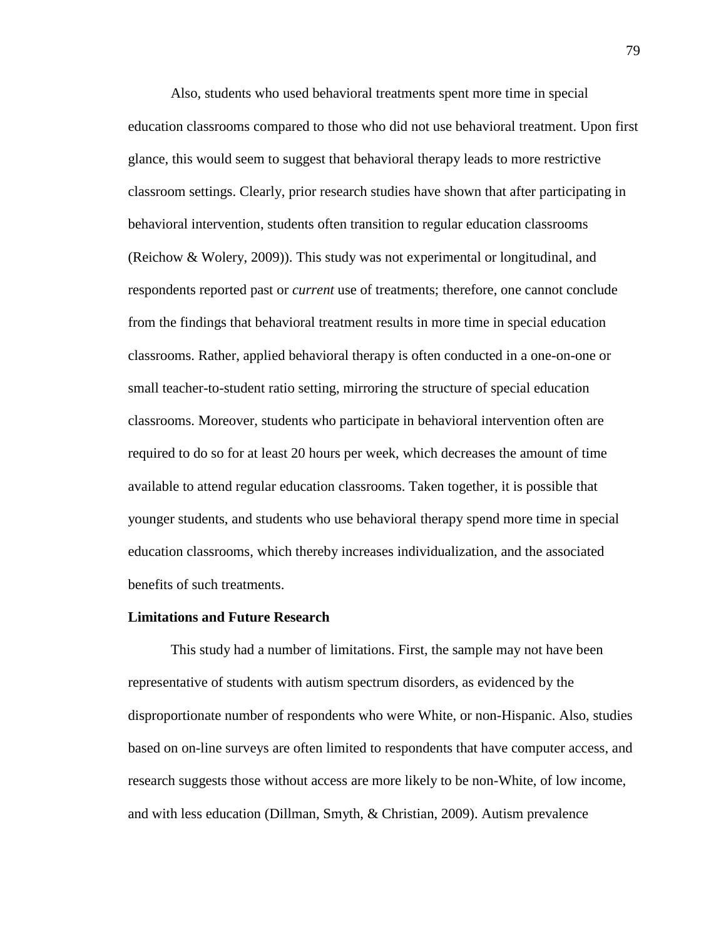Also, students who used behavioral treatments spent more time in special education classrooms compared to those who did not use behavioral treatment. Upon first glance, this would seem to suggest that behavioral therapy leads to more restrictive classroom settings. Clearly, prior research studies have shown that after participating in behavioral intervention, students often transition to regular education classrooms (Reichow & Wolery, 2009)). This study was not experimental or longitudinal, and respondents reported past or *current* use of treatments; therefore, one cannot conclude from the findings that behavioral treatment results in more time in special education classrooms. Rather, applied behavioral therapy is often conducted in a one-on-one or small teacher-to-student ratio setting, mirroring the structure of special education classrooms. Moreover, students who participate in behavioral intervention often are required to do so for at least 20 hours per week, which decreases the amount of time available to attend regular education classrooms. Taken together, it is possible that younger students, and students who use behavioral therapy spend more time in special education classrooms, which thereby increases individualization, and the associated benefits of such treatments.

#### **Limitations and Future Research**

This study had a number of limitations. First, the sample may not have been representative of students with autism spectrum disorders, as evidenced by the disproportionate number of respondents who were White, or non-Hispanic. Also, studies based on on-line surveys are often limited to respondents that have computer access, and research suggests those without access are more likely to be non-White, of low income, and with less education (Dillman, Smyth, & Christian, 2009). Autism prevalence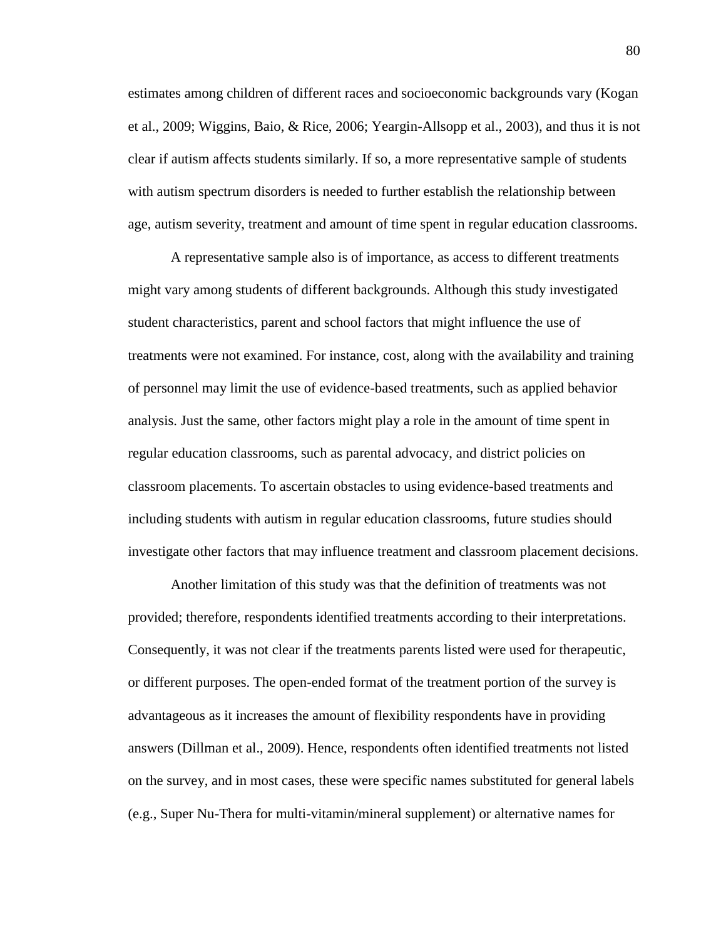estimates among children of different races and socioeconomic backgrounds vary (Kogan et al., 2009; Wiggins, Baio, & Rice, 2006; Yeargin-Allsopp et al., 2003), and thus it is not clear if autism affects students similarly. If so, a more representative sample of students with autism spectrum disorders is needed to further establish the relationship between age, autism severity, treatment and amount of time spent in regular education classrooms.

A representative sample also is of importance, as access to different treatments might vary among students of different backgrounds. Although this study investigated student characteristics, parent and school factors that might influence the use of treatments were not examined. For instance, cost, along with the availability and training of personnel may limit the use of evidence-based treatments, such as applied behavior analysis. Just the same, other factors might play a role in the amount of time spent in regular education classrooms, such as parental advocacy, and district policies on classroom placements. To ascertain obstacles to using evidence-based treatments and including students with autism in regular education classrooms, future studies should investigate other factors that may influence treatment and classroom placement decisions.

Another limitation of this study was that the definition of treatments was not provided; therefore, respondents identified treatments according to their interpretations. Consequently, it was not clear if the treatments parents listed were used for therapeutic, or different purposes. The open-ended format of the treatment portion of the survey is advantageous as it increases the amount of flexibility respondents have in providing answers (Dillman et al., 2009). Hence, respondents often identified treatments not listed on the survey, and in most cases, these were specific names substituted for general labels (e.g., Super Nu-Thera for multi-vitamin/mineral supplement) or alternative names for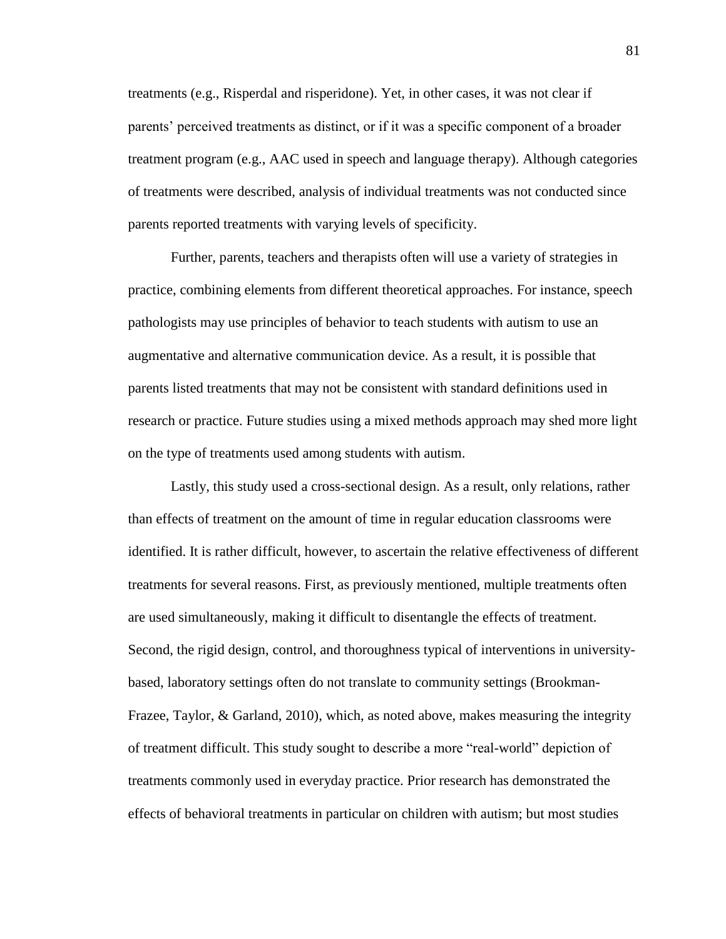treatments (e.g., Risperdal and risperidone). Yet, in other cases, it was not clear if parents' perceived treatments as distinct, or if it was a specific component of a broader treatment program (e.g., AAC used in speech and language therapy). Although categories of treatments were described, analysis of individual treatments was not conducted since parents reported treatments with varying levels of specificity.

Further, parents, teachers and therapists often will use a variety of strategies in practice, combining elements from different theoretical approaches. For instance, speech pathologists may use principles of behavior to teach students with autism to use an augmentative and alternative communication device. As a result, it is possible that parents listed treatments that may not be consistent with standard definitions used in research or practice. Future studies using a mixed methods approach may shed more light on the type of treatments used among students with autism.

Lastly, this study used a cross-sectional design. As a result, only relations, rather than effects of treatment on the amount of time in regular education classrooms were identified. It is rather difficult, however, to ascertain the relative effectiveness of different treatments for several reasons. First, as previously mentioned, multiple treatments often are used simultaneously, making it difficult to disentangle the effects of treatment. Second, the rigid design, control, and thoroughness typical of interventions in universitybased, laboratory settings often do not translate to community settings (Brookman-Frazee, Taylor, & Garland, 2010), which, as noted above, makes measuring the integrity of treatment difficult. This study sought to describe a more "real-world" depiction of treatments commonly used in everyday practice. Prior research has demonstrated the effects of behavioral treatments in particular on children with autism; but most studies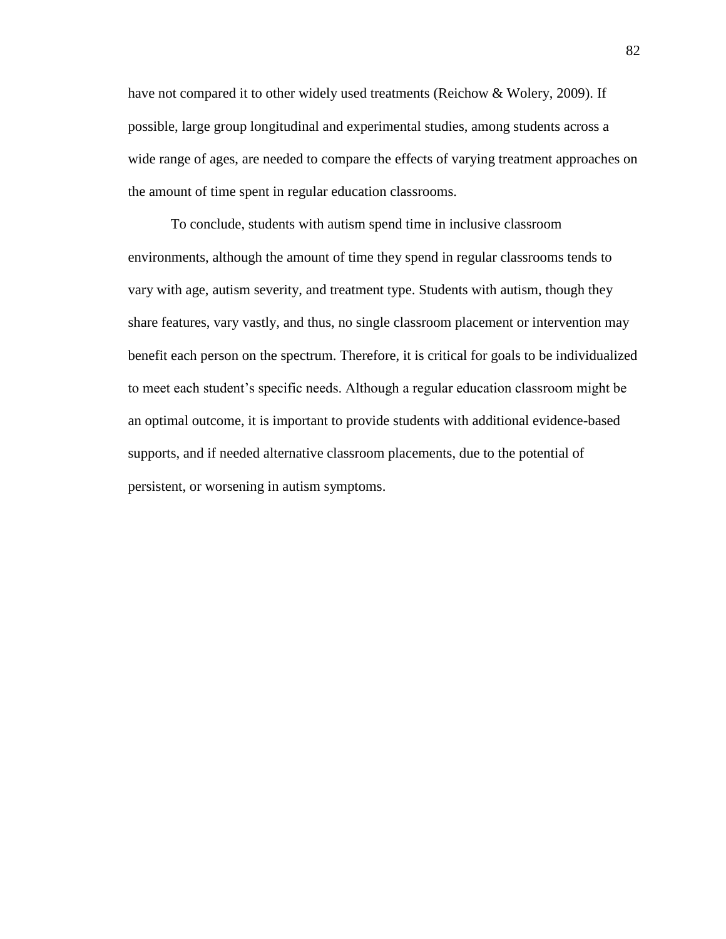have not compared it to other widely used treatments (Reichow & Wolery, 2009). If possible, large group longitudinal and experimental studies, among students across a wide range of ages, are needed to compare the effects of varying treatment approaches on the amount of time spent in regular education classrooms.

To conclude, students with autism spend time in inclusive classroom environments, although the amount of time they spend in regular classrooms tends to vary with age, autism severity, and treatment type. Students with autism, though they share features, vary vastly, and thus, no single classroom placement or intervention may benefit each person on the spectrum. Therefore, it is critical for goals to be individualized to meet each student's specific needs. Although a regular education classroom might be an optimal outcome, it is important to provide students with additional evidence-based supports, and if needed alternative classroom placements, due to the potential of persistent, or worsening in autism symptoms.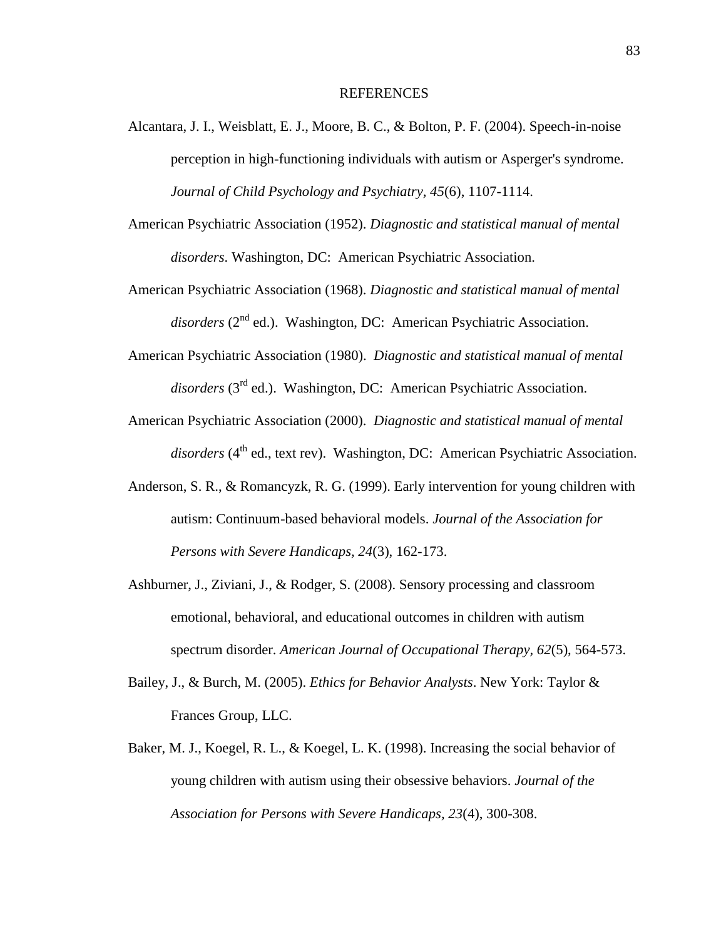#### REFERENCES

- Alcantara, J. I., Weisblatt, E. J., Moore, B. C., & Bolton, P. F. (2004). Speech-in-noise perception in high-functioning individuals with autism or Asperger's syndrome. *Journal of Child Psychology and Psychiatry, 45*(6), 1107-1114.
- American Psychiatric Association (1952). *Diagnostic and statistical manual of mental disorders*. Washington, DC: American Psychiatric Association.
- American Psychiatric Association (1968). *Diagnostic and statistical manual of mental*  disorders (2<sup>nd</sup> ed.). Washington, DC: American Psychiatric Association.
- American Psychiatric Association (1980). *Diagnostic and statistical manual of mental disorders* (3rd ed.). Washington, DC: American Psychiatric Association.
- American Psychiatric Association (2000). *Diagnostic and statistical manual of mental disorders* (4<sup>th</sup> ed., text rev). Washington, DC: American Psychiatric Association.
- Anderson, S. R., & Romancyzk, R. G. (1999). Early intervention for young children with autism: Continuum-based behavioral models. *Journal of the Association for Persons with Severe Handicaps, 24*(3), 162-173.
- Ashburner, J., Ziviani, J., & Rodger, S. (2008). Sensory processing and classroom emotional, behavioral, and educational outcomes in children with autism spectrum disorder. *American Journal of Occupational Therapy, 62*(5), 564-573.
- Bailey, J., & Burch, M. (2005). *Ethics for Behavior Analysts*. New York: Taylor & Frances Group, LLC.
- Baker, M. J., Koegel, R. L., & Koegel, L. K. (1998). Increasing the social behavior of young children with autism using their obsessive behaviors. *Journal of the Association for Persons with Severe Handicaps, 23*(4), 300-308.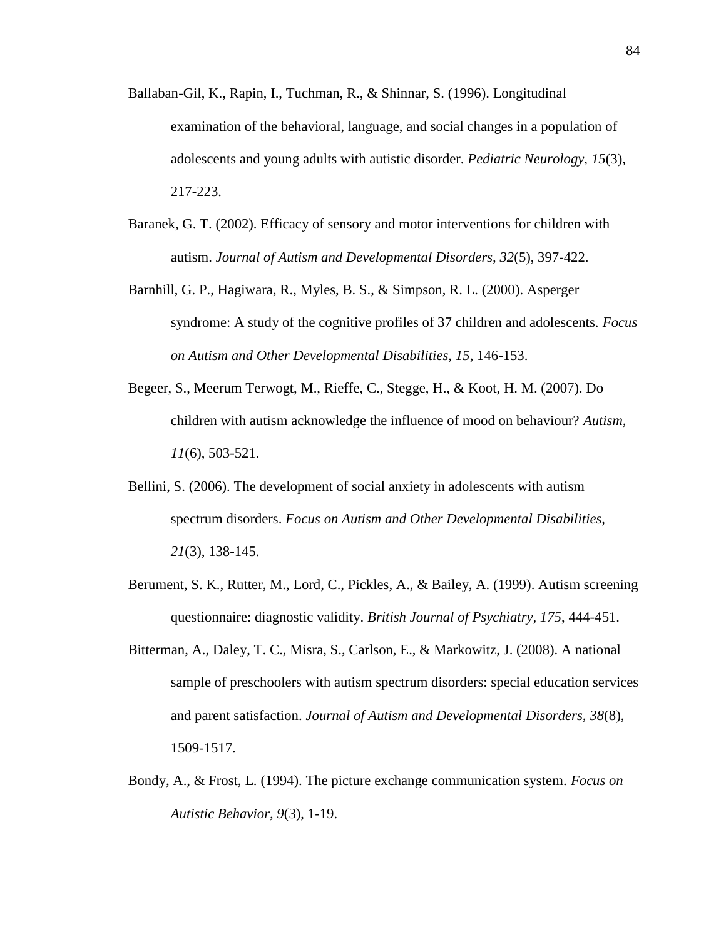- Ballaban-Gil, K., Rapin, I., Tuchman, R., & Shinnar, S. (1996). Longitudinal examination of the behavioral, language, and social changes in a population of adolescents and young adults with autistic disorder. *Pediatric Neurology, 15*(3), 217-223.
- Baranek, G. T. (2002). Efficacy of sensory and motor interventions for children with autism. *Journal of Autism and Developmental Disorders, 32*(5), 397-422.
- Barnhill, G. P., Hagiwara, R., Myles, B. S., & Simpson, R. L. (2000). Asperger syndrome: A study of the cognitive profiles of 37 children and adolescents. *Focus on Autism and Other Developmental Disabilities, 15*, 146-153.
- Begeer, S., Meerum Terwogt, M., Rieffe, C., Stegge, H., & Koot, H. M. (2007). Do children with autism acknowledge the influence of mood on behaviour? *Autism, 11*(6), 503-521.
- Bellini, S. (2006). The development of social anxiety in adolescents with autism spectrum disorders. *Focus on Autism and Other Developmental Disabilities, 21*(3), 138-145.
- Berument, S. K., Rutter, M., Lord, C., Pickles, A., & Bailey, A. (1999). Autism screening questionnaire: diagnostic validity. *British Journal of Psychiatry, 175*, 444-451.
- Bitterman, A., Daley, T. C., Misra, S., Carlson, E., & Markowitz, J. (2008). A national sample of preschoolers with autism spectrum disorders: special education services and parent satisfaction. *Journal of Autism and Developmental Disorders, 38*(8), 1509-1517.
- Bondy, A., & Frost, L. (1994). The picture exchange communication system. *Focus on Autistic Behavior, 9*(3), 1-19.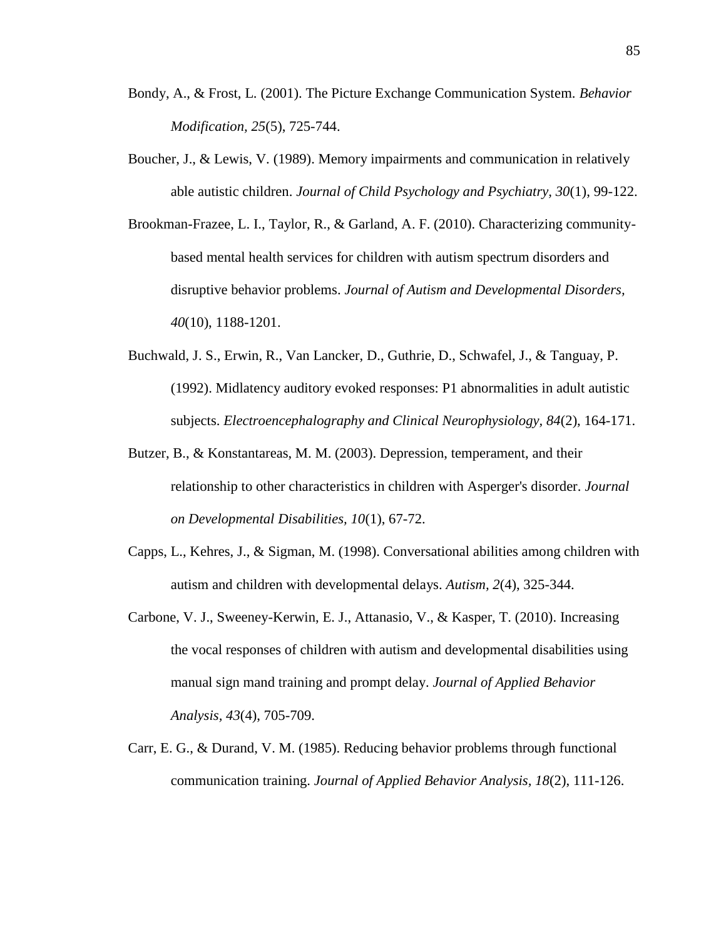- Bondy, A., & Frost, L. (2001). The Picture Exchange Communication System. *Behavior Modification, 25*(5), 725-744.
- Boucher, J., & Lewis, V. (1989). Memory impairments and communication in relatively able autistic children. *Journal of Child Psychology and Psychiatry, 30*(1), 99-122.
- Brookman-Frazee, L. I., Taylor, R., & Garland, A. F. (2010). Characterizing communitybased mental health services for children with autism spectrum disorders and disruptive behavior problems. *Journal of Autism and Developmental Disorders, 40*(10), 1188-1201.
- Buchwald, J. S., Erwin, R., Van Lancker, D., Guthrie, D., Schwafel, J., & Tanguay, P. (1992). Midlatency auditory evoked responses: P1 abnormalities in adult autistic subjects. *Electroencephalography and Clinical Neurophysiology, 84*(2), 164-171.
- Butzer, B., & Konstantareas, M. M. (2003). Depression, temperament, and their relationship to other characteristics in children with Asperger's disorder. *Journal on Developmental Disabilities, 10*(1), 67-72.
- Capps, L., Kehres, J., & Sigman, M. (1998). Conversational abilities among children with autism and children with developmental delays. *Autism, 2*(4), 325-344.
- Carbone, V. J., Sweeney-Kerwin, E. J., Attanasio, V., & Kasper, T. (2010). Increasing the vocal responses of children with autism and developmental disabilities using manual sign mand training and prompt delay. *Journal of Applied Behavior Analysis, 43*(4), 705-709.
- Carr, E. G., & Durand, V. M. (1985). Reducing behavior problems through functional communication training. *Journal of Applied Behavior Analysis, 18*(2), 111-126.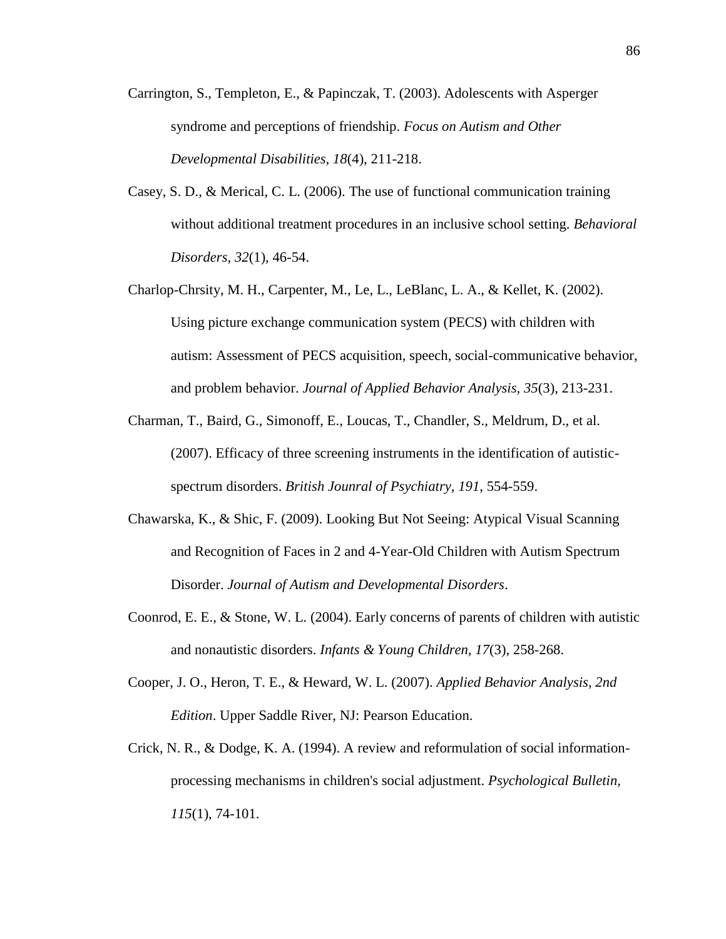- Carrington, S., Templeton, E., & Papinczak, T. (2003). Adolescents with Asperger syndrome and perceptions of friendship. *Focus on Autism and Other Developmental Disabilities, 18*(4), 211-218.
- Casey, S. D., & Merical, C. L. (2006). The use of functional communication training without additional treatment procedures in an inclusive school setting. *Behavioral Disorders, 32*(1), 46-54.
- Charlop-Chrsity, M. H., Carpenter, M., Le, L., LeBlanc, L. A., & Kellet, K. (2002). Using picture exchange communication system (PECS) with children with autism: Assessment of PECS acquisition, speech, social-communicative behavior, and problem behavior. *Journal of Applied Behavior Analysis, 35*(3), 213-231.
- Charman, T., Baird, G., Simonoff, E., Loucas, T., Chandler, S., Meldrum, D., et al. (2007). Efficacy of three screening instruments in the identification of autisticspectrum disorders. *British Jounral of Psychiatry, 191*, 554-559.
- Chawarska, K., & Shic, F. (2009). Looking But Not Seeing: Atypical Visual Scanning and Recognition of Faces in 2 and 4-Year-Old Children with Autism Spectrum Disorder. *Journal of Autism and Developmental Disorders*.
- Coonrod, E. E., & Stone, W. L. (2004). Early concerns of parents of children with autistic and nonautistic disorders. *Infants & Young Children, 17*(3), 258-268.
- Cooper, J. O., Heron, T. E., & Heward, W. L. (2007). *Applied Behavior Analysis, 2nd Edition*. Upper Saddle River, NJ: Pearson Education.
- Crick, N. R., & Dodge, K. A. (1994). A review and reformulation of social informationprocessing mechanisms in children's social adjustment. *Psychological Bulletin, 115*(1), 74-101.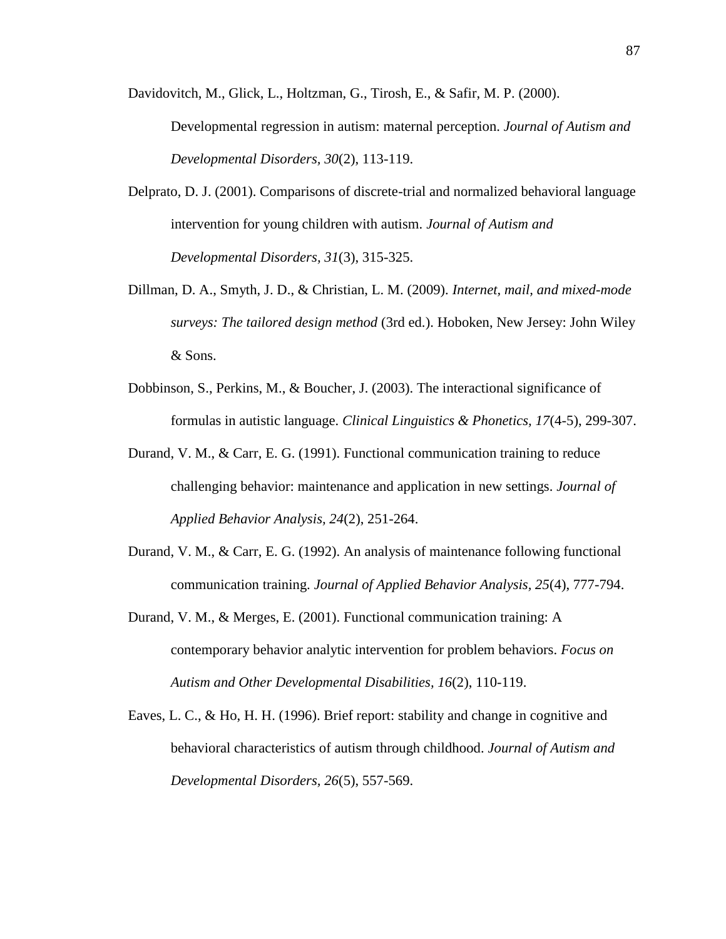Davidovitch, M., Glick, L., Holtzman, G., Tirosh, E., & Safir, M. P. (2000).

Developmental regression in autism: maternal perception. *Journal of Autism and Developmental Disorders, 30*(2), 113-119.

- Delprato, D. J. (2001). Comparisons of discrete-trial and normalized behavioral language intervention for young children with autism. *Journal of Autism and Developmental Disorders, 31*(3), 315-325.
- Dillman, D. A., Smyth, J. D., & Christian, L. M. (2009). *Internet, mail, and mixed-mode surveys: The tailored design method* (3rd ed.). Hoboken, New Jersey: John Wiley & Sons.
- Dobbinson, S., Perkins, M., & Boucher, J. (2003). The interactional significance of formulas in autistic language. *Clinical Linguistics & Phonetics, 17*(4-5), 299-307.
- Durand, V. M., & Carr, E. G. (1991). Functional communication training to reduce challenging behavior: maintenance and application in new settings. *Journal of Applied Behavior Analysis, 24*(2), 251-264.
- Durand, V. M., & Carr, E. G. (1992). An analysis of maintenance following functional communication training. *Journal of Applied Behavior Analysis, 25*(4), 777-794.
- Durand, V. M., & Merges, E. (2001). Functional communication training: A contemporary behavior analytic intervention for problem behaviors. *Focus on Autism and Other Developmental Disabilities, 16*(2), 110-119.
- Eaves, L. C., & Ho, H. H. (1996). Brief report: stability and change in cognitive and behavioral characteristics of autism through childhood. *Journal of Autism and Developmental Disorders, 26*(5), 557-569.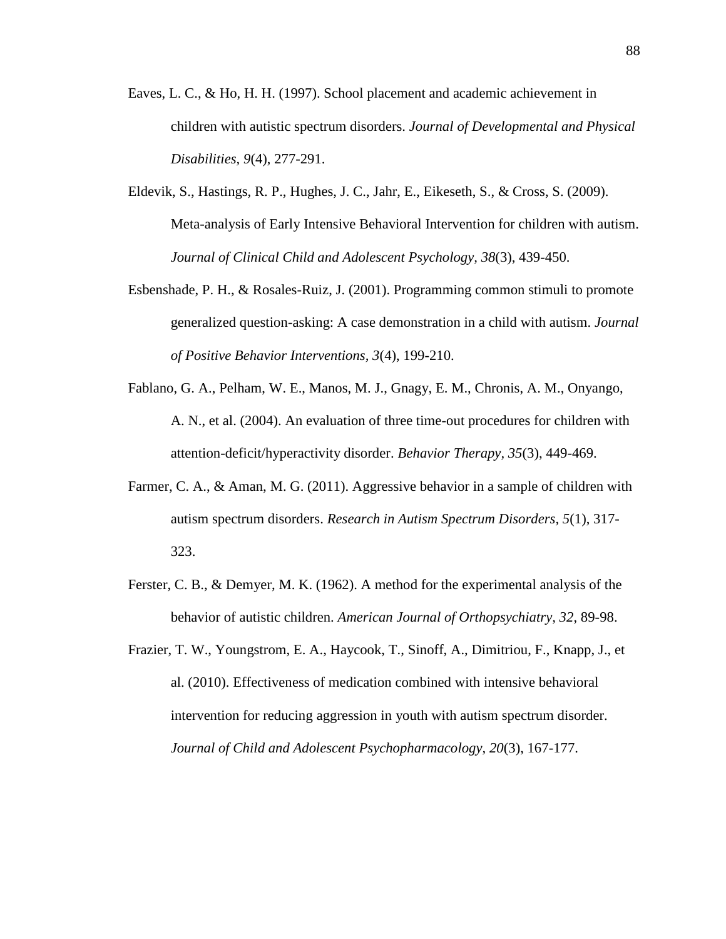- Eaves, L. C., & Ho, H. H. (1997). School placement and academic achievement in children with autistic spectrum disorders. *Journal of Developmental and Physical Disabilities, 9*(4), 277-291.
- Eldevik, S., Hastings, R. P., Hughes, J. C., Jahr, E., Eikeseth, S., & Cross, S. (2009). Meta-analysis of Early Intensive Behavioral Intervention for children with autism. *Journal of Clinical Child and Adolescent Psychology, 38*(3), 439-450.
- Esbenshade, P. H., & Rosales-Ruiz, J. (2001). Programming common stimuli to promote generalized question-asking: A case demonstration in a child with autism. *Journal of Positive Behavior Interventions, 3*(4), 199-210.
- Fablano, G. A., Pelham, W. E., Manos, M. J., Gnagy, E. M., Chronis, A. M., Onyango, A. N., et al. (2004). An evaluation of three time-out procedures for children with attention-deficit/hyperactivity disorder. *Behavior Therapy, 35*(3), 449-469.
- Farmer, C. A., & Aman, M. G. (2011). Aggressive behavior in a sample of children with autism spectrum disorders. *Research in Autism Spectrum Disorders, 5*(1), 317- 323.
- Ferster, C. B., & Demyer, M. K. (1962). A method for the experimental analysis of the behavior of autistic children. *American Journal of Orthopsychiatry, 32*, 89-98.
- Frazier, T. W., Youngstrom, E. A., Haycook, T., Sinoff, A., Dimitriou, F., Knapp, J., et al. (2010). Effectiveness of medication combined with intensive behavioral intervention for reducing aggression in youth with autism spectrum disorder. *Journal of Child and Adolescent Psychopharmacology, 20*(3), 167-177.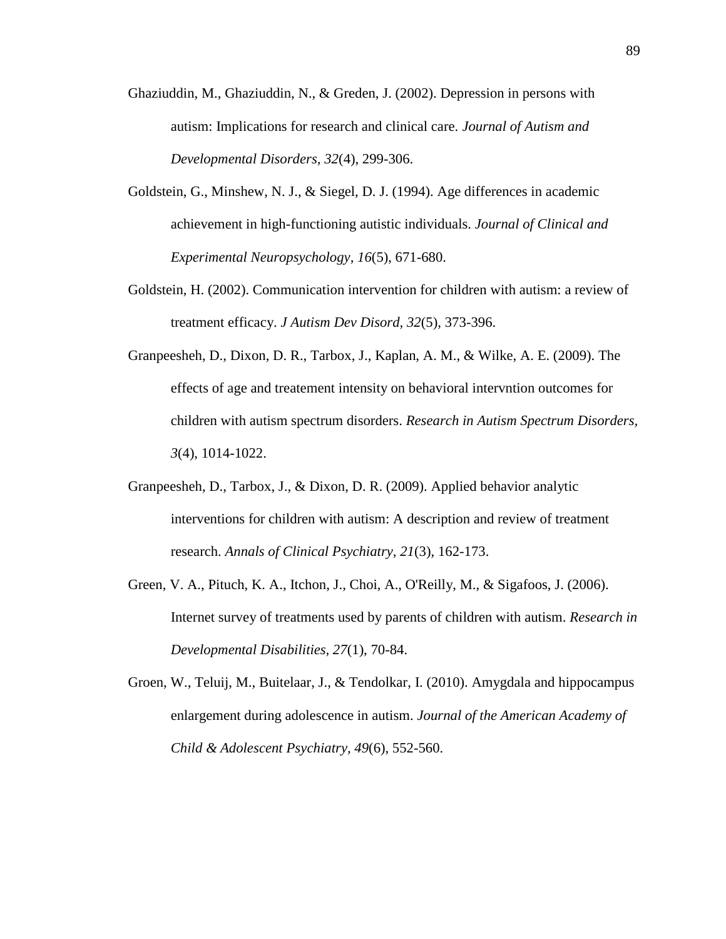- Ghaziuddin, M., Ghaziuddin, N., & Greden, J. (2002). Depression in persons with autism: Implications for research and clinical care. *Journal of Autism and Developmental Disorders, 32*(4), 299-306.
- Goldstein, G., Minshew, N. J., & Siegel, D. J. (1994). Age differences in academic achievement in high-functioning autistic individuals. *Journal of Clinical and Experimental Neuropsychology, 16*(5), 671-680.
- Goldstein, H. (2002). Communication intervention for children with autism: a review of treatment efficacy. *J Autism Dev Disord, 32*(5), 373-396.
- Granpeesheh, D., Dixon, D. R., Tarbox, J., Kaplan, A. M., & Wilke, A. E. (2009). The effects of age and treatement intensity on behavioral intervntion outcomes for children with autism spectrum disorders. *Research in Autism Spectrum Disorders, 3*(4), 1014-1022.
- Granpeesheh, D., Tarbox, J., & Dixon, D. R. (2009). Applied behavior analytic interventions for children with autism: A description and review of treatment research. *Annals of Clinical Psychiatry, 21*(3), 162-173.
- Green, V. A., Pituch, K. A., Itchon, J., Choi, A., O'Reilly, M., & Sigafoos, J. (2006). Internet survey of treatments used by parents of children with autism. *Research in Developmental Disabilities, 27*(1), 70-84.
- Groen, W., Teluij, M., Buitelaar, J., & Tendolkar, I. (2010). Amygdala and hippocampus enlargement during adolescence in autism. *Journal of the American Academy of Child & Adolescent Psychiatry, 49*(6), 552-560.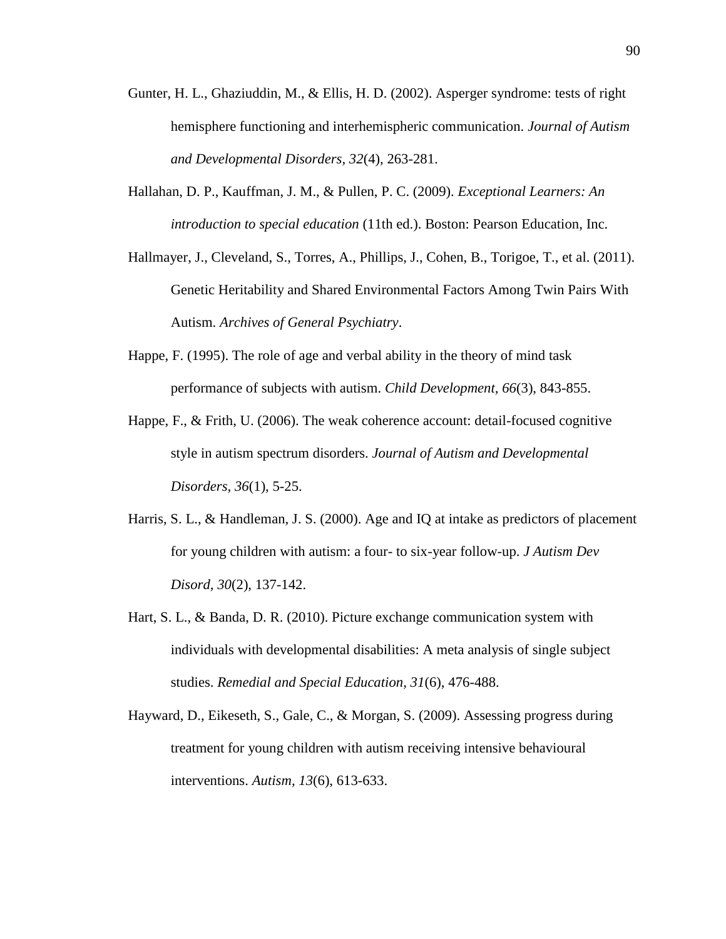- Gunter, H. L., Ghaziuddin, M., & Ellis, H. D. (2002). Asperger syndrome: tests of right hemisphere functioning and interhemispheric communication. *Journal of Autism and Developmental Disorders, 32*(4), 263-281.
- Hallahan, D. P., Kauffman, J. M., & Pullen, P. C. (2009). *Exceptional Learners: An introduction to special education* (11th ed.). Boston: Pearson Education, Inc.
- Hallmayer, J., Cleveland, S., Torres, A., Phillips, J., Cohen, B., Torigoe, T., et al. (2011). Genetic Heritability and Shared Environmental Factors Among Twin Pairs With Autism. *Archives of General Psychiatry*.
- Happe, F. (1995). The role of age and verbal ability in the theory of mind task performance of subjects with autism. *Child Development, 66*(3), 843-855.
- Happe, F., & Frith, U. (2006). The weak coherence account: detail-focused cognitive style in autism spectrum disorders. *Journal of Autism and Developmental Disorders, 36*(1), 5-25.
- Harris, S. L., & Handleman, J. S. (2000). Age and IQ at intake as predictors of placement for young children with autism: a four- to six-year follow-up. *J Autism Dev Disord, 30*(2), 137-142.
- Hart, S. L., & Banda, D. R. (2010). Picture exchange communication system with individuals with developmental disabilities: A meta analysis of single subject studies. *Remedial and Special Education, 31*(6), 476-488.
- Hayward, D., Eikeseth, S., Gale, C., & Morgan, S. (2009). Assessing progress during treatment for young children with autism receiving intensive behavioural interventions. *Autism, 13*(6), 613-633.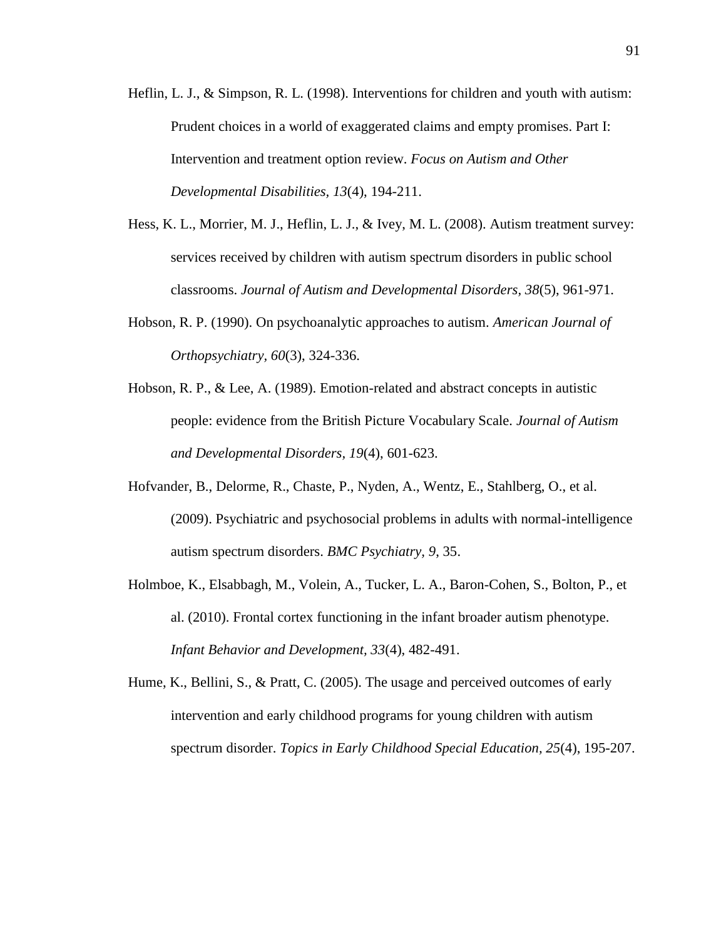- Heflin, L. J., & Simpson, R. L. (1998). Interventions for children and youth with autism: Prudent choices in a world of exaggerated claims and empty promises. Part I: Intervention and treatment option review. *Focus on Autism and Other Developmental Disabilities, 13*(4), 194-211.
- Hess, K. L., Morrier, M. J., Heflin, L. J., & Ivey, M. L. (2008). Autism treatment survey: services received by children with autism spectrum disorders in public school classrooms. *Journal of Autism and Developmental Disorders, 38*(5), 961-971.
- Hobson, R. P. (1990). On psychoanalytic approaches to autism. *American Journal of Orthopsychiatry, 60*(3), 324-336.
- Hobson, R. P., & Lee, A. (1989). Emotion-related and abstract concepts in autistic people: evidence from the British Picture Vocabulary Scale. *Journal of Autism and Developmental Disorders, 19*(4), 601-623.
- Hofvander, B., Delorme, R., Chaste, P., Nyden, A., Wentz, E., Stahlberg, O., et al. (2009). Psychiatric and psychosocial problems in adults with normal-intelligence autism spectrum disorders. *BMC Psychiatry, 9*, 35.
- Holmboe, K., Elsabbagh, M., Volein, A., Tucker, L. A., Baron-Cohen, S., Bolton, P., et al. (2010). Frontal cortex functioning in the infant broader autism phenotype. *Infant Behavior and Development, 33*(4), 482-491.
- Hume, K., Bellini, S., & Pratt, C. (2005). The usage and perceived outcomes of early intervention and early childhood programs for young children with autism spectrum disorder. *Topics in Early Childhood Special Education, 25*(4), 195-207.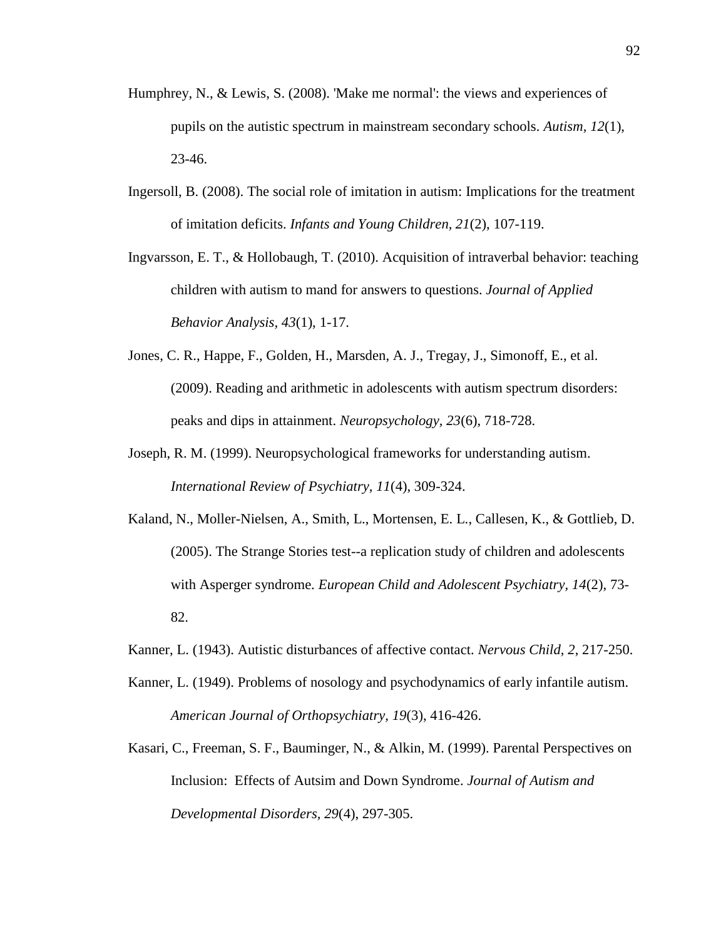- Humphrey, N., & Lewis, S. (2008). 'Make me normal': the views and experiences of pupils on the autistic spectrum in mainstream secondary schools. *Autism, 12*(1), 23-46.
- Ingersoll, B. (2008). The social role of imitation in autism: Implications for the treatment of imitation deficits. *Infants and Young Children, 21*(2), 107-119.
- Ingvarsson, E. T., & Hollobaugh, T. (2010). Acquisition of intraverbal behavior: teaching children with autism to mand for answers to questions. *Journal of Applied Behavior Analysis, 43*(1), 1-17.
- Jones, C. R., Happe, F., Golden, H., Marsden, A. J., Tregay, J., Simonoff, E., et al. (2009). Reading and arithmetic in adolescents with autism spectrum disorders: peaks and dips in attainment. *Neuropsychology, 23*(6), 718-728.
- Joseph, R. M. (1999). Neuropsychological frameworks for understanding autism. *International Review of Psychiatry, 11*(4), 309-324.
- Kaland, N., Moller-Nielsen, A., Smith, L., Mortensen, E. L., Callesen, K., & Gottlieb, D. (2005). The Strange Stories test--a replication study of children and adolescents with Asperger syndrome. *European Child and Adolescent Psychiatry, 14*(2), 73- 82.
- Kanner, L. (1943). Autistic disturbances of affective contact. *Nervous Child, 2*, 217-250.
- Kanner, L. (1949). Problems of nosology and psychodynamics of early infantile autism. *American Journal of Orthopsychiatry, 19*(3), 416-426.
- Kasari, C., Freeman, S. F., Bauminger, N., & Alkin, M. (1999). Parental Perspectives on Inclusion: Effects of Autsim and Down Syndrome. *Journal of Autism and Developmental Disorders, 29*(4), 297-305.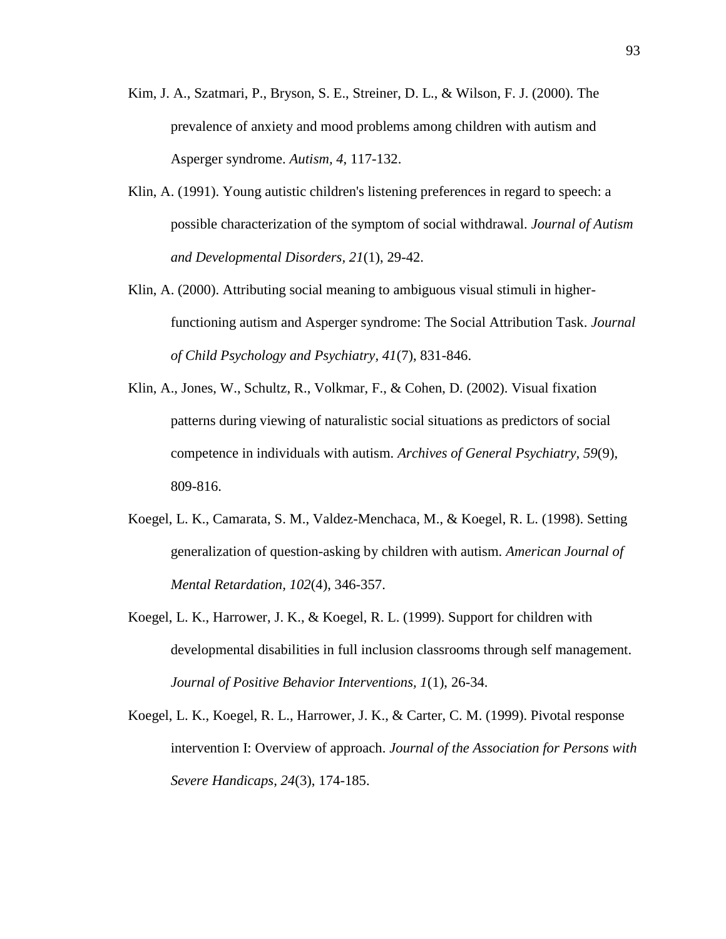- Kim, J. A., Szatmari, P., Bryson, S. E., Streiner, D. L., & Wilson, F. J. (2000). The prevalence of anxiety and mood problems among children with autism and Asperger syndrome. *Autism, 4*, 117-132.
- Klin, A. (1991). Young autistic children's listening preferences in regard to speech: a possible characterization of the symptom of social withdrawal. *Journal of Autism and Developmental Disorders, 21*(1), 29-42.
- Klin, A. (2000). Attributing social meaning to ambiguous visual stimuli in higherfunctioning autism and Asperger syndrome: The Social Attribution Task. *Journal of Child Psychology and Psychiatry, 41*(7), 831-846.
- Klin, A., Jones, W., Schultz, R., Volkmar, F., & Cohen, D. (2002). Visual fixation patterns during viewing of naturalistic social situations as predictors of social competence in individuals with autism. *Archives of General Psychiatry, 59*(9), 809-816.
- Koegel, L. K., Camarata, S. M., Valdez-Menchaca, M., & Koegel, R. L. (1998). Setting generalization of question-asking by children with autism. *American Journal of Mental Retardation, 102*(4), 346-357.
- Koegel, L. K., Harrower, J. K., & Koegel, R. L. (1999). Support for children with developmental disabilities in full inclusion classrooms through self management. *Journal of Positive Behavior Interventions, 1*(1), 26-34.
- Koegel, L. K., Koegel, R. L., Harrower, J. K., & Carter, C. M. (1999). Pivotal response intervention I: Overview of approach. *Journal of the Association for Persons with Severe Handicaps, 24*(3), 174-185.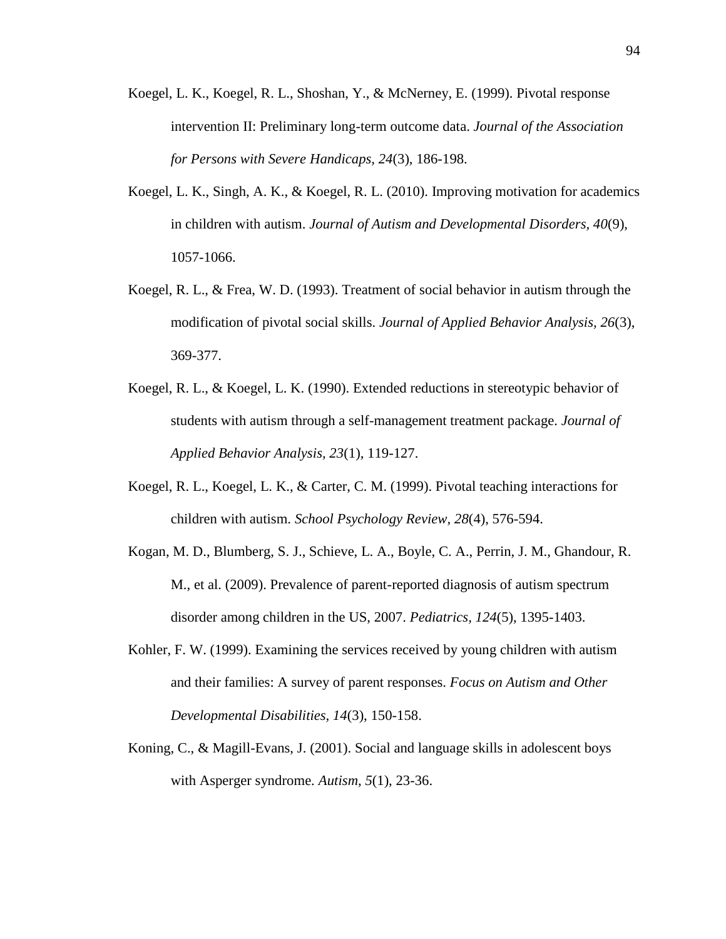- Koegel, L. K., Koegel, R. L., Shoshan, Y., & McNerney, E. (1999). Pivotal response intervention II: Preliminary long-term outcome data. *Journal of the Association for Persons with Severe Handicaps, 24*(3), 186-198.
- Koegel, L. K., Singh, A. K., & Koegel, R. L. (2010). Improving motivation for academics in children with autism. *Journal of Autism and Developmental Disorders, 40*(9), 1057-1066.
- Koegel, R. L., & Frea, W. D. (1993). Treatment of social behavior in autism through the modification of pivotal social skills. *Journal of Applied Behavior Analysis, 26*(3), 369-377.
- Koegel, R. L., & Koegel, L. K. (1990). Extended reductions in stereotypic behavior of students with autism through a self-management treatment package. *Journal of Applied Behavior Analysis, 23*(1), 119-127.
- Koegel, R. L., Koegel, L. K., & Carter, C. M. (1999). Pivotal teaching interactions for children with autism. *School Psychology Review, 28*(4), 576-594.
- Kogan, M. D., Blumberg, S. J., Schieve, L. A., Boyle, C. A., Perrin, J. M., Ghandour, R. M., et al. (2009). Prevalence of parent-reported diagnosis of autism spectrum disorder among children in the US, 2007. *Pediatrics, 124*(5), 1395-1403.
- Kohler, F. W. (1999). Examining the services received by young children with autism and their families: A survey of parent responses. *Focus on Autism and Other Developmental Disabilities, 14*(3), 150-158.
- Koning, C., & Magill-Evans, J. (2001). Social and language skills in adolescent boys with Asperger syndrome. *Autism, 5*(1), 23-36.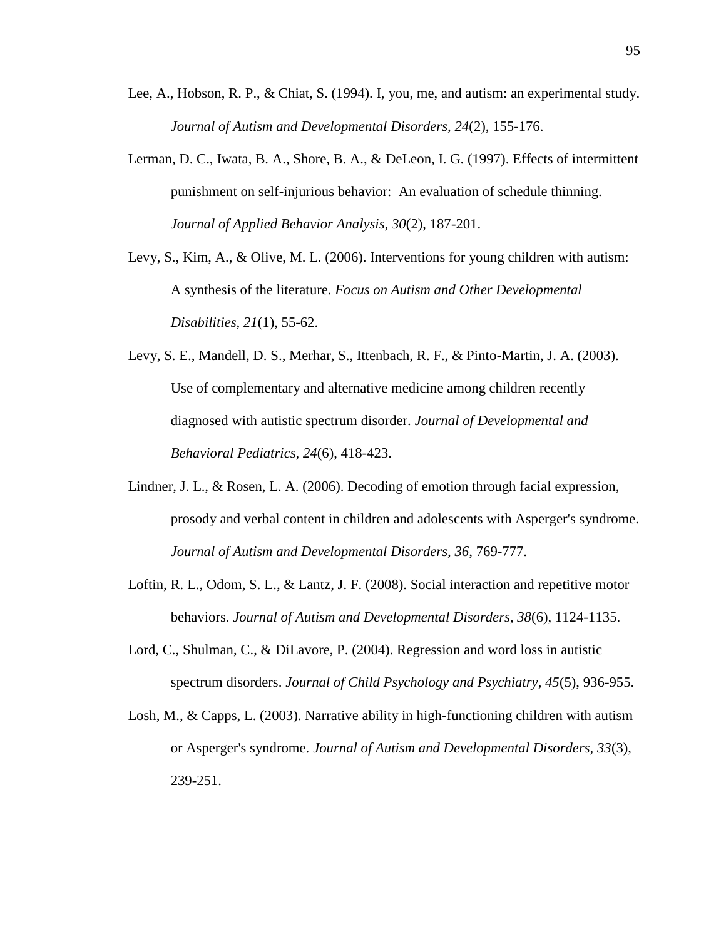- Lee, A., Hobson, R. P., & Chiat, S. (1994). I, you, me, and autism: an experimental study. *Journal of Autism and Developmental Disorders, 24*(2), 155-176.
- Lerman, D. C., Iwata, B. A., Shore, B. A., & DeLeon, I. G. (1997). Effects of intermittent punishment on self-injurious behavior: An evaluation of schedule thinning. *Journal of Applied Behavior Analysis, 30*(2), 187-201.
- Levy, S., Kim, A., & Olive, M. L. (2006). Interventions for young children with autism: A synthesis of the literature. *Focus on Autism and Other Developmental Disabilities, 21*(1), 55-62.
- Levy, S. E., Mandell, D. S., Merhar, S., Ittenbach, R. F., & Pinto-Martin, J. A. (2003). Use of complementary and alternative medicine among children recently diagnosed with autistic spectrum disorder. *Journal of Developmental and Behavioral Pediatrics, 24*(6), 418-423.
- Lindner, J. L., & Rosen, L. A. (2006). Decoding of emotion through facial expression, prosody and verbal content in children and adolescents with Asperger's syndrome. *Journal of Autism and Developmental Disorders, 36*, 769-777.
- Loftin, R. L., Odom, S. L., & Lantz, J. F. (2008). Social interaction and repetitive motor behaviors. *Journal of Autism and Developmental Disorders, 38*(6), 1124-1135.
- Lord, C., Shulman, C., & DiLavore, P. (2004). Regression and word loss in autistic spectrum disorders. *Journal of Child Psychology and Psychiatry, 45*(5), 936-955.
- Losh, M., & Capps, L. (2003). Narrative ability in high-functioning children with autism or Asperger's syndrome. *Journal of Autism and Developmental Disorders, 33*(3), 239-251.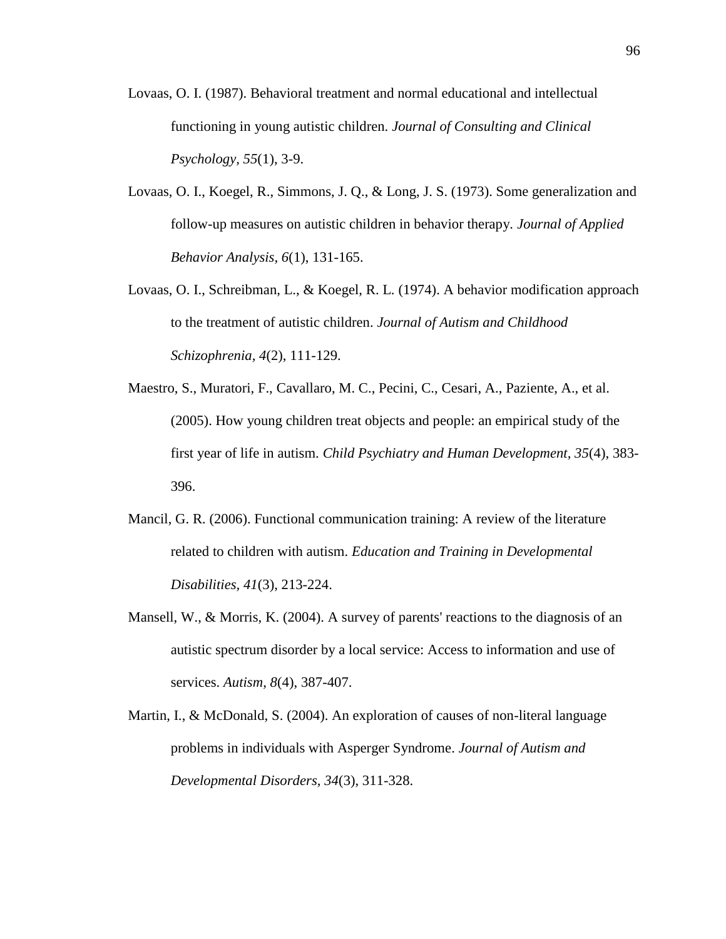- Lovaas, O. I. (1987). Behavioral treatment and normal educational and intellectual functioning in young autistic children. *Journal of Consulting and Clinical Psychology, 55*(1), 3-9.
- Lovaas, O. I., Koegel, R., Simmons, J. Q., & Long, J. S. (1973). Some generalization and follow-up measures on autistic children in behavior therapy. *Journal of Applied Behavior Analysis, 6*(1), 131-165.
- Lovaas, O. I., Schreibman, L., & Koegel, R. L. (1974). A behavior modification approach to the treatment of autistic children. *Journal of Autism and Childhood Schizophrenia, 4*(2), 111-129.
- Maestro, S., Muratori, F., Cavallaro, M. C., Pecini, C., Cesari, A., Paziente, A., et al. (2005). How young children treat objects and people: an empirical study of the first year of life in autism. *Child Psychiatry and Human Development, 35*(4), 383- 396.
- Mancil, G. R. (2006). Functional communication training: A review of the literature related to children with autism. *Education and Training in Developmental Disabilities, 41*(3), 213-224.
- Mansell, W., & Morris, K. (2004). A survey of parents' reactions to the diagnosis of an autistic spectrum disorder by a local service: Access to information and use of services. *Autism, 8*(4), 387-407.
- Martin, I., & McDonald, S. (2004). An exploration of causes of non-literal language problems in individuals with Asperger Syndrome. *Journal of Autism and Developmental Disorders, 34*(3), 311-328.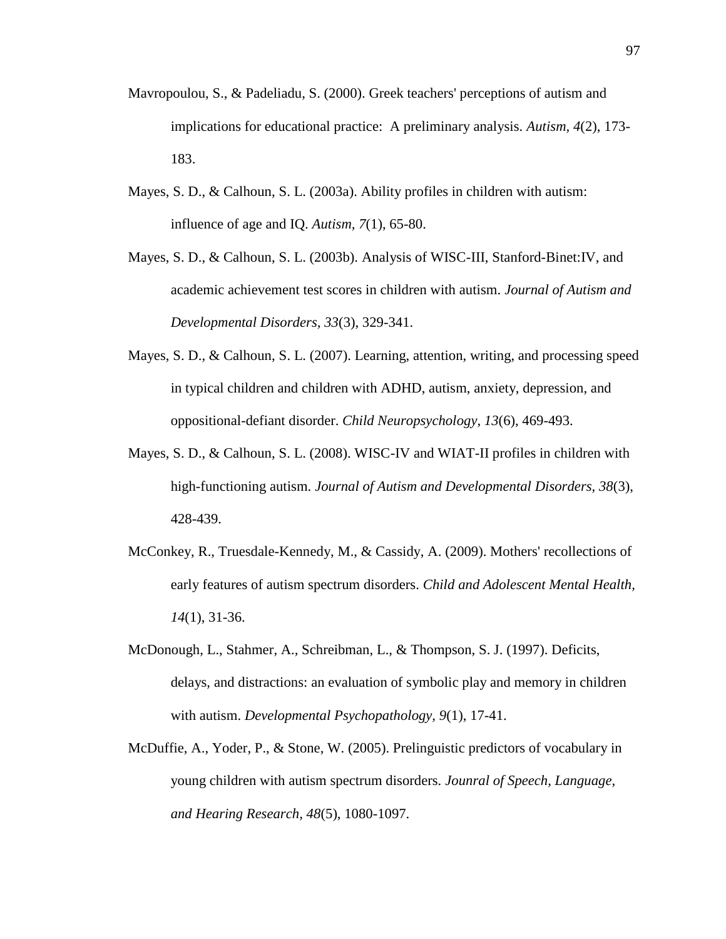- Mavropoulou, S., & Padeliadu, S. (2000). Greek teachers' perceptions of autism and implications for educational practice: A preliminary analysis. *Autism, 4*(2), 173- 183.
- Mayes, S. D., & Calhoun, S. L. (2003a). Ability profiles in children with autism: influence of age and IQ. *Autism, 7*(1), 65-80.
- Mayes, S. D., & Calhoun, S. L. (2003b). Analysis of WISC-III, Stanford-Binet:IV, and academic achievement test scores in children with autism. *Journal of Autism and Developmental Disorders, 33*(3), 329-341.
- Mayes, S. D., & Calhoun, S. L. (2007). Learning, attention, writing, and processing speed in typical children and children with ADHD, autism, anxiety, depression, and oppositional-defiant disorder. *Child Neuropsychology, 13*(6), 469-493.
- Mayes, S. D., & Calhoun, S. L. (2008). WISC-IV and WIAT-II profiles in children with high-functioning autism. *Journal of Autism and Developmental Disorders, 38*(3), 428-439.
- McConkey, R., Truesdale-Kennedy, M., & Cassidy, A. (2009). Mothers' recollections of early features of autism spectrum disorders. *Child and Adolescent Mental Health, 14*(1), 31-36.
- McDonough, L., Stahmer, A., Schreibman, L., & Thompson, S. J. (1997). Deficits, delays, and distractions: an evaluation of symbolic play and memory in children with autism. *Developmental Psychopathology, 9*(1), 17-41.
- McDuffie, A., Yoder, P., & Stone, W. (2005). Prelinguistic predictors of vocabulary in young children with autism spectrum disorders. *Jounral of Speech, Language, and Hearing Research, 48*(5), 1080-1097.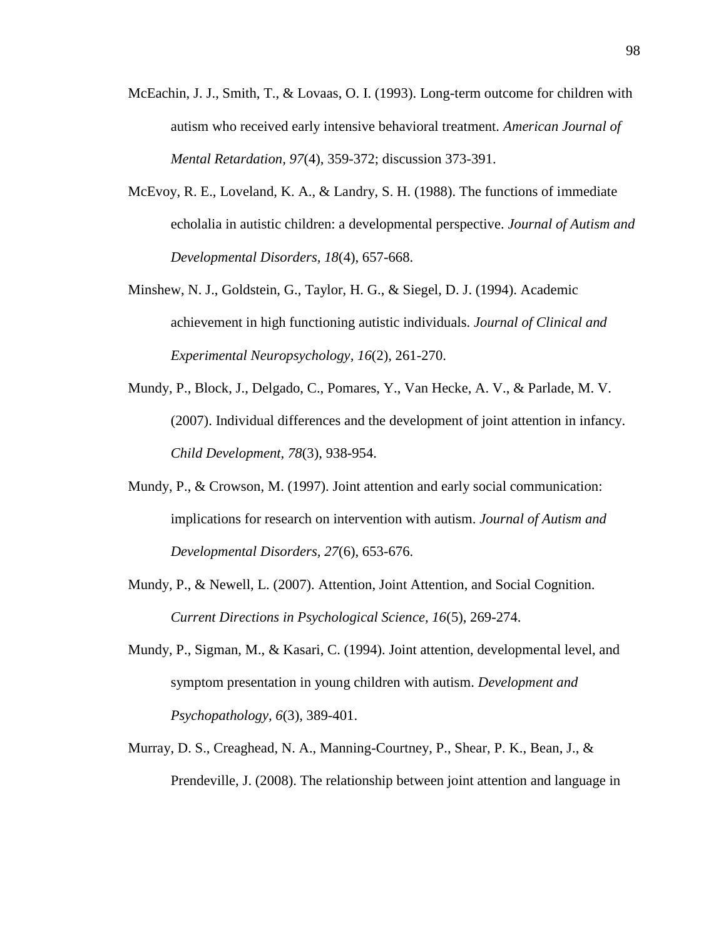- McEachin, J. J., Smith, T., & Lovaas, O. I. (1993). Long-term outcome for children with autism who received early intensive behavioral treatment. *American Journal of Mental Retardation, 97*(4), 359-372; discussion 373-391.
- McEvoy, R. E., Loveland, K. A., & Landry, S. H. (1988). The functions of immediate echolalia in autistic children: a developmental perspective. *Journal of Autism and Developmental Disorders, 18*(4), 657-668.
- Minshew, N. J., Goldstein, G., Taylor, H. G., & Siegel, D. J. (1994). Academic achievement in high functioning autistic individuals. *Journal of Clinical and Experimental Neuropsychology, 16*(2), 261-270.
- Mundy, P., Block, J., Delgado, C., Pomares, Y., Van Hecke, A. V., & Parlade, M. V. (2007). Individual differences and the development of joint attention in infancy. *Child Development, 78*(3), 938-954.
- Mundy, P., & Crowson, M. (1997). Joint attention and early social communication: implications for research on intervention with autism. *Journal of Autism and Developmental Disorders, 27*(6), 653-676.
- Mundy, P., & Newell, L. (2007). Attention, Joint Attention, and Social Cognition. *Current Directions in Psychological Science, 16*(5), 269-274.
- Mundy, P., Sigman, M., & Kasari, C. (1994). Joint attention, developmental level, and symptom presentation in young children with autism. *Development and Psychopathology, 6*(3), 389-401.
- Murray, D. S., Creaghead, N. A., Manning-Courtney, P., Shear, P. K., Bean, J., & Prendeville, J. (2008). The relationship between joint attention and language in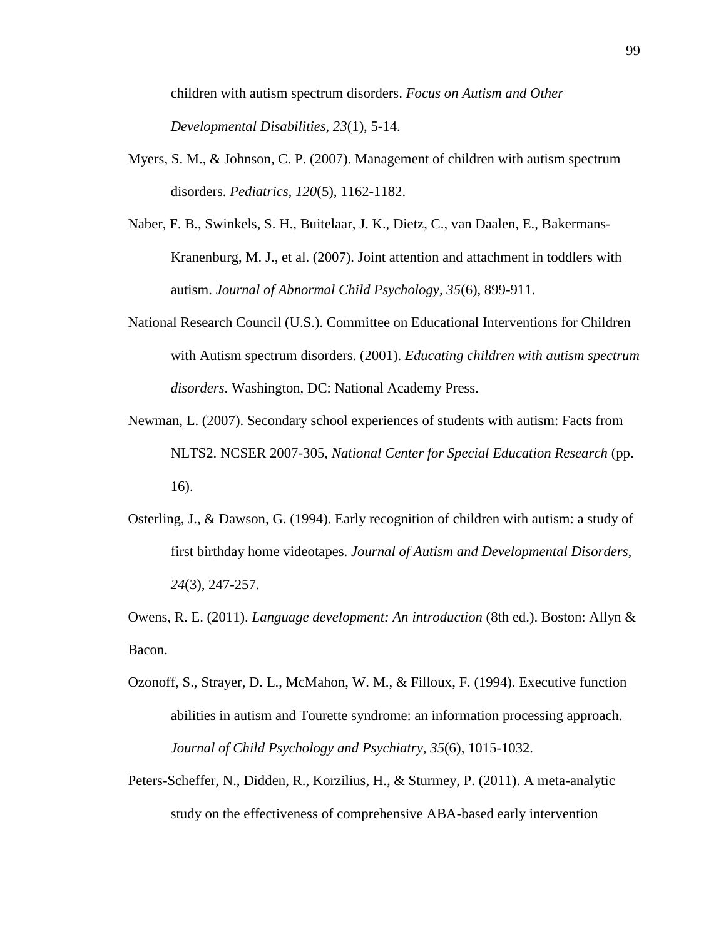children with autism spectrum disorders. *Focus on Autism and Other Developmental Disabilities, 23*(1), 5-14.

- Myers, S. M., & Johnson, C. P. (2007). Management of children with autism spectrum disorders. *Pediatrics, 120*(5), 1162-1182.
- Naber, F. B., Swinkels, S. H., Buitelaar, J. K., Dietz, C., van Daalen, E., Bakermans-Kranenburg, M. J., et al. (2007). Joint attention and attachment in toddlers with autism. *Journal of Abnormal Child Psychology, 35*(6), 899-911.
- National Research Council (U.S.). Committee on Educational Interventions for Children with Autism spectrum disorders. (2001). *Educating children with autism spectrum disorders*. Washington, DC: National Academy Press.
- Newman, L. (2007). Secondary school experiences of students with autism: Facts from NLTS2. NCSER 2007-305, *National Center for Special Education Research* (pp. 16).
- Osterling, J., & Dawson, G. (1994). Early recognition of children with autism: a study of first birthday home videotapes. *Journal of Autism and Developmental Disorders, 24*(3), 247-257.

Owens, R. E. (2011). *Language development: An introduction* (8th ed.). Boston: Allyn & Bacon.

- Ozonoff, S., Strayer, D. L., McMahon, W. M., & Filloux, F. (1994). Executive function abilities in autism and Tourette syndrome: an information processing approach. *Journal of Child Psychology and Psychiatry, 35*(6), 1015-1032.
- Peters-Scheffer, N., Didden, R., Korzilius, H., & Sturmey, P. (2011). A meta-analytic study on the effectiveness of comprehensive ABA-based early intervention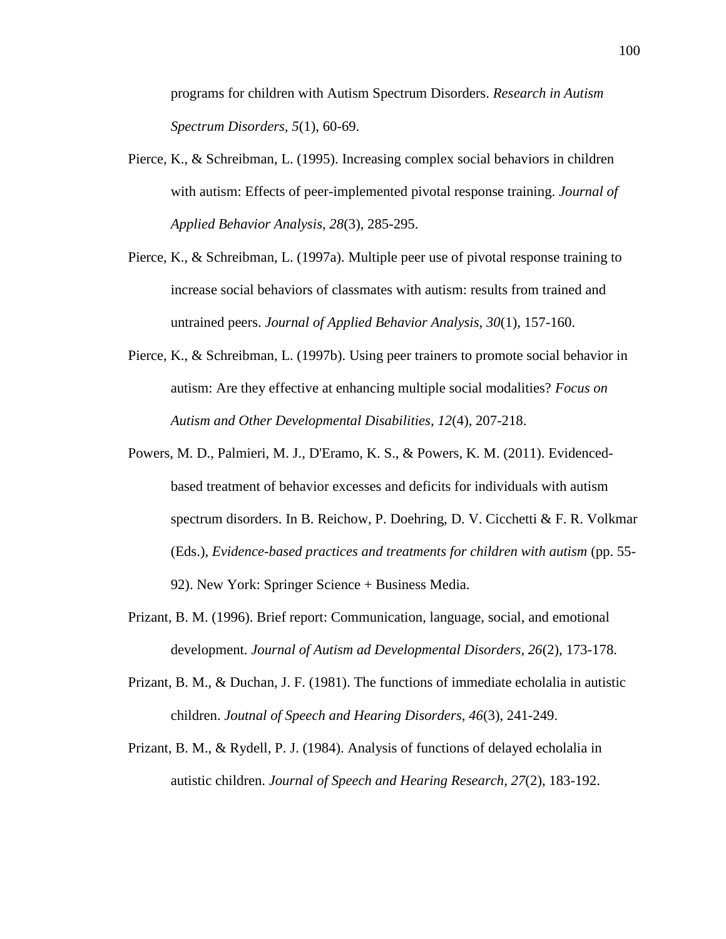programs for children with Autism Spectrum Disorders. *Research in Autism Spectrum Disorders, 5*(1), 60-69.

- Pierce, K., & Schreibman, L. (1995). Increasing complex social behaviors in children with autism: Effects of peer-implemented pivotal response training. *Journal of Applied Behavior Analysis, 28*(3), 285-295.
- Pierce, K., & Schreibman, L. (1997a). Multiple peer use of pivotal response training to increase social behaviors of classmates with autism: results from trained and untrained peers. *Journal of Applied Behavior Analysis, 30*(1), 157-160.
- Pierce, K., & Schreibman, L. (1997b). Using peer trainers to promote social behavior in autism: Are they effective at enhancing multiple social modalities? *Focus on Autism and Other Developmental Disabilities, 12*(4), 207-218.
- Powers, M. D., Palmieri, M. J., D'Eramo, K. S., & Powers, K. M. (2011). Evidencedbased treatment of behavior excesses and deficits for individuals with autism spectrum disorders. In B. Reichow, P. Doehring, D. V. Cicchetti & F. R. Volkmar (Eds.), *Evidence-based practices and treatments for children with autism* (pp. 55- 92). New York: Springer Science + Business Media.
- Prizant, B. M. (1996). Brief report: Communication, language, social, and emotional development. *Journal of Autism ad Developmental Disorders, 26*(2), 173-178.
- Prizant, B. M., & Duchan, J. F. (1981). The functions of immediate echolalia in autistic children. *Joutnal of Speech and Hearing Disorders, 46*(3), 241-249.
- Prizant, B. M., & Rydell, P. J. (1984). Analysis of functions of delayed echolalia in autistic children. *Journal of Speech and Hearing Research, 27*(2), 183-192.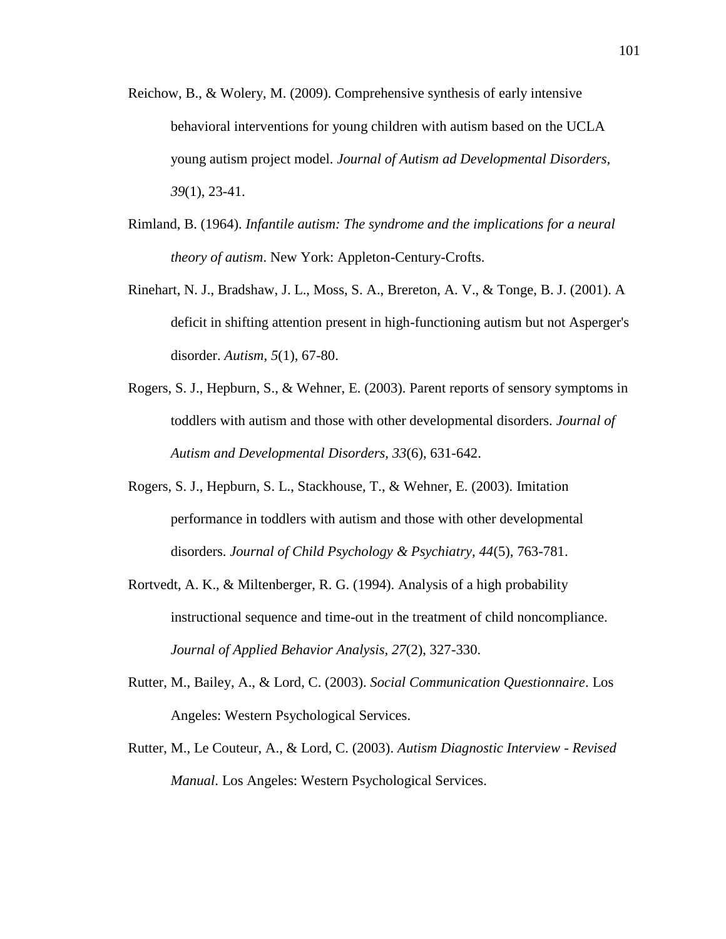- Reichow, B., & Wolery, M. (2009). Comprehensive synthesis of early intensive behavioral interventions for young children with autism based on the UCLA young autism project model. *Journal of Autism ad Developmental Disorders, 39*(1), 23-41.
- Rimland, B. (1964). *Infantile autism: The syndrome and the implications for a neural theory of autism*. New York: Appleton-Century-Crofts.
- Rinehart, N. J., Bradshaw, J. L., Moss, S. A., Brereton, A. V., & Tonge, B. J. (2001). A deficit in shifting attention present in high-functioning autism but not Asperger's disorder. *Autism, 5*(1), 67-80.
- Rogers, S. J., Hepburn, S., & Wehner, E. (2003). Parent reports of sensory symptoms in toddlers with autism and those with other developmental disorders. *Journal of Autism and Developmental Disorders, 33*(6), 631-642.
- Rogers, S. J., Hepburn, S. L., Stackhouse, T., & Wehner, E. (2003). Imitation performance in toddlers with autism and those with other developmental disorders. *Journal of Child Psychology & Psychiatry, 44*(5), 763-781.
- Rortvedt, A. K., & Miltenberger, R. G. (1994). Analysis of a high probability instructional sequence and time-out in the treatment of child noncompliance. *Journal of Applied Behavior Analysis, 27*(2), 327-330.
- Rutter, M., Bailey, A., & Lord, C. (2003). *Social Communication Questionnaire*. Los Angeles: Western Psychological Services.
- Rutter, M., Le Couteur, A., & Lord, C. (2003). *Autism Diagnostic Interview - Revised Manual*. Los Angeles: Western Psychological Services.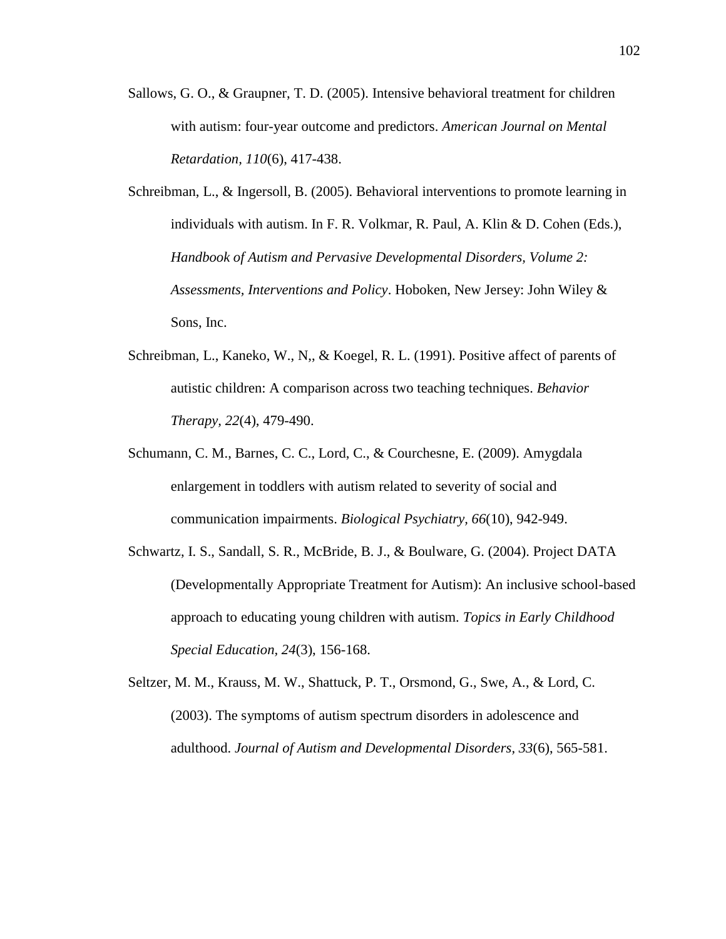- Sallows, G. O., & Graupner, T. D. (2005). Intensive behavioral treatment for children with autism: four-year outcome and predictors. *American Journal on Mental Retardation, 110*(6), 417-438.
- Schreibman, L., & Ingersoll, B. (2005). Behavioral interventions to promote learning in individuals with autism. In F. R. Volkmar, R. Paul, A. Klin & D. Cohen (Eds.), *Handbook of Autism and Pervasive Developmental Disorders, Volume 2: Assessments, Interventions and Policy*. Hoboken, New Jersey: John Wiley & Sons, Inc.
- Schreibman, L., Kaneko, W., N,, & Koegel, R. L. (1991). Positive affect of parents of autistic children: A comparison across two teaching techniques. *Behavior Therapy, 22*(4), 479-490.
- Schumann, C. M., Barnes, C. C., Lord, C., & Courchesne, E. (2009). Amygdala enlargement in toddlers with autism related to severity of social and communication impairments. *Biological Psychiatry, 66*(10), 942-949.
- Schwartz, I. S., Sandall, S. R., McBride, B. J., & Boulware, G. (2004). Project DATA (Developmentally Appropriate Treatment for Autism): An inclusive school-based approach to educating young children with autism. *Topics in Early Childhood Special Education, 24*(3), 156-168.
- Seltzer, M. M., Krauss, M. W., Shattuck, P. T., Orsmond, G., Swe, A., & Lord, C. (2003). The symptoms of autism spectrum disorders in adolescence and adulthood. *Journal of Autism and Developmental Disorders, 33*(6), 565-581.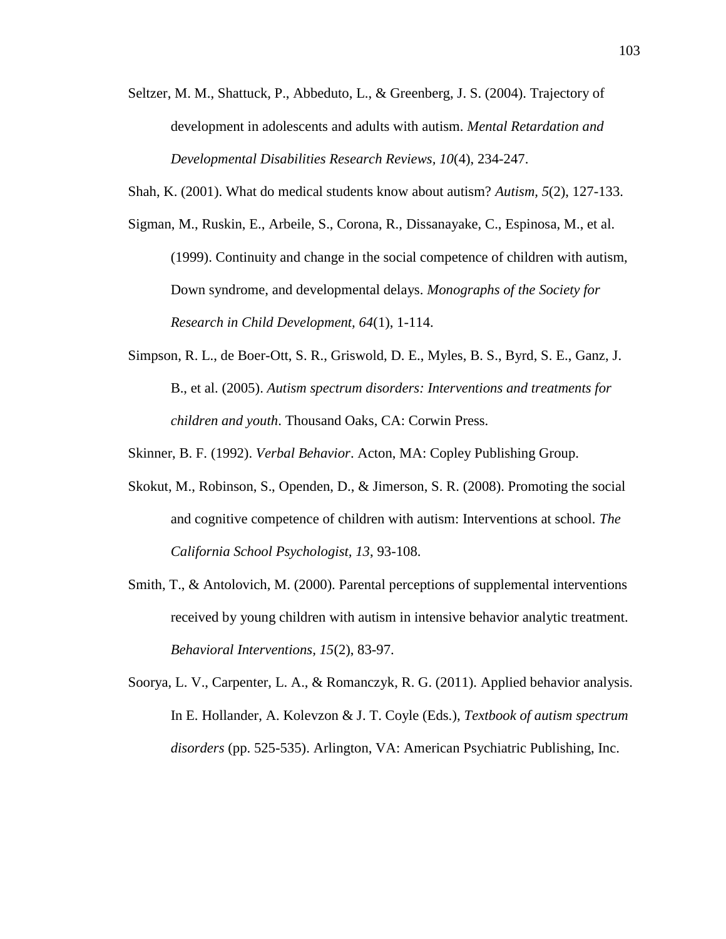- Seltzer, M. M., Shattuck, P., Abbeduto, L., & Greenberg, J. S. (2004). Trajectory of development in adolescents and adults with autism. *Mental Retardation and Developmental Disabilities Research Reviews, 10*(4), 234-247.
- Shah, K. (2001). What do medical students know about autism? *Autism, 5*(2), 127-133.
- Sigman, M., Ruskin, E., Arbeile, S., Corona, R., Dissanayake, C., Espinosa, M., et al. (1999). Continuity and change in the social competence of children with autism, Down syndrome, and developmental delays. *Monographs of the Society for Research in Child Development, 64*(1), 1-114.
- Simpson, R. L., de Boer-Ott, S. R., Griswold, D. E., Myles, B. S., Byrd, S. E., Ganz, J. B., et al. (2005). *Autism spectrum disorders: Interventions and treatments for children and youth*. Thousand Oaks, CA: Corwin Press.

Skinner, B. F. (1992). *Verbal Behavior*. Acton, MA: Copley Publishing Group.

- Skokut, M., Robinson, S., Openden, D., & Jimerson, S. R. (2008). Promoting the social and cognitive competence of children with autism: Interventions at school. *The California School Psychologist, 13*, 93-108.
- Smith, T., & Antolovich, M. (2000). Parental perceptions of supplemental interventions received by young children with autism in intensive behavior analytic treatment. *Behavioral Interventions, 15*(2), 83-97.
- Soorya, L. V., Carpenter, L. A., & Romanczyk, R. G. (2011). Applied behavior analysis. In E. Hollander, A. Kolevzon & J. T. Coyle (Eds.), *Textbook of autism spectrum disorders* (pp. 525-535). Arlington, VA: American Psychiatric Publishing, Inc.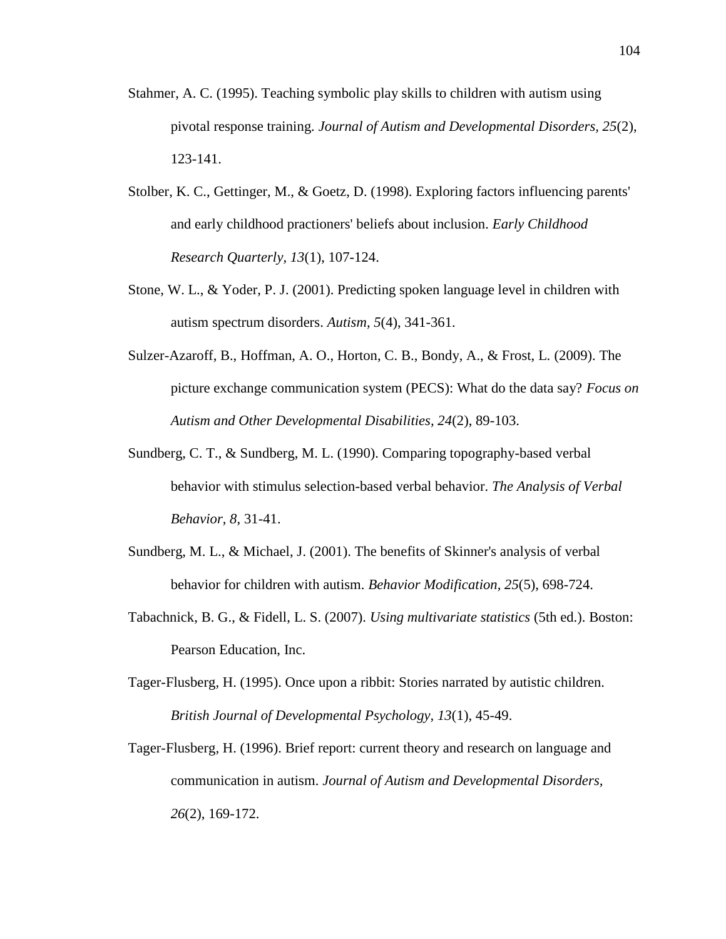- Stahmer, A. C. (1995). Teaching symbolic play skills to children with autism using pivotal response training. *Journal of Autism and Developmental Disorders, 25*(2), 123-141.
- Stolber, K. C., Gettinger, M., & Goetz, D. (1998). Exploring factors influencing parents' and early childhood practioners' beliefs about inclusion. *Early Childhood Research Quarterly, 13*(1), 107-124.
- Stone, W. L., & Yoder, P. J. (2001). Predicting spoken language level in children with autism spectrum disorders. *Autism, 5*(4), 341-361.
- Sulzer-Azaroff, B., Hoffman, A. O., Horton, C. B., Bondy, A., & Frost, L. (2009). The picture exchange communication system (PECS): What do the data say? *Focus on Autism and Other Developmental Disabilities, 24*(2), 89-103.
- Sundberg, C. T., & Sundberg, M. L. (1990). Comparing topography-based verbal behavior with stimulus selection-based verbal behavior. *The Analysis of Verbal Behavior, 8*, 31-41.
- Sundberg, M. L., & Michael, J. (2001). The benefits of Skinner's analysis of verbal behavior for children with autism. *Behavior Modification, 25*(5), 698-724.
- Tabachnick, B. G., & Fidell, L. S. (2007). *Using multivariate statistics* (5th ed.). Boston: Pearson Education, Inc.
- Tager-Flusberg, H. (1995). Once upon a ribbit: Stories narrated by autistic children. *British Journal of Developmental Psychology, 13*(1), 45-49.
- Tager-Flusberg, H. (1996). Brief report: current theory and research on language and communication in autism. *Journal of Autism and Developmental Disorders, 26*(2), 169-172.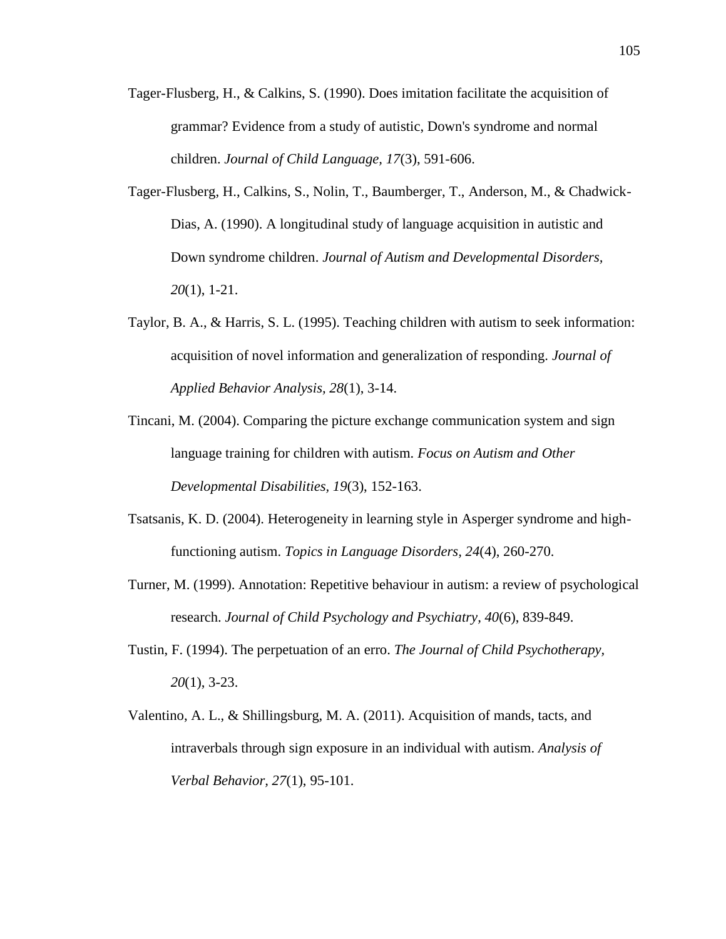- Tager-Flusberg, H., & Calkins, S. (1990). Does imitation facilitate the acquisition of grammar? Evidence from a study of autistic, Down's syndrome and normal children. *Journal of Child Language, 17*(3), 591-606.
- Tager-Flusberg, H., Calkins, S., Nolin, T., Baumberger, T., Anderson, M., & Chadwick-Dias, A. (1990). A longitudinal study of language acquisition in autistic and Down syndrome children. *Journal of Autism and Developmental Disorders, 20*(1), 1-21.
- Taylor, B. A., & Harris, S. L. (1995). Teaching children with autism to seek information: acquisition of novel information and generalization of responding. *Journal of Applied Behavior Analysis, 28*(1), 3-14.
- Tincani, M. (2004). Comparing the picture exchange communication system and sign language training for children with autism. *Focus on Autism and Other Developmental Disabilities, 19*(3), 152-163.
- Tsatsanis, K. D. (2004). Heterogeneity in learning style in Asperger syndrome and highfunctioning autism. *Topics in Language Disorders, 24*(4), 260-270.
- Turner, M. (1999). Annotation: Repetitive behaviour in autism: a review of psychological research. *Journal of Child Psychology and Psychiatry, 40*(6), 839-849.
- Tustin, F. (1994). The perpetuation of an erro. *The Journal of Child Psychotherapy, 20*(1), 3-23.
- Valentino, A. L., & Shillingsburg, M. A. (2011). Acquisition of mands, tacts, and intraverbals through sign exposure in an individual with autism. *Analysis of Verbal Behavior, 27*(1), 95-101.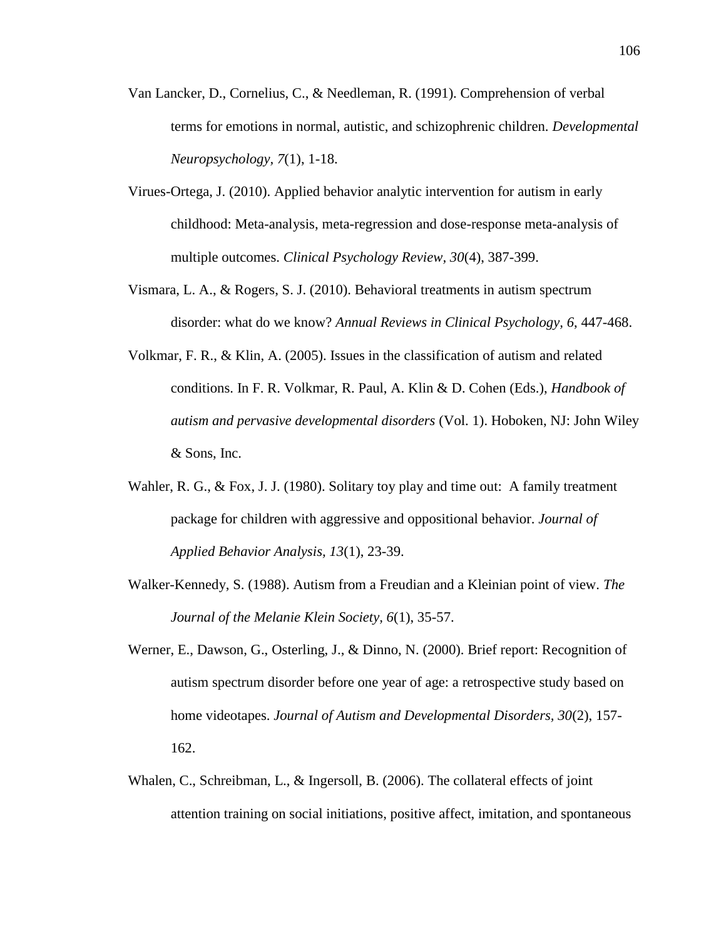- Van Lancker, D., Cornelius, C., & Needleman, R. (1991). Comprehension of verbal terms for emotions in normal, autistic, and schizophrenic children. *Developmental Neuropsychology, 7*(1), 1-18.
- Virues-Ortega, J. (2010). Applied behavior analytic intervention for autism in early childhood: Meta-analysis, meta-regression and dose-response meta-analysis of multiple outcomes. *Clinical Psychology Review, 30*(4), 387-399.
- Vismara, L. A., & Rogers, S. J. (2010). Behavioral treatments in autism spectrum disorder: what do we know? *Annual Reviews in Clinical Psychology, 6*, 447-468.
- Volkmar, F. R., & Klin, A. (2005). Issues in the classification of autism and related conditions. In F. R. Volkmar, R. Paul, A. Klin & D. Cohen (Eds.), *Handbook of autism and pervasive developmental disorders* (Vol. 1). Hoboken, NJ: John Wiley & Sons, Inc.
- Wahler, R. G., & Fox, J. J. (1980). Solitary toy play and time out: A family treatment package for children with aggressive and oppositional behavior. *Journal of Applied Behavior Analysis, 13*(1), 23-39.
- Walker-Kennedy, S. (1988). Autism from a Freudian and a Kleinian point of view. *The Journal of the Melanie Klein Society, 6*(1), 35-57.
- Werner, E., Dawson, G., Osterling, J., & Dinno, N. (2000). Brief report: Recognition of autism spectrum disorder before one year of age: a retrospective study based on home videotapes. *Journal of Autism and Developmental Disorders, 30*(2), 157- 162.
- Whalen, C., Schreibman, L., & Ingersoll, B. (2006). The collateral effects of joint attention training on social initiations, positive affect, imitation, and spontaneous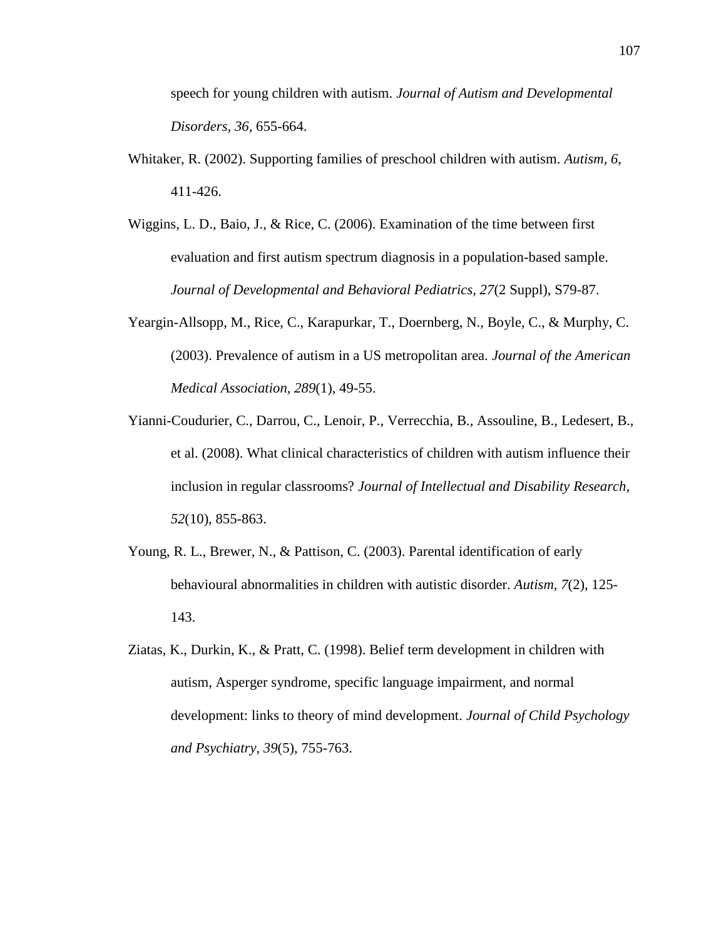speech for young children with autism. *Journal of Autism and Developmental Disorders, 36*, 655-664.

- Whitaker, R. (2002). Supporting families of preschool children with autism. *Autism, 6*, 411-426.
- Wiggins, L. D., Baio, J., & Rice, C. (2006). Examination of the time between first evaluation and first autism spectrum diagnosis in a population-based sample. *Journal of Developmental and Behavioral Pediatrics, 27*(2 Suppl), S79-87.
- Yeargin-Allsopp, M., Rice, C., Karapurkar, T., Doernberg, N., Boyle, C., & Murphy, C. (2003). Prevalence of autism in a US metropolitan area. *Journal of the American Medical Association, 289*(1), 49-55.
- Yianni-Coudurier, C., Darrou, C., Lenoir, P., Verrecchia, B., Assouline, B., Ledesert, B., et al. (2008). What clinical characteristics of children with autism influence their inclusion in regular classrooms? *Journal of Intellectual and Disability Research, 52*(10), 855-863.
- Young, R. L., Brewer, N., & Pattison, C. (2003). Parental identification of early behavioural abnormalities in children with autistic disorder. *Autism, 7*(2), 125- 143.
- Ziatas, K., Durkin, K., & Pratt, C. (1998). Belief term development in children with autism, Asperger syndrome, specific language impairment, and normal development: links to theory of mind development. *Journal of Child Psychology and Psychiatry, 39*(5), 755-763.